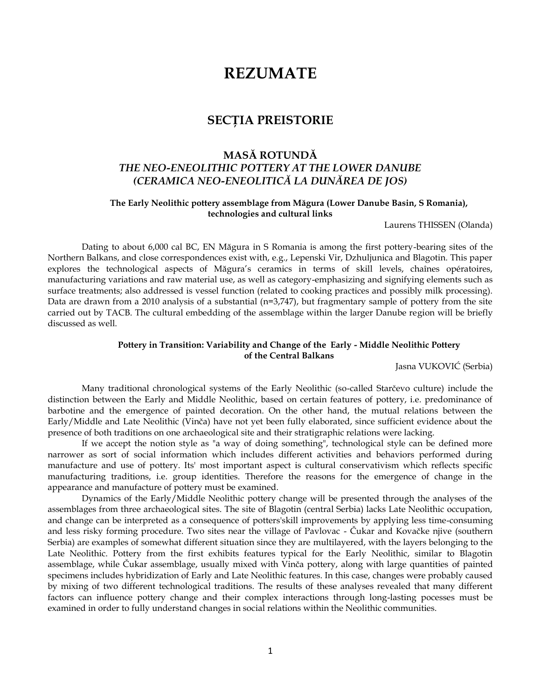# **REZUMATE**

# **SECŢIA PREISTORIE**

# **MASĂ ROTUNDĂ** *THE NEO-ENEOLITHIC POTTERY AT THE LOWER DANUBE (CERAMICA NEO-ENEOLITICĂ LA DUNĂREA DE JOS)*

## **The Early Neolithic pottery assemblage from Măgura (Lower Danube Basin, S Romania), technologies and cultural links**

Laurens THISSEN (Olanda)

Dating to about 6,000 cal BC, EN Măgura in S Romania is among the first pottery-bearing sites of the Northern Balkans, and close correspondences exist with, e.g., Lepenski Vir, Dzhuljunica and Blagotin. This paper explores the technological aspects of Măgura's ceramics in terms of skill levels, chaînes opératoires, manufacturing variations and raw material use, as well as category-emphasizing and signifying elements such as surface treatments; also addressed is vessel function (related to cooking practices and possibly milk processing). Data are drawn from a 2010 analysis of a substantial (n=3,747), but fragmentary sample of pottery from the site carried out by TACB. The cultural embedding of the assemblage within the larger Danube region will be briefly discussed as well.

## **Pottery in Transition: Variability and Change of the Early - Middle Neolithic Pottery of the Central Balkans**

Jasna VUKOVIĆ (Serbia)

Many traditional chronological systems of the Early Neolithic (so-called Starčevo culture) include the distinction between the Early and Middle Neolithic, based on certain features of pottery, i.e. predominance of barbotine and the emergence of painted decoration. On the other hand, the mutual relations between the Early/Middle and Late Neolithic (Vinča) have not yet been fully elaborated, since sufficient evidence about the presence of both traditions on one archaeological site and their stratigraphic relations were lacking.

If we accept the notion style as "a way of doing something", technological style can be defined more narrower as sort of social information which includes different activities and behaviors performed during manufacture and use of pottery. Its' most important aspect is cultural conservativism which reflects specific manufacturing traditions, i.e. group identities. Therefore the reasons for the emergence of change in the appearance and manufacture of pottery must be examined.

Dynamics of the Early/Middle Neolithic pottery change will be presented through the analyses of the assemblages from three archaeological sites. The site of Blagotin (central Serbia) lacks Late Neolithic occupation, and change can be interpreted as a consequence of potters'skill improvements by applying less time-consuming and less risky forming procedure. Two sites near the village of Pavlovac - Čukar and Kovačke njive (southern Serbia) are examples of somewhat different situation since they are multilayered, with the layers belonging to the Late Neolithic. Pottery from the first exhibits features typical for the Early Neolithic, similar to Blagotin assemblage, while Čukar assemblage, usually mixed with Vinča pottery, along with large quantities of painted specimens includes hybridization of Early and Late Neolithic features. In this case, changes were probably caused by mixing of two different technological traditions. The results of these analyses revealed that many different factors can influence pottery change and their complex interactions through long-lasting pocesses must be examined in order to fully understand changes in social relations within the Neolithic communities.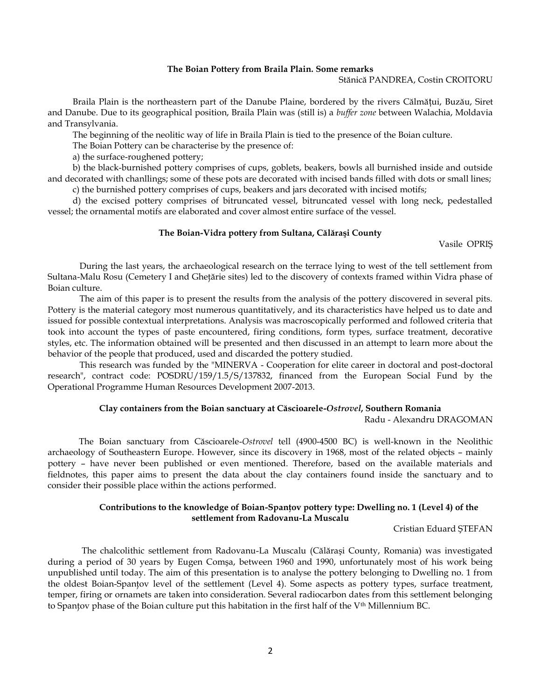#### **The Boian Pottery from Braila Plain. Some remarks**

Stănică PANDREA, Costin CROITORU

Braila Plain is the northeastern part of the Danube Plaine, bordered by the rivers Călmățui, Buzău, Siret and Danube. Due to its geographical position, Braila Plain was (still is) a *buffer zone* between Walachia, Moldavia and Transylvania.

The beginning of the neolitic way of life in Braila Plain is tied to the presence of the Boian culture.

The Boian Pottery can be characterise by the presence of:

a) the surface-roughened pottery;

b) the black-burnished pottery comprises of cups, goblets, beakers, bowls all burnished inside and outside and decorated with chanllings; some of these pots are decorated with incised bands filled with dots or small lines;

c) the burnished pottery comprises of cups, beakers and jars decorated with incised motifs;

d) the excised pottery comprises of bitruncated vessel, bitruncated vessel with long neck, pedestalled vessel; the ornamental motifs are elaborated and cover almost entire surface of the vessel.

#### **The Boian-Vidra pottery from Sultana, Călăraşi County**

Vasile OPRIŞ

During the last years, the archaeological research on the terrace lying to west of the tell settlement from Sultana-Malu Rosu (Cemetery I and Gheţărie sites) led to the discovery of contexts framed within Vidra phase of Boian culture.

The aim of this paper is to present the results from the analysis of the pottery discovered in several pits. Pottery is the material category most numerous quantitatively, and its characteristics have helped us to date and issued for possible contextual interpretations. Analysis was macroscopically performed and followed criteria that took into account the types of paste encountered, firing conditions, form types, surface treatment, decorative styles, etc. The information obtained will be presented and then discussed in an attempt to learn more about the behavior of the people that produced, used and discarded the pottery studied.

This research was funded by the "MINERVA - Cooperation for elite career in doctoral and post-doctoral research", contract code: POSDRU/159/1.5/S/137832, financed from the European Social Fund by the Operational Programme Human Resources Development 2007-2013.

## **Clay containers from the Boian sanctuary at Căscioarele-***Ostrovel***, Southern Romania**

Radu - Alexandru DRAGOMAN

The Boian sanctuary from Căscioarele-*Ostrovel* tell (4900-4500 BC) is well-known in the Neolithic archaeology of Southeastern Europe. However, since its discovery in 1968, most of the related objects – mainly pottery – have never been published or even mentioned. Therefore, based on the available materials and fieldnotes, this paper aims to present the data about the clay containers found inside the sanctuary and to consider their possible place within the actions performed.

## **Contributions to the knowledge of Boian-Spanţov pottery type: Dwelling no. 1 (Level 4) of the settlement from Radovanu-La Muscalu**

Cristian Eduard ŞTEFAN

The chalcolithic settlement from Radovanu-La Muscalu (Călăraşi County, Romania) was investigated during a period of 30 years by Eugen Comşa, between 1960 and 1990, unfortunately most of his work being unpublished until today. The aim of this presentation is to analyse the pottery belonging to Dwelling no. 1 from the oldest Boian-Spanţov level of the settlement (Level 4). Some aspects as pottery types, surface treatment, temper, firing or ornamets are taken into consideration. Several radiocarbon dates from this settlement belonging to Spantov phase of the Boian culture put this habitation in the first half of the V<sup>th</sup> Millennium BC.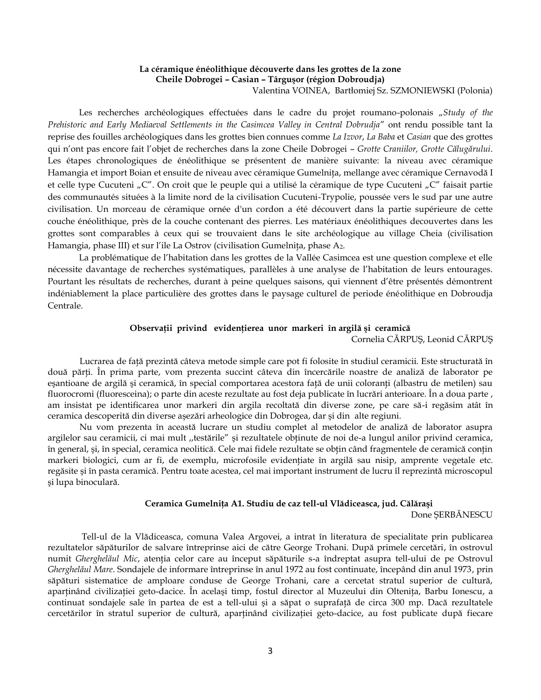## **La céramique énéolithique découverte dans les grottes de la zone Cheile Dobrogei – Casian – Târguşor (région Dobroudja)** Valentina VOINEA, Bartłomiej Sz. SZMONIEWSKI (Polonia)

Les recherches archéologiques effectuées dans le cadre du projet roumano-polonais "Study of the *Prehistoric and Early Mediaeval Settlements in the Casimcea Valley in Central Dobrudja*" ont rendu possible tant la reprise des fouilles archéologiques dans les grottes bien connues comme *La Izvor*, *La Baba* et *Casian* que des grottes qui n'ont pas encore fait l'objet de recherches dans la zone Cheile Dobrogei – *Grotte Craniilor, Grotte Călugărului*. Les étapes chronologiques de énéolithique se présentent de manière suivante: la niveau avec céramique Hamangia et import Boian et ensuite de niveau avec céramique Gumelniţa, mellange avec céramique Cernavodă I et celle type Cucuteni "C". On croit que le peuple qui a utilisé la céramique de type Cucuteni "C" faisait partie des communautés situées à la limite nord de la civilisation Cucuteni-Trypolie, poussée vers le sud par une autre civilisation. Un morceau de céramique ornée d'un cordon a été découvert dans la partie supérieure de cette couche énéolithique, près de la couche contenant des pierres. Les matériaux énéolithiques decouvertes dans les grottes sont comparables à ceux qui se trouvaient dans le site archéologique au village Cheia (civilisation Hamangia, phase III) et sur l'ile La Ostrov (civilisation Gumelnița, phase A<sub>2</sub>.

La problématique de l'habitation dans les grottes de la Vallée Casimcea est une question complexe et elle nécessite davantage de recherches systématiques, parallèles à une analyse de l'habitation de leurs entourages. Pourtant les résultats de recherches, durant à peine quelques saisons, qui viennent d'être présentés démontrent indéniablement la place particulière des grottes dans le paysage culturel de periode énéolithique en Dobroudja Centrale.

#### **Observaţii privind evidenţierea unor markeri în argilă şi ceramică**

Cornelia CĂRPUŞ, Leonid CĂRPUŞ

Lucrarea de faţă prezintă câteva metode simple care pot fi folosite în studiul ceramicii. Este structurată în două părţi. În prima parte, vom prezenta succint câteva din încercările noastre de analiză de laborator pe eșantioane de argilă și ceramică, în special comportarea acestora față de unii coloranți (albastru de metilen) sau fluorocromi (fluoresceina); o parte din aceste rezultate au fost deja publicate în lucrări anterioare. În a doua parte , am insistat pe identificarea unor markeri din argila recoltată din diverse zone, pe care să-i regăsim atât în ceramica descoperită din diverse aşezări arheologice din Dobrogea, dar şi din alte regiuni.

Nu vom prezenta în această lucrare un studiu complet al metodelor de analiză de laborator asupra argilelor sau ceramicii, ci mai mult "testările" și rezultatele obținute de noi de-a lungul anilor privind ceramica, în general, şi, în special, ceramica neolitică. Cele mai fidele rezultate se obţin când fragmentele de ceramică conţin markeri biologici, cum ar fi, de exemplu, microfosile evidenţiate în argilă sau nisip, amprente vegetale etc. regăsite şi în pasta ceramică. Pentru toate acestea, cel mai important instrument de lucru îl reprezintă microscopul şi lupa binoculară.

#### **Ceramica Gumelniţa A1. Studiu de caz tell-ul Vlădiceasca, jud. Călăraşi**

Done ŞERBĂNESCU

Tell-ul de la Vlădiceasca, comuna Valea Argovei, a intrat în literatura de specialitate prin publicarea rezultatelor săpăturilor de salvare întreprinse aici de către George Trohani. După primele cercetări, în ostrovul numit *Gherghelăul Mic*, atenţia celor care au început săpăturile s-a îndreptat asupra tell-ului de pe Ostrovul *Gherghelăul Mare*. Sondajele de informare întreprinse în anul 1972 au fost continuate, începând din anul 1973, prin săpături sistematice de amploare conduse de George Trohani, care a cercetat stratul superior de cultură, aparţinând civilizaţiei geto-dacice. În acelaşi timp, fostul director al Muzeului din Olteniţa, Barbu Ionescu, a continuat sondajele sale în partea de est a tell-ului şi a săpat o suprafaţă de circa 300 mp. Dacă rezultatele cercetărilor în stratul superior de cultură, aparținând civilizației geto-dacice, au fost publicate după fiecare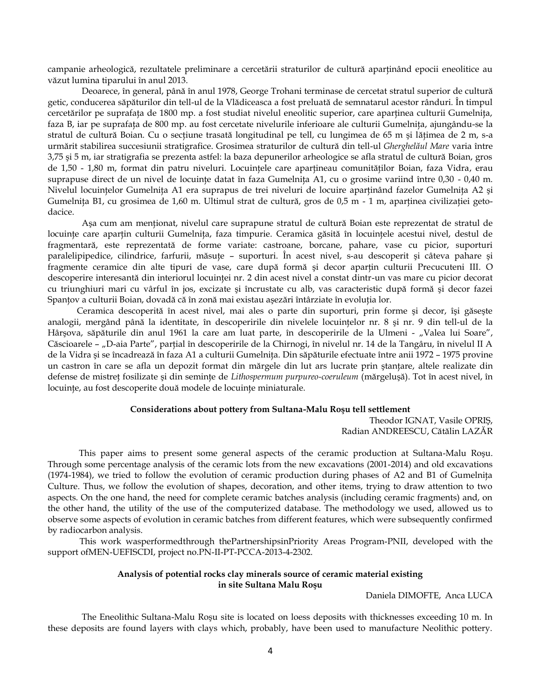campanie arheologică, rezultatele preliminare a cercetării straturilor de cultură aparținând epocii eneolitice au văzut lumina tiparului în anul 2013.

Deoarece, în general, până în anul 1978, George Trohani terminase de cercetat stratul superior de cultură getic, conducerea săpăturilor din tell-ul de la Vlădiceasca a fost preluată de semnatarul acestor rânduri. În timpul cercetărilor pe suprafaţa de 1800 mp. a fost studiat nivelul eneolitic superior, care aparţinea culturii Gumelniţa, faza B, iar pe suprafaţa de 800 mp. au fost cercetate nivelurile inferioare ale culturii Gumelniţa, ajungându-se la stratul de cultură Boian. Cu o secțiune trasată longitudinal pe tell, cu lungimea de 65 m și lățimea de 2 m, s-a urmărit stabilirea succesiunii stratigrafice. Grosimea straturilor de cultură din tell-ul *Gherghelăul Mare* varia între 3,75 şi 5 m, iar stratigrafia se prezenta astfel: la baza depunerilor arheologice se afla stratul de cultură Boian, gros de 1,50 - 1,80 m, format din patru niveluri. Locuințele care aparțineau comunităților Boian, faza Vidra, erau suprapuse direct de un nivel de locuințe datat în faza Gumelnița A1, cu o grosime variind între 0,30 - 0,40 m. Nivelul locuințelor Gumelnița A1 era suprapus de trei niveluri de locuire aparținând fazelor Gumelnița A2 și Gumelnița B1, cu grosimea de 1,60 m. Ultimul strat de cultură, gros de 0,5 m - 1 m, aparținea civilizației getodacice.

Aşa cum am menţionat, nivelul care suprapune stratul de cultură Boian este reprezentat de stratul de locuințe care aparțin culturii Gumelnița, faza timpurie. Ceramica găsită în locuințele acestui nivel, destul de fragmentară, este reprezentată de forme variate: castroane, borcane, pahare, vase cu picior, suporturi paralelipipedice, cilindrice, farfurii, măsuţe – suporturi. În acest nivel, s-au descoperit şi câteva pahare şi fragmente ceramice din alte tipuri de vase, care după formă și decor aparțin culturii Precucuteni III. O descoperire interesantă din interiorul locuinței nr. 2 din acest nivel a constat dintr-un vas mare cu picior decorat cu triunghiuri mari cu vârful în jos, excizate şi încrustate cu alb, vas caracteristic după formă şi decor fazei Spanţov a culturii Boian, dovadă că în zonă mai existau aşezări întârziate în evoluţia lor.

Ceramica descoperită în acest nivel, mai ales o parte din suporturi, prin forme şi decor, îşi găseşte analogii, mergând până la identitate, în descoperirile din nivelele locuintelor nr. 8 și nr. 9 din tell-ul de la Hârșova, săpăturile din anul 1961 la care am luat parte, în descoperirile de la Ulmeni - "Valea lui Soare", Căscioarele - "D-aia Parte", parțial în descoperirile de la Chirnogi, în nivelul nr. 14 de la Tangâru, în nivelul II A de la Vidra şi se încadrează în faza A1 a culturii Gumelniţa. Din săpăturile efectuate între anii 1972 – 1975 provine un castron în care se afla un depozit format din mărgele din lut ars lucrate prin ştanţare, altele realizate din defense de mistreţ fosilizate şi din seminţe de *Lithospermum purpureo-coeruleum* (mărgeluşă). Tot în acest nivel, în locuințe, au fost descoperite două modele de locuințe miniaturale.

#### **Considerations about pottery from Sultana-Malu Roşu tell settlement**

Theodor IGNAT, Vasile OPRIŞ, Radian ANDREESCU, Cătălin LAZĂR

This paper aims to present some general aspects of the ceramic production at Sultana-Malu Roşu. Through some percentage analysis of the ceramic lots from the new excavations (2001-2014) and old excavations (1974-1984), we tried to follow the evolution of ceramic production during phases of A2 and B1 of Gumelniţa Culture. Thus, we follow the evolution of shapes, decoration, and other items, trying to draw attention to two aspects. On the one hand, the need for complete ceramic batches analysis (including ceramic fragments) and, on the other hand, the utility of the use of the computerized database. The methodology we used, allowed us to observe some aspects of evolution in ceramic batches from different features, which were subsequently confirmed by radiocarbon analysis.

This work wasperformedthrough thePartnershipsinPriority Areas Program-PNII, developed with the support ofMEN-UEFISCDI, project no.PN-II-PT-PCCA-2013-4-2302.

## **Analysis of potential rocks clay minerals source of ceramic material existing in site Sultana Malu Roşu**

Daniela DIMOFTE, Anca LUCA

The Eneolithic Sultana-Malu Roşu site is located on loess deposits with thicknesses exceeding 10 m. In these deposits are found layers with clays which, probably, have been used to manufacture Neolithic pottery.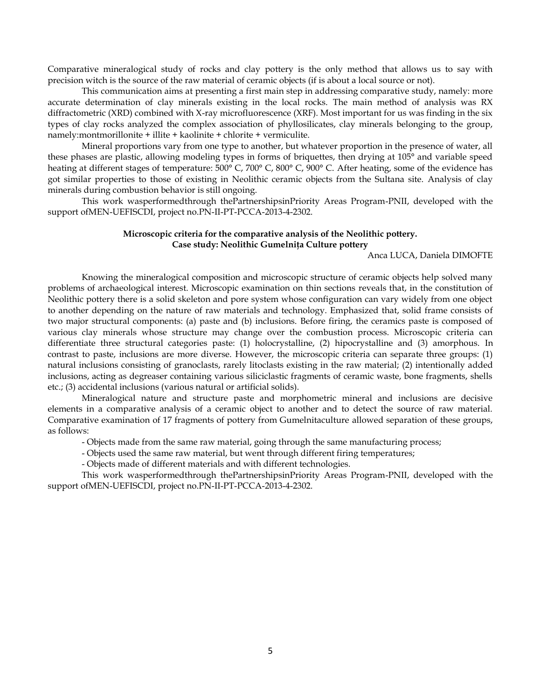Comparative mineralogical study of rocks and clay pottery is the only method that allows us to say with precision witch is the source of the raw material of ceramic objects (if is about a local source or not).

This communication aims at presenting a first main step in addressing comparative study, namely: more accurate determination of clay minerals existing in the local rocks. The main method of analysis was RX diffractometric (XRD) combined with X-ray microfluorescence (XRF). Most important for us was finding in the six types of clay rocks analyzed the complex association of phyllosilicates, clay minerals belonging to the group, namely:montmorillonite + illite + kaolinite + chlorite + vermiculite.

Mineral proportions vary from one type to another, but whatever proportion in the presence of water, all these phases are plastic, allowing modeling types in forms of briquettes, then drying at 105° and variable speed heating at different stages of temperature: 500° C, 700° C, 800° C, 900° C. After heating, some of the evidence has got similar properties to those of existing in Neolithic ceramic objects from the Sultana site. Analysis of clay minerals during combustion behavior is still ongoing.

This work wasperformedthrough thePartnershipsinPriority Areas Program-PNII, developed with the support ofMEN-UEFISCDI, project no.PN-II-PT-PCCA-2013-4-2302.

## **Microscopic criteria for the comparative analysis of the Neolithic pottery. Case study: Neolithic Gumelniţa Culture pottery**

Anca LUCA, Daniela DIMOFTE

Knowing the mineralogical composition and microscopic structure of ceramic objects help solved many problems of archaeological interest. Microscopic examination on thin sections reveals that, in the constitution of Neolithic pottery there is a solid skeleton and pore system whose configuration can vary widely from one object to another depending on the nature of raw materials and technology. Emphasized that, solid frame consists of two major structural components: (a) paste and (b) inclusions. Before firing, the ceramics paste is composed of various clay minerals whose structure may change over the combustion process. Microscopic criteria can differentiate three structural categories paste: (1) holocrystalline, (2) hipocrystalline and (3) amorphous. In contrast to paste, inclusions are more diverse. However, the microscopic criteria can separate three groups: (1) natural inclusions consisting of granoclasts, rarely litoclasts existing in the raw material; (2) intentionally added inclusions, acting as degreaser containing various siliciclastic fragments of ceramic waste, bone fragments, shells etc.; (3) accidental inclusions (various natural or artificial solids).

Mineralogical nature and structure paste and morphometric mineral and inclusions are decisive elements in a comparative analysis of a ceramic object to another and to detect the source of raw material. Comparative examination of 17 fragments of pottery from Gumelnitaculture allowed separation of these groups, as follows:

- Objects made from the same raw material, going through the same manufacturing process;

- Objects used the same raw material, but went through different firing temperatures;

- Objects made of different materials and with different technologies.

This work wasperformedthrough thePartnershipsinPriority Areas Program-PNII, developed with the support ofMEN-UEFISCDI, project no.PN-II-PT-PCCA-2013-4-2302.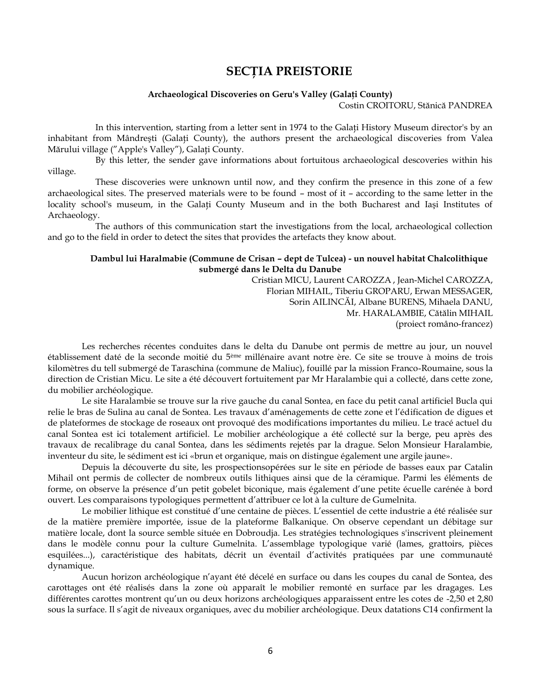# **SECŢIA PREISTORIE**

#### **Archaeological Discoveries on Geru's Valley (Galaţi County)**

Costin CROITORU, Stănică PANDREA

In this intervention, starting from a letter sent in 1974 to the Galaţi History Museum director's by an inhabitant from Mândreşti (Galați County), the authors present the archaeological discoveries from Valea Mărului village ("Apple's Valley"), Galaţi County.

By this letter, the sender gave informations about fortuitous archaeological descoveries within his village.

These discoveries were unknown until now, and they confirm the presence in this zone of a few archaeological sites. The preserved materials were to be found – most of it – according to the same letter in the locality school's museum, in the Galați County Museum and in the both Bucharest and Iași Institutes of Archaeology.

The authors of this communication start the investigations from the local, archaeological collection and go to the field in order to detect the sites that provides the artefacts they know about.

## **Dambul lui Haralmabie (Commune de Crisan – dept de Tulcea) - un nouvel habitat Chalcolithique submergé dans le Delta du Danube**

Cristian MICU, Laurent CAROZZA , Jean-Michel CAROZZA, Florian MIHAIL, Tiberiu GROPARU, Erwan MESSAGER, Sorin AILINCĂI, Albane BURENS, Mihaela DANU, Mr. HARALAMBIE, Cătălin MIHAIL (proiect româno-francez)

Les recherches récentes conduites dans le delta du Danube ont permis de mettre au jour, un nouvel établissement daté de la seconde moitié du 5ème millénaire avant notre ère. Ce site se trouve à moins de trois kilomètres du tell submergé de Taraschina (commune de Maliuc), fouillé par la mission Franco-Roumaine, sous la direction de Cristian Micu. Le site a été découvert fortuitement par Mr Haralambie qui a collecté, dans cette zone, du mobilier archéologique.

Le site Haralambie se trouve sur la rive gauche du canal Sontea, en face du petit canal artificiel Bucla qui relie le bras de Sulina au canal de Sontea. Les travaux d'aménagements de cette zone et l'édification de digues et de plateformes de stockage de roseaux ont provoqué des modifications importantes du milieu. Le tracé actuel du canal Sontea est ici totalement artificiel. Le mobilier archéologique a été collecté sur la berge, peu après des travaux de recalibrage du canal Sontea, dans les sédiments rejetés par la drague. Selon Monsieur Haralambie, inventeur du site, le sédiment est ici «brun et organique, mais on distingue également une argile jaune».

Depuis la découverte du site, les prospectionsopérées sur le site en période de basses eaux par Catalin Mihail ont permis de collecter de nombreux outils lithiques ainsi que de la céramique. Parmi les éléments de forme, on observe la présence d'un petit gobelet biconique, mais également d'une petite écuelle carénée à bord ouvert. Les comparaisons typologiques permettent d'attribuer ce lot à la culture de Gumelnita.

Le mobilier lithique est constitué d'une centaine de pièces. L'essentiel de cette industrie a été réalisée sur de la matière première importée, issue de la plateforme Balkanique. On observe cependant un débitage sur matière locale, dont la source semble située en Dobroudja. Les stratégies technologiques s'inscrivent pleinement dans le modèle connu pour la culture Gumelnita. L'assemblage typologique varié (lames, grattoirs, pièces esquilées...), caractéristique des habitats, décrit un éventail d'activités pratiquées par une communauté dynamique.

Aucun horizon archéologique n'ayant été décelé en surface ou dans les coupes du canal de Sontea, des carottages ont été réalisés dans la zone où apparaît le mobilier remonté en surface par les dragages. Les différentes carottes montrent qu'un ou deux horizons archéologiques apparaissent entre les cotes de -2,50 et 2,80 sous la surface. Il s'agit de niveaux organiques, avec du mobilier archéologique. Deux datations C14 confirment la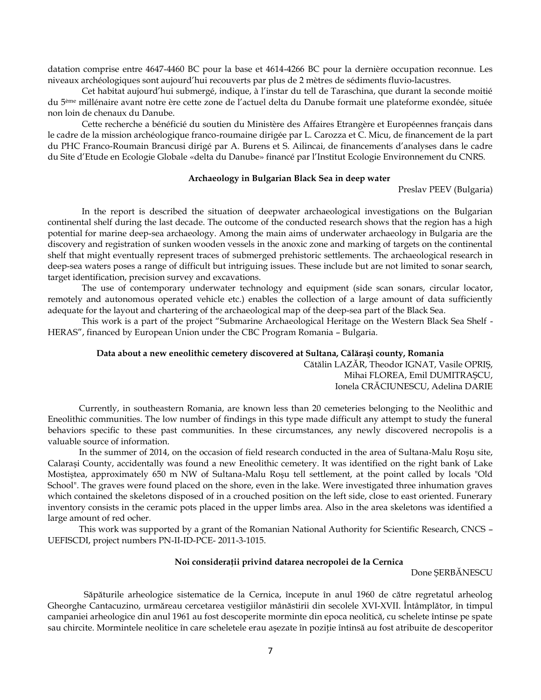datation comprise entre 4647-4460 BC pour la base et 4614-4266 BC pour la dernière occupation reconnue. Les niveaux archéologiques sont aujourd'hui recouverts par plus de 2 mètres de sédiments fluvio-lacustres.

Cet habitat aujourd'hui submergé, indique, à l'instar du tell de Taraschina, que durant la seconde moitié du 5ème millénaire avant notre ère cette zone de l'actuel delta du Danube formait une plateforme exondée, située non loin de chenaux du Danube.

Cette recherche a bénéficié du soutien du Ministère des Affaires Etrangère et Européennes français dans le cadre de la mission archéologique franco-roumaine dirigée par L. Carozza et C. Micu, de financement de la part du PHC Franco-Roumain Brancusi dirigé par A. Burens et S. Ailincai, de financements d'analyses dans le cadre du Site d'Etude en Ecologie Globale «delta du Danube» financé par l'Institut Ecologie Environnement du CNRS.

## **Archaeology in Bulgarian Black Sea in deep water**

Preslav PEEV (Bulgaria)

In the report is described the situation of deepwater archaeological investigations on the Bulgarian continental shelf during the last decade. The outcome of the conducted research shows that the region has a high potential for marine deep-sea archaeology. Among the main aims of underwater archaeology in Bulgaria are the discovery and registration of sunken wooden vessels in the anoxic zone and marking of targets on the continental shelf that might eventually represent traces of submerged prehistoric settlements. The archaeological research in deep-sea waters poses a range of difficult but intriguing issues. These include but are not limited to sonar search, target identification, precision survey and excavations.

The use of contemporary underwater technology and equipment (side scan sonars, circular locator, remotely and autonomous operated vehicle etc.) enables the collection of a large amount of data sufficiently adequate for the layout and chartering of the archaeological map of the deep-sea part of the Black Sea.

This work is a part of the project "Submarine Archaeological Heritage on the Western Black Sea Shelf - HERAS", financed by European Union under the CBC Program Romania – Bulgaria.

#### **Data about a new eneolithic cemetery discovered at Sultana, Călăraşi county, Romania**

Cătălin LAZĂR, Theodor IGNAT, Vasile OPRIŞ, Mihai FLOREA, Emil DUMITRAŞCU, Ionela CRĂCIUNESCU, Adelina DARIE

Currently, in southeastern Romania, are known less than 20 cemeteries belonging to the Neolithic and Eneolithic communities. The low number of findings in this type made difficult any attempt to study the funeral behaviors specific to these past communities. In these circumstances, any newly discovered necropolis is a valuable source of information.

In the summer of 2014, on the occasion of field research conducted in the area of Sultana-Malu Roşu site, Calaraşi County, accidentally was found a new Eneolithic cemetery. It was identified on the right bank of Lake Mostiştea, approximately 650 m NW of Sultana-Malu Roşu tell settlement, at the point called by locals "Old School". The graves were found placed on the shore, even in the lake. Were investigated three inhumation graves which contained the skeletons disposed of in a crouched position on the left side, close to east oriented. Funerary inventory consists in the ceramic pots placed in the upper limbs area. Also in the area skeletons was identified a large amount of red ocher.

This work was supported by a grant of the Romanian National Authority for Scientific Research, CNCS – UEFISCDI, project numbers PN-II-ID-PCE- 2011-3-1015.

#### **Noi consideraţii privind datarea necropolei de la Cernica**

Done ŞERBĂNESCU

Săpăturile arheologice sistematice de la Cernica, începute în anul 1960 de către regretatul arheolog Gheorghe Cantacuzino, urmăreau cercetarea vestigiilor mânăstirii din secolele XVI-XVII. Întâmplător, în timpul campaniei arheologice din anul 1961 au fost descoperite morminte din epoca neolitică, cu schelete întinse pe spate sau chircite. Mormintele neolitice în care scheletele erau aşezate în poziţie întinsă au fost atribuite de descoperitor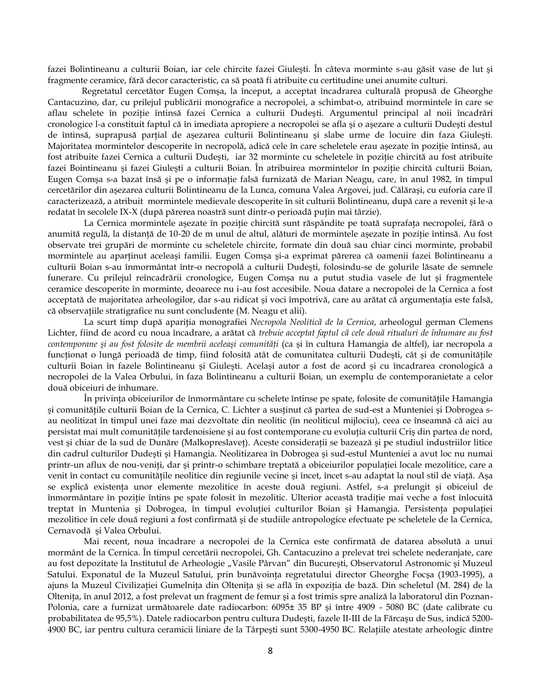fazei Bolintineanu a culturii Boian, iar cele chircite fazei Giuleşti. În câteva morminte s-au găsit vase de lut şi fragmente ceramice, fără decor caracteristic, ca să poată fi atribuite cu certitudine unei anumite culturi.

Regretatul cercetător Eugen Comşa, la început, a acceptat încadrarea culturală propusă de Gheorghe Cantacuzino, dar, cu prilejul publicării monografice a necropolei, a schimbat-o, atribuind mormintele în care se aflau schelete în poziţie întinsă fazei Cernica a culturii Dudeşti. Argumentul principal al noii încadrări cronologice l-a constituit faptul că în imediata apropiere a necropolei se afla şi o aşezare a culturii Dudeşti destul de întinsă, suprapusă parțial de așezarea culturii Bolintineanu și slabe urme de locuire din faza Giulești. Majoritatea mormintelor descoperite în necropolă, adică cele în care scheletele erau aşezate în poziţie întinsă, au fost atribuite fazei Cernica a culturii Dudești, iar 32 morminte cu scheletele în poziție chircită au fost atribuite fazei Bointineanu şi fazei Giuleşti a culturii Boian. În atribuirea mormintelor în poziţie chircită culturii Boian, Eugen Comşa s-a bazat însă şi pe o informaţie falsă furnizată de Marian Neagu, care, în anul 1982, în timpul cercetărilor din aşezarea culturii Bolintineanu de la Lunca, comuna Valea Argovei, jud. Călăraşi, cu euforia care îl caracterizează, a atribuit mormintele medievale descoperite în sit culturii Bolintineanu, după care a revenit şi le-a redatat în secolele IX-X (după părerea noastră sunt dintr-o perioadă puţin mai târzie).

La Cernica mormintele așezate în poziție chircită sunt răspândite pe toată suprafața necropolei, fără o anumită regulă, la distanţă de 10-20 de m unul de altul, alături de mormintele aşezate în poziţie întinsă. Au fost observate trei grupări de morminte cu scheletele chircite, formate din două sau chiar cinci morminte, probabil mormintele au aparţinut aceleaşi familii. Eugen Comşa şi-a exprimat părerea că oamenii fazei Bolintineanu a culturii Boian s-au înmormântat într-o necropolă a culturii Dudeşti, folosindu-se de golurile lăsate de semnele funerare. Cu prilejul reîncadrării cronologice, Eugen Comşa nu a putut studia vasele de lut şi fragmentele ceramice descoperite în morminte, deoarece nu i-au fost accesibile. Noua datare a necropolei de la Cernica a fost acceptată de majoritatea arheologilor, dar s-au ridicat şi voci împotrivă, care au arătat că argumentaţia este falsă, că observaţiile stratigrafice nu sunt concludente (M. Neagu et alii).

La scurt timp după apariția monografiei *Necropola Neolitică de la Cernica*, arheologul german Clemens Lichter, fiind de acord cu noua încadrare, a arătat că *trebuie acceptat faptul că cele două ritualuri de înhumare au fost contemporane şi au fost folosite de membrii aceleaşi comunităţi* (ca şi în cultura Hamangia de altfel), iar necropola a funcţionat o lungă perioadă de timp, fiind folosită atât de comunitatea culturii Dudeşti, cât şi de comunităţile culturii Boian în fazele Bolintineanu şi Giuleşti. Acelaşi autor a fost de acord şi cu încadrarea cronologică a necropolei de la Valea Orbului, în faza Bolintineanu a culturii Boian, un exemplu de contemporanietate a celor două obiceiuri de înhumare.

În privinţa obiceiurilor de înmormântare cu schelete întinse pe spate, folosite de comunităţile Hamangia şi comunităţile culturii Boian de la Cernica, C. Lichter a susţinut că partea de sud-est a Munteniei şi Dobrogea sau neolitizat în timpul unei faze mai dezvoltate din neolitic (în neoliticul mijlociu), ceea ce înseamnă că aici au persistat mai mult comunităţile tardenoisiene şi au fost contemporane cu evoluţia culturii Criş din partea de nord, vest şi chiar de la sud de Dunăre (Malkopreslaveţ). Aceste consideraţii se bazează şi pe studiul industriilor litice din cadrul culturilor Dudeşti şi Hamangia. Neolitizarea în Dobrogea şi sud-estul Munteniei a avut loc nu numai printr-un aflux de nou-veniţi, dar şi printr-o schimbare treptată a obiceiurilor populaţiei locale mezolitice, care a venit în contact cu comunităţile neolitice din regiunile vecine şi încet, încet s-au adaptat la noul stil de viaţă. Aşa se explică existenţa unor elemente mezolitice în aceste două regiuni. Astfel, s-a prelungit şi obiceiul de înmormântare în poziţie întins pe spate folosit în mezolitic. Ulterior această tradiţie mai veche a fost înlocuită treptat în Muntenia şi Dobrogea, în timpul evoluţiei culturilor Boian şi Hamangia. Persistenţa populaţiei mezolitice în cele două regiuni a fost confirmată şi de studiile antropologice efectuate pe scheletele de la Cernica, Cernavodă şi Valea Orbului.

Mai recent, noua încadrare a necropolei de la Cernica este confirmată de datarea absolută a unui mormânt de la Cernica. În timpul cercetării necropolei, Gh. Cantacuzino a prelevat trei schelete nederanjate, care au fost depozitate la Institutul de Arheologie "Vasile Pârvan" din București, Observatorul Astronomic și Muzeul Satului. Exponatul de la Muzeul Satului, prin bunăvoința regretatului director Gheorghe Focșa (1903-1995), a ajuns la Muzeul Civilizaţiei Gumelniţa din Olteniţa şi se află în expoziţia de bază. Din scheletul (M. 284) de la Olteniţa, în anul 2012, a fost prelevat un fragment de femur şi a fost trimis spre analiză la laboratorul din Poznan-Polonia, care a furnizat următoarele date radiocarbon: 6095± 35 BP şi între 4909 - 5080 BC (date calibrate cu probabilitatea de 95,5%). Datele radiocarbon pentru cultura Dudeşti, fazele II-III de la Fărcaşu de Sus, indică 5200- 4900 BC, iar pentru cultura ceramicii liniare de la Târpești sunt 5300-4950 BC. Relațiile atestate arheologic dintre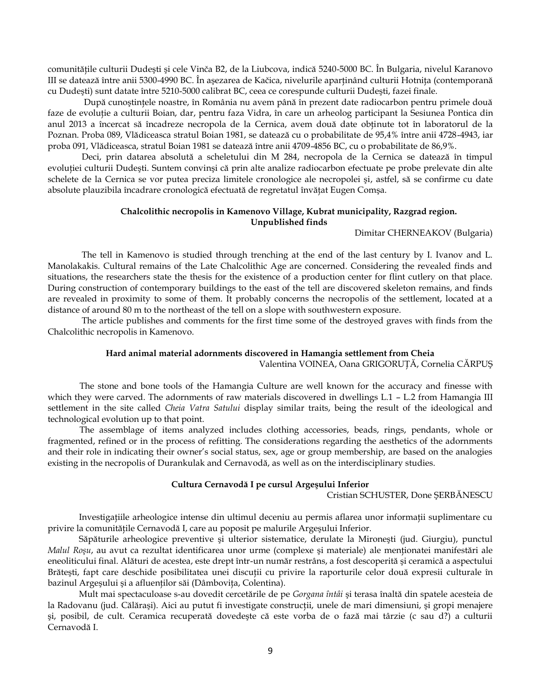comunitățile culturii Dudești și cele Vinča B2, de la Liubcova, indică 5240-5000 BC. În Bulgaria, nivelul Karanovo III se datează între anii 5300-4990 BC. În aşezarea de Kačica, nivelurile aparţinând culturii Hotniţa (contemporană cu Dudeşti) sunt datate între 5210-5000 calibrat BC, ceea ce corespunde culturii Dudeşti, fazei finale.

După cunoştinţele noastre, în România nu avem până în prezent date radiocarbon pentru primele două faze de evoluție a culturii Boian, dar, pentru faza Vidra, în care un arheolog participant la Sesiunea Pontica din anul 2013 a încercat să încadreze necropola de la Cernica, avem două date obţinute tot în laboratorul de la Poznan. Proba 089, Vlădiceasca stratul Boian 1981, se datează cu o probabilitate de 95,4% între anii 4728-4943, iar proba 091, Vlădiceasca, stratul Boian 1981 se datează între anii 4709-4856 BC, cu o probabilitate de 86,9%.

Deci, prin datarea absolută a scheletului din M 284, necropola de la Cernica se datează în timpul evoluției culturii Dudești. Suntem convinși că prin alte analize radiocarbon efectuate pe probe prelevate din alte schelete de la Cernica se vor putea preciza limitele cronologice ale necropolei şi, astfel, să se confirme cu date absolute plauzibila încadrare cronologică efectuată de regretatul învăţat Eugen Comşa.

## **Chalcolithic necropolis in Kamenovo Village, Kubrat municipality, Razgrad region. Unpublished finds**

## Dimitar CHERNEAKOV (Bulgaria)

The tell in Kamenovo is studied through trenching at the end of the last century by I. Ivanov and L. Manolakakis. Cultural remains of the Late Chalcolithic Age are concerned. Considering the revealed finds and situations, the researchers state the thesis for the existence of a production center for flint cutlery on that place. During construction of contemporary buildings to the east of the tell are discovered skeleton remains, and finds are revealed in proximity to some of them. It probably concerns the necropolis of the settlement, located at a distance of around 80 m to the northeast of the tell on a slope with southwestern exposure.

The article publishes and comments for the first time some of the destroyed graves with finds from the Chalcolithic necropolis in Kamenovo.

#### **Hard animal material adornments discovered in Hamangia settlement from Cheia**

Valentina VOINEA, Oana GRIGORUŢĂ, Cornelia CĂRPUŞ

The stone and bone tools of the Hamangia Culture are well known for the accuracy and finesse with which they were carved. The adornments of raw materials discovered in dwellings L.1 – L.2 from Hamangia III settlement in the site called *Cheia Vatra Satului* display similar traits, being the result of the ideological and technological evolution up to that point.

The assemblage of items analyzed includes clothing accessories, beads, rings, pendants, whole or fragmented, refined or in the process of refitting. The considerations regarding the aesthetics of the adornments and their role in indicating their owner's social status, sex, age or group membership, are based on the analogies existing in the necropolis of Durankulak and Cernavodă, as well as on the interdisciplinary studies.

#### **Cultura Cernavodă I pe cursul Argeşului Inferior**

## Cristian SCHUSTER, Done ŞERBĂNESCU

Investigaţiile arheologice intense din ultimul deceniu au permis aflarea unor informaţii suplimentare cu privire la comunităţile Cernavodă I, care au poposit pe malurile Argeşului Inferior.

Săpăturile arheologice preventive şi ulterior sistematice, derulate la Mironeşti (jud. Giurgiu), punctul *Malul Roșu*, au avut ca rezultat identificarea unor urme (complexe și materiale) ale menționatei manifestări ale eneoliticului final. Alături de acestea, este drept într-un număr restrâns, a fost descoperită şi ceramică a aspectului Brăteşti, fapt care deschide posibilitatea unei discuţii cu privire la raporturile celor două expresii culturale în bazinul Argeşului şi a afluenţilor săi (Dâmboviţa, Colentina).

Mult mai spectaculoase s-au dovedit cercetările de pe *Gorgana întâi* şi terasa înaltă din spatele acesteia de la Radovanu (jud. Călărași). Aici au putut fi investigate construcții, unele de mari dimensiuni, și gropi menajere şi, posibil, de cult. Ceramica recuperată dovedeşte că este vorba de o fază mai târzie (c sau d?) a culturii Cernavodă I.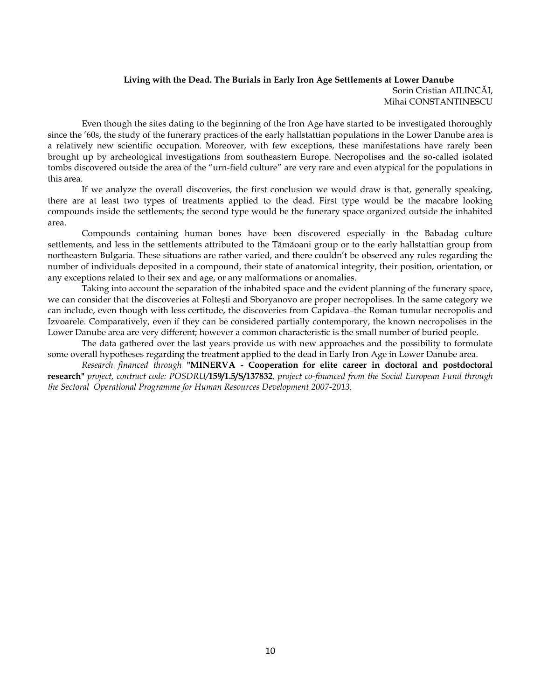## **Living with the Dead. The Burials in Early Iron Age Settlements at Lower Danube** Sorin Cristian AILINCĂI, Mihai CONSTANTINESCU

Even though the sites dating to the beginning of the Iron Age have started to be investigated thoroughly since the '60s, the study of the funerary practices of the early hallstattian populations in the Lower Danube area is a relatively new scientific occupation. Moreover, with few exceptions, these manifestations have rarely been brought up by archeological investigations from southeastern Europe. Necropolises and the so-called isolated tombs discovered outside the area of the "urn-field culture" are very rare and even atypical for the populations in this area.

If we analyze the overall discoveries, the first conclusion we would draw is that, generally speaking, there are at least two types of treatments applied to the dead. First type would be the macabre looking compounds inside the settlements; the second type would be the funerary space organized outside the inhabited area.

Compounds containing human bones have been discovered especially in the Babadag culture settlements, and less in the settlements attributed to the Tãmãoani group or to the early hallstattian group from northeastern Bulgaria. These situations are rather varied, and there couldn't be observed any rules regarding the number of individuals deposited in a compound, their state of anatomical integrity, their position, orientation, or any exceptions related to their sex and age, or any malformations or anomalies.

Taking into account the separation of the inhabited space and the evident planning of the funerary space, we can consider that the discoveries at Folteşti and Sboryanovo are proper necropolises. In the same category we can include, even though with less certitude, the discoveries from Capidava–the Roman tumular necropolis and Izvoarele. Comparatively, even if they can be considered partially contemporary, the known necropolises in the Lower Danube area are very different; however a common characteristic is the small number of buried people.

The data gathered over the last years provide us with new approaches and the possibility to formulate some overall hypotheses regarding the treatment applied to the dead in Early Iron Age in Lower Danube area.

*Research financed through* **"MINERVA - Cooperation for elite career in doctoral and postdoctoral research"** *project, contract code: POSDRU/***159/1.5/S/137832***, project co-financed from the Social European Fund through the Sectoral Operational Programme for Human Resources Development 2007-2013*.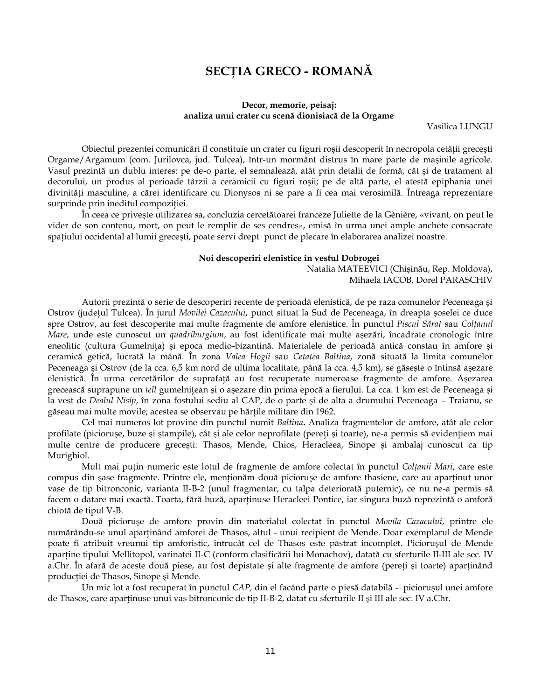# **SECŢIA GRECO - ROMANĂ**

### **Decor, memorie, peisaj: analiza unui crater cu scenă dionisiacă de la Orgame**

Vasilica LUNGU

Obiectul prezentei comunicări îl constituie un crater cu figuri roşii descoperit în necropola cetăţii greceşti Orgame/Argamum (com. Jurilovca, jud. Tulcea), într-un mormânt distrus în mare parte de maşinile agricole. Vasul prezintă un dublu interes: pe de-o parte, el semnalează, atât prin detalii de formă, cât şi de tratament al decorului, un produs al perioade târzii a ceramicii cu figuri roşii; pe de altă parte, el atestă epiphania unei divinităţi masculine, a cărei identificare cu Dionysos ni se pare a fi cea mai verosimilă. Întreaga reprezentare surprinde prin ineditul compoziţiei.

În ceea ce priveşte utilizarea sa, concluzia cercetătoarei franceze Juliette de la Gènière, «vivant, on peut le vider de son contenu, mort, on peut le remplir de ses cendres», emisă în urma unei ample anchete consacrate spaţiului occidental al lumii greceşti, poate servi drept punct de plecare în elaborarea analizei noastre.

#### **Noi descoperiri elenistice în vestul Dobrogei**

Natalia MATEEVICI (Chişinău, Rep. Moldova), Mihaela IACOB, Dorel PARASCHIV

Autorii prezintă o serie de descoperiri recente de perioadă elenistică, de pe raza comunelor Peceneaga şi Ostrov (judeţul Tulcea). În jurul *Movilei Cazacului*, punct situat la Sud de Peceneaga, în dreapta şoselei ce duce spre Ostrov, au fost descoperite mai multe fragmente de amfore elenistice. În punctul *Piscul Sărat* sau *Colţanul Mare*, unde este cunoscut un *quadriburgium*, au fost identificate mai multe aşezări, încadrate cronologic între eneolitic (cultura Gumelniţa) şi epoca medio-bizantină. Materialele de perioadă antică constau în amfore şi ceramică getică, lucrată la mână. În zona *Valea Hogii* sau *Cetatea Baltina*, zonă situată la limita comunelor Peceneaga şi Ostrov (de la cca. 6,5 km nord de ultima localitate, până la cca. 4,5 km), se găseşte o întinsă aşezare elenistică. În urma cercetărilor de suprafaţă au fost recuperate numeroase fragmente de amfore. Aşezarea grecească suprapune un *tell* gumelniţean şi o aşezare din prima epocă a fierului. La cca. 1 km est de Peceneaga şi la vest de *Dealul Nisip*, în zona fostului sediu al CAP, de o parte şi de alta a drumului Peceneaga – Traianu, se găseau mai multe movile; acestea se observau pe hărţile militare din 1962.

Cel mai numeros lot provine din punctul numit *Baltina***.** Analiza fragmentelor de amfore, atât ale celor profilate (piciorușe, buze și ștampile), cât și ale celor neprofilate (pereți și toarte), ne-a permis să evidențiem mai multe centre de producere greceşti: Thasos, Mende, Chios, Heracleea, Sinope şi ambalaj cunoscut ca tip Murighiol.

Mult mai puţin numeric este lotul de fragmente de amfore colectat în punctul *Colţanii Mari*, care este compus din sase fragmente. Printre ele, mentionăm două picioruse de amfore thasiene, care au apartinut unor vase de tip bitronconic, varianta II-B-2 (unul fragmentar, cu talpa deteriorată puternic), ce nu ne-a permis să facem o datare mai exactă. Toarta, fără buză, aparţinuse Heracleei Pontice, iar singura buză reprezintă o amforă chiotă de tipul V-B.

Două picioruşe de amfore provin din materialul colectat în punctul *Movila Cazacului*, printre ele numărându-se unul aparţinând amforei de Thasos, altul - unui recipient de Mende. Doar exemplarul de Mende poate fi atribuit vreunui tip amforistic, întrucât cel de Thasos este păstrat incomplet. Picioruşul de Mende aparține tipului Mellitopol, varinatei II-C (conform clasificării lui Monachov), datată cu sferturile II-III ale sec. IV a.Chr. În afară de aceste două piese, au fost depistate şi alte fragmente de amfore (pereţi şi toarte) aparţinând producţiei de Thasos, Sinope şi Mende.

Un mic lot a fost recuperat în punctul *CAP,* din el facând parte o piesă databilă - picioruşul unei amfore de Thasos, care aparţinuse unui vas bitronconic de tip II-B-2, datat cu sferturile II şi III ale sec. IV a.Chr.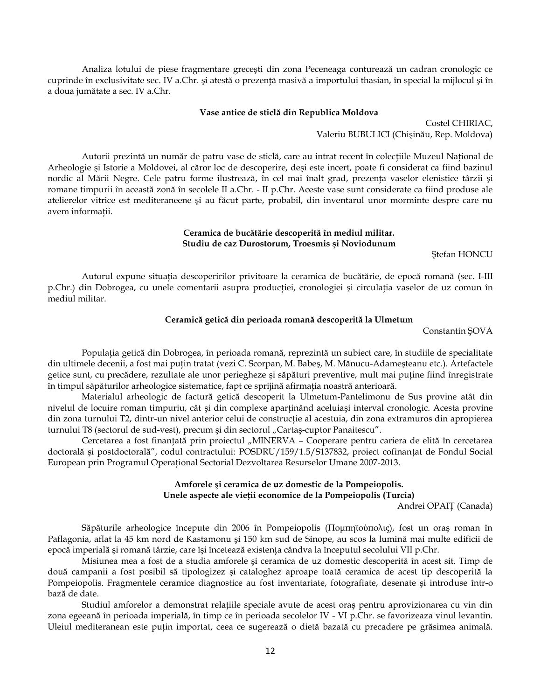Analiza lotului de piese fragmentare greceşti din zona Peceneaga conturează un cadran cronologic ce cuprinde în exclusivitate sec. IV a.Chr. şi atestă o prezenţă masivă a importului thasian, în special la mijlocul şi în a doua jumătate a sec. IV a.Chr.

#### **Vase antice de sticlă din Republica Moldova**

Costel CHIRIAC, Valeriu BUBULICI (Chişinău, Rep. Moldova)

Autorii prezintă un număr de patru vase de sticlă, care au intrat recent în colecţiile Muzeul Naţional de Arheologie şi Istorie a Moldovei, al căror loc de descoperire, deşi este incert, poate fi considerat ca fiind bazinul nordic al Mării Negre. Cele patru forme ilustrează, în cel mai înalt grad, prezenţa vaselor elenistice târzii şi romane timpurii în această zonă în secolele II a.Chr. - II p.Chr. Aceste vase sunt considerate ca fiind produse ale atelierelor vitrice est mediteraneene şi au făcut parte, probabil, din inventarul unor morminte despre care nu avem informaţii.

## **Ceramica de bucătărie descoperită în mediul militar. Studiu de caz Durostorum, Troesmis şi Noviodunum**

Ştefan HONCU

Autorul expune situaţia descoperirilor privitoare la ceramica de bucătărie, de epocă romană (sec. I-III p.Chr.) din Dobrogea, cu unele comentarii asupra producţiei, cronologiei şi circulaţia vaselor de uz comun în mediul militar.

## **Ceramică getică din perioada romană descoperită la Ulmetum**

Constantin ŞOVA

Populaţia getică din Dobrogea, în perioada romană, reprezintă un subiect care, în studiile de specialitate din ultimele decenii, a fost mai puţin tratat (vezi C. Scorpan, M. Babeş, M. Mănucu-Adameşteanu etc.). Artefactele getice sunt, cu precădere, rezultate ale unor periegheze şi săpături preventive, mult mai puţine fiind înregistrate în timpul săpăturilor arheologice sistematice, fapt ce sprijină afirmaţia noastră anterioară.

Materialul arheologic de factură getică descoperit la Ulmetum-Pantelimonu de Sus provine atât din nivelul de locuire roman timpuriu, cât şi din complexe aparţinând aceluiaşi interval cronologic. Acesta provine din zona turnului T2, dintr-un nivel anterior celui de construcție al acestuia, din zona extramuros din apropierea turnului T8 (sectorul de sud-vest), precum și din sectorul "Cartaș-cuptor Panaitescu".

Cercetarea a fost finanțată prin proiectul "MINERVA - Cooperare pentru cariera de elită în cercetarea doctorală şi postdoctorală", codul contractului: POSDRU/159/1.5/S137832, proiect cofinanţat de Fondul Social European prin Programul Operaţional Sectorial Dezvoltarea Resurselor Umane 2007-2013.

# **Amforele şi ceramica de uz domestic de la Pompeiopolis. Unele aspecte ale vieţii economice de la Pompeiopolis (Turcia)**

Andrei OPAIŢ (Canada)

Săpăturile arheologice începute din 2006 în Pompeiopolis (Πομπηϊούπολις), fost un oraş roman în Paflagonia, aflat la 45 km nord de Kastamonu şi 150 km sud de Sinope, au scos la lumină mai multe edificii de epocă imperială şi romană târzie, care îşi încetează existenţa cândva la începutul secolului VII p.Chr.

Misiunea mea a fost de a studia amforele şi ceramica de uz domestic descoperită în acest sit. Timp de două campanii a fost posibil să tipologizez şi cataloghez aproape toată ceramica de acest tip descoperită la Pompeiopolis. Fragmentele ceramice diagnostice au fost inventariate, fotografiate, desenate şi introduse într-o bază de date.

Studiul amforelor a demonstrat relaţiile speciale avute de acest oraş pentru aprovizionarea cu vin din zona egeeană în perioada imperială, în timp ce în perioada secolelor IV - VI p.Chr. se favorizeaza vinul levantin. Uleiul mediteranean este puţin importat, ceea ce sugerează o dietă bazată cu precadere pe grăsimea animală.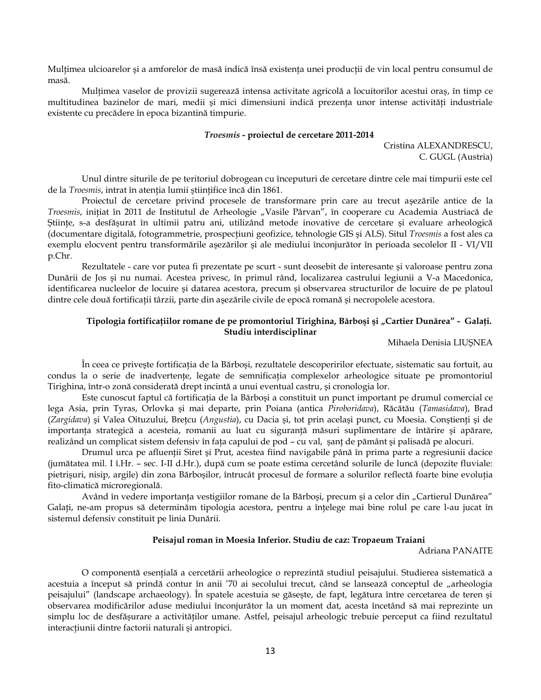Multimea ulcioarelor și a amforelor de masă indică însă existența unei producții de vin local pentru consumul de masă.

Mulțimea vaselor de provizii sugerează intensa activitate agricolă a locuitorilor acestui oraș, în timp ce multitudinea bazinelor de mari, medii şi mici dimensiuni indică prezenţa unor intense activităţi industriale existente cu precădere în epoca bizantină timpurie.

#### *Troesmis* **- proiectul de cercetare 2011-2014**

Cristina ALEXANDRESCU, C. GUGL (Austria)

Unul dintre siturile de pe teritoriul dobrogean cu începuturi de cercetare dintre cele mai timpurii este cel de la *Troesmis*, intrat în atenţia lumii ştiinţifice încă din 1861.

Proiectul de cercetare privind procesele de transformare prin care au trecut aşezările antice de la *Troesmis*, inițiat în 2011 de Institutul de Arheologie "Vasile Pârvan", în cooperare cu Academia Austriacă de Ştiinţe, s-a desfăşurat în ultimii patru ani, utilizând metode inovative de cercetare şi evaluare arheologică (documentare digitală, fotogrammetrie, prospecţiuni geofizice, tehnologie GIS şi ALS). Situl *Troesmis* a fost ales ca exemplu elocvent pentru transformările aşezărilor şi ale mediului înconjurător în perioada secolelor II - VI/VII p.Chr.

Rezultatele - care vor putea fi prezentate pe scurt - sunt deosebit de interesante şi valoroase pentru zona Dunării de Jos şi nu numai. Acestea privesc, în primul rând, localizarea castrului legiunii a V-a Macedonica, identificarea nucleelor de locuire şi datarea acestora, precum şi observarea structurilor de locuire de pe platoul dintre cele două fortificaţii târzii, parte din aşezările civile de epocă romană şi necropolele acestora.

## **Tipologia fortificaţiilor romane de pe promontoriul Tirighina, Bărboşi şi "Cartier Dunărea" - Galaţi. Studiu interdisciplinar**

Mihaela Denisia LIUŞNEA

În ceea ce priveşte fortificaţia de la Bărboşi, rezultatele descoperirilor efectuate, sistematic sau fortuit, au condus la o serie de inadvertente, legate de semnificatia complexelor arheologice situate pe promontoriul Tirighina, într-o zonă considerată drept incintă a unui eventual castru, şi cronologia lor.

Este cunoscut faptul că fortificaţia de la Bărboşi a constituit un punct important pe drumul comercial ce lega Asia, prin Tyras, Orlovka şi mai departe, prin Poiana (antica *Piroboridava*), Răcătău (*Tamasidava*), Brad (*Zargidava*) şi Valea Oituzului, Breţcu (*Angustia*), cu Dacia şi, tot prin acelaşi punct, cu Moesia. Conştienţi şi de importanţa strategică a acesteia, romanii au luat cu siguranţă măsuri suplimentare de întărire şi apărare, realizând un complicat sistem defensiv în faţa capului de pod – cu val, şanţ de pământ şi palisadă pe alocuri.

Drumul urca pe afluenții Siret și Prut, acestea fiind navigabile până în prima parte a regresiunii dacice (jumătatea mil. I î.Hr. – sec. I-II d.Hr.), după cum se poate estima cercetând solurile de luncă (depozite fluviale: pietrişuri, nisip, argile) din zona Bărboşilor, întrucât procesul de formare a solurilor reflectă foarte bine evoluţia fito-climatică microregională.

Având în vedere importanța vestigiilor romane de la Bărboși, precum și a celor din "Cartierul Dunărea" Galați, ne-am propus să determinăm tipologia acestora, pentru a înțelege mai bine rolul pe care l-au jucat în sistemul defensiv constituit pe linia Dunării.

### **Peisajul roman în Moesia Inferior. Studiu de caz: Tropaeum Traiani**

Adriana PANAITE

O componentă esenţială a cercetării arheologice o reprezintă studiul peisajului. Studierea sistematică a acestuia a început să prindă contur în anii '70 ai secolului trecut, când se lansează conceptul de "arheologia peisajului" (landscape archaeology). În spatele acestuia se găseşte, de fapt, legătura între cercetarea de teren şi observarea modificărilor aduse mediului înconjurător la un moment dat, acesta încetând să mai reprezinte un simplu loc de desfăşurare a activităţilor umane. Astfel, peisajul arheologic trebuie perceput ca fiind rezultatul interacţiunii dintre factorii naturali şi antropici.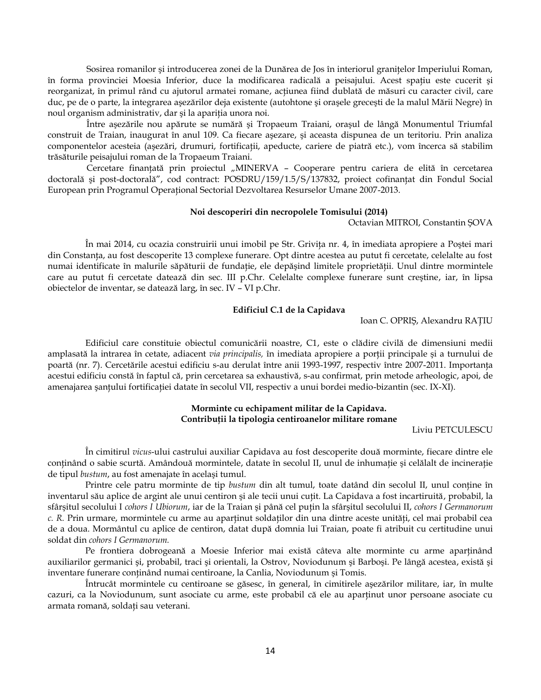Sosirea romanilor şi introducerea zonei de la Dunărea de Jos în interiorul graniţelor Imperiului Roman, în forma provinciei Moesia Inferior, duce la modificarea radicală a peisajului. Acest spaţiu este cucerit şi reorganizat, în primul rând cu ajutorul armatei romane, acţiunea fiind dublată de măsuri cu caracter civil, care duc, pe de o parte, la integrarea aşezărilor deja existente (autohtone şi oraşele greceşti de la malul Mării Negre) în noul organism administrativ, dar şi la apariţia unora noi.

Între aşezările nou apărute se numără şi Tropaeum Traiani, oraşul de lângă Monumentul Triumfal construit de Traian, inaugurat în anul 109. Ca fiecare aşezare, şi aceasta dispunea de un teritoriu. Prin analiza componentelor acesteia (aşezări, drumuri, fortificaţii, apeducte, cariere de piatră etc.), vom încerca să stabilim trăsăturile peisajului roman de la Tropaeum Traiani.

Cercetare finanţată prin proiectul "MINERVA – Cooperare pentru cariera de elită în cercetarea doctorală şi post-doctorală", cod contract: POSDRU/159/1.5/S/137832, proiect cofinanţat din Fondul Social European prin Programul Operaţional Sectorial Dezvoltarea Resurselor Umane 2007-2013.

#### **Noi descoperiri din necropolele Tomisului (2014)**

Octavian MITROI, Constantin ŞOVA

În mai 2014, cu ocazia construirii unui imobil pe Str. Griviţa nr. 4, în imediata apropiere a Poştei mari din Constanţa, au fost descoperite 13 complexe funerare. Opt dintre acestea au putut fi cercetate, celelalte au fost numai identificate în malurile săpăturii de fundaţie, ele depăşind limitele proprietăţii. Unul dintre mormintele care au putut fi cercetate datează din sec. III p.Chr. Celelalte complexe funerare sunt creştine, iar, în lipsa obiectelor de inventar, se datează larg, în sec. IV – VI p.Chr.

#### **Edificiul C.1 de la Capidava**

Ioan C. OPRIŞ, Alexandru RAŢIU

Edificiul care constituie obiectul comunicării noastre, C1, este o clădire civilă de dimensiuni medii amplasată la intrarea în cetate, adiacent *via principalis,* în imediata apropiere a porţii principale şi a turnului de poartă (nr. 7). Cercetările acestui edificiu s-au derulat între anii 1993-1997, respectiv între 2007-2011. Importanţa acestui edificiu constă în faptul că, prin cercetarea sa exhaustivă, s-au confirmat, prin metode arheologic, apoi, de amenajarea şantului fortificației datate în secolul VII, respectiv a unui bordei medio-bizantin (sec. IX-XI).

## **Morminte cu echipament militar de la Capidava. Contribuţii la tipologia centiroanelor militare romane**

Liviu PETCULESCU

În cimitirul *vicus*-ului castrului auxiliar Capidava au fost descoperite două morminte, fiecare dintre ele continând o sabie scurtă. Amândouă mormintele, datate în secolul II, unul de inhumație și celălalt de incinerație de tipul *bustum*, au fost amenajate în acelaşi tumul.

Printre cele patru morminte de tip *bustum* din alt tumul, toate datând din secolul II, unul conține în inventarul său aplice de argint ale unui centiron şi ale tecii unui cuţit. La Capidava a fost incartiruită, probabil, la sfârşitul secolului I *cohors I Ubiorum*, iar de la Traian şi până cel puţin la sfârşitul secolului II, *cohors I Germanorum c. R.* Prin urmare, mormintele cu arme au aparţinut soldaţilor din una dintre aceste unităţi, cel mai probabil cea de a doua. Mormântul cu aplice de centiron, datat după domnia lui Traian, poate fi atribuit cu certitudine unui soldat din *cohors I Germanorum.*

Pe frontiera dobrogeană a Moesie Inferior mai există câteva alte morminte cu arme aparținând auxiliarilor germanici şi, probabil, traci şi orientali, la Ostrov, Noviodunum şi Barboşi. Pe lângă acestea, există şi inventare funerare conţinând numai centiroane, la Canlia, Noviodunum şi Tomis.

Întrucât mormintele cu centiroane se găsesc, în general, în cimitirele aşezărilor militare, iar, în multe cazuri, ca la Noviodunum, sunt asociate cu arme, este probabil că ele au aparținut unor persoane asociate cu armata romană, soldaţi sau veterani.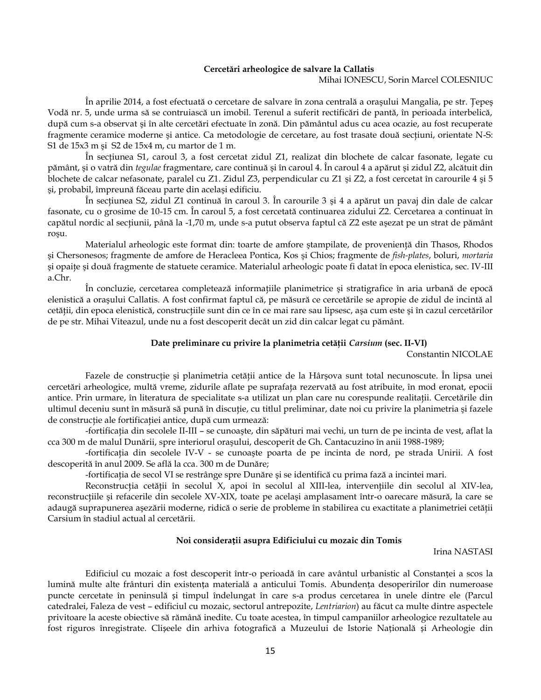#### **Cercetări arheologice de salvare la Callatis**

### Mihai IONESCU, Sorin Marcel COLESNIUC

În aprilie 2014, a fost efectuată o cercetare de salvare în zona centrală a oraşului Mangalia, pe str. Ţepeş Vodă nr. 5, unde urma să se contruiască un imobil. Terenul a suferit rectificări de pantă, în perioada interbelică, după cum s-a observat şi în alte cercetări efectuate în zonă. Din pământul adus cu acea ocazie, au fost recuperate fragmente ceramice moderne şi antice. Ca metodologie de cercetare, au fost trasate două secţiuni, orientate N-S: S1 de 15x3 m şi S2 de 15x4 m, cu martor de 1 m.

În sectiunea S1, caroul 3, a fost cercetat zidul Z1, realizat din blochete de calcar fasonate, legate cu pământ, şi o vatră din *tegulae* fragmentare, care continuă şi în caroul 4. În caroul 4 a apărut şi zidul Z2, alcătuit din blochete de calcar nefasonate, paralel cu Z1. Zidul Z3, perpendicular cu Z1 şi Z2, a fost cercetat în carourile 4 şi 5 şi, probabil, împreună făceau parte din acelaşi edificiu.

În sectiunea S2, zidul Z1 continuă în caroul 3. În carourile 3 și 4 a apărut un pavaj din dale de calcar fasonate, cu o grosime de 10-15 cm. În caroul 5, a fost cercetată continuarea zidului Z2. Cercetarea a continuat în capătul nordic al secţiunii, până la -1,70 m, unde s-a putut observa faptul că Z2 este aşezat pe un strat de pământ roşu.

Materialul arheologic este format din: toarte de amfore ştampilate, de provenienţă din Thasos, Rhodos şi Chersonesos; fragmente de amfore de Heracleea Pontica, Kos şi Chios; fragmente de *fish-plates*, boluri, *mortaria* şi opaiţe şi două fragmente de statuete ceramice. Materialul arheologic poate fi datat în epoca elenistica, sec. IV-III a.Chr.

În concluzie, cercetarea completează informaţiile planimetrice şi stratigrafice în aria urbană de epocă elenistică a oraşului Callatis. A fost confirmat faptul că, pe măsură ce cercetările se apropie de zidul de incintă al cetăţii, din epoca elenistică, construcţiile sunt din ce în ce mai rare sau lipsesc, aşa cum este şi în cazul cercetărilor de pe str. Mihai Viteazul, unde nu a fost descoperit decât un zid din calcar legat cu pământ.

#### **Date preliminare cu privire la planimetria cetăţii** *Carsium* **(sec. II-VI)**

Constantin NICOLAE

Fazele de construcție și planimetria cetății antice de la Hârșova sunt total necunoscute. În lipsa unei cercetări arheologice, multă vreme, zidurile aflate pe suprafaţa rezervată au fost atribuite, în mod eronat, epocii antice. Prin urmare, în literatura de specialitate s-a utilizat un plan care nu corespunde realitaţii. Cercetările din ultimul deceniu sunt în măsură să pună în discuţie, cu titlul preliminar, date noi cu privire la planimetria şi fazele de construcție ale fortificației antice, după cum urmează:

-fortificaţia din secolele II-III – se cunoaşte, din săpături mai vechi, un turn de pe incinta de vest, aflat la cca 300 m de malul Dunării, spre interiorul oraşului, descoperit de Gh. Cantacuzino în anii 1988-1989;

-fortificaţia din secolele IV-V - se cunoaşte poarta de pe incinta de nord, pe strada Unirii. A fost descoperită în anul 2009. Se află la cca. 300 m de Dunăre;

-fortificaţia de secol VI se restrânge spre Dunăre şi se identifică cu prima fază a incintei mari.

Reconstrucția cetății în secolul X, apoi în secolul al XIII-lea, intervențiile din secolul al XIV-lea, reconstrucțiile și refacerile din secolele XV-XIX, toate pe același amplasament într-o oarecare măsură, la care se adaugă suprapunerea aşezării moderne, ridică o serie de probleme în stabilirea cu exactitate a planimetriei cetăţii Carsium în stadiul actual al cercetării.

### **Noi considerații asupra Edificiului cu mozaic din Tomis**

Irina NASTASI

Edificiul cu mozaic a fost descoperit într-o perioadă în care avântul urbanistic al Constanței a scos la lumină multe alte frânturi din existența materială a anticului Tomis. Abundența desoperirilor din numeroase puncte cercetate în peninsulă și timpul îndelungat în care s-a produs cercetarea în unele dintre ele (Parcul catedralei, Faleza de vest – edificiul cu mozaic, sectorul antrepozite, *Lentriarion*) au făcut ca multe dintre aspectele privitoare la aceste obiective să rămână inedite. Cu toate acestea, în timpul campaniilor arheologice rezultatele au fost riguros înregistrate. Clișeele din arhiva fotografică a Muzeului de Istorie Națională și Arheologie din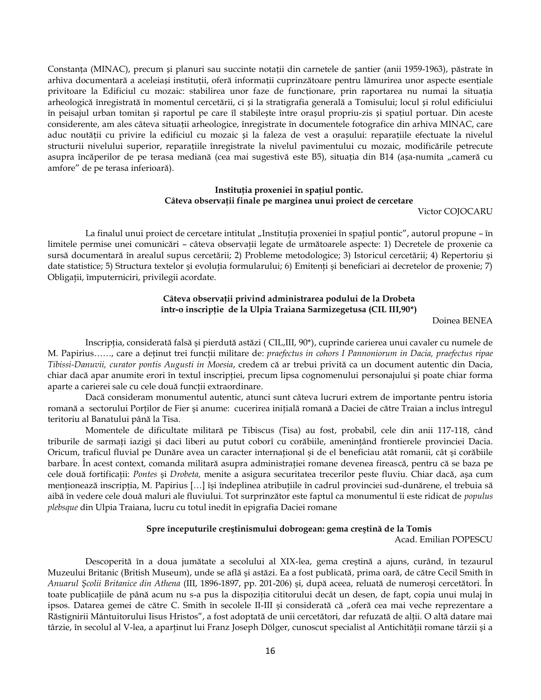Constanța (MINAC), precum și planuri sau succinte notații din carnetele de șantier (anii 1959-1963), păstrate în arhiva documentară a aceleiași instituții, oferă informații cuprinzătoare pentru lămurirea unor aspecte esențiale privitoare la Edificiul cu mozaic: stabilirea unor faze de funcționare, prin raportarea nu numai la situația arheologică înregistrată în momentul cercetării, ci și la stratigrafia generală a Tomisului; locul și rolul edificiului în peisajul urban tomitan și raportul pe care îl stabilește între orașul propriu-zis și spațiul portuar. Din aceste considerente, am ales câteva situații arheologice, înregistrate în documentele fotografice din arhiva MINAC, care aduc noutății cu privire la edificiul cu mozaic și la faleza de vest a orașului: reparațiile efectuate la nivelul structurii nivelului superior, reparațiile înregistrate la nivelul pavimentului cu mozaic, modificările petrecute asupra încăperilor de pe terasa mediană (cea mai sugestivă este B5), situația din B14 (așa-numita "cameră cu amfore" de pe terasa inferioară).

## **Instituţia proxeniei în spaţiul pontic. Câteva observaţii finale pe marginea unui proiect de cercetare**

Victor COJOCARU

La finalul unui proiect de cercetare intitulat "Instituția proxeniei în spațiul pontic", autorul propune - în limitele permise unei comunicări – câteva observații legate de următoarele aspecte: 1) Decretele de proxenie ca sursă documentară în arealul supus cercetării; 2) Probleme metodologice; 3) Istoricul cercetării; 4) Repertoriu şi date statistice; 5) Structura textelor şi evoluţia formularului; 6) Emitenţi şi beneficiari ai decretelor de proxenie; 7) Obligaţii, împuterniciri, privilegii acordate.

## **Câteva observaţii privind administrarea podului de la Drobeta într-o inscripţie de la Ulpia Traiana Sarmizegetusa (CIL III,90\*)**

Doinea BENEA

Inscripţia, considerată falsă şi pierdută astăzi ( CIL,III, 90\*), cuprinde carierea unui cavaler cu numele de M. Papirius……, care a deţinut trei funcţii militare de: *praefectus in cohors I Pannoniorum in Dacia, praefectus ripae Tibissi-Danuvii, curator pontis Augusti in Moesia*, credem că ar trebui privită ca un document autentic din Dacia, chiar dacă apar anumite erori în textul inscripţiei, precum lipsa cognomenului personajului şi poate chiar forma aparte a carierei sale cu cele două funcții extraordinare.

Dacă consideram monumentul autentic, atunci sunt câteva lucruri extrem de importante pentru istoria romană a sectorului Porţilor de Fier şi anume: cucerirea iniţială romană a Daciei de către Traian a inclus întregul teritoriu al Banatului până la Tisa.

Momentele de dificultate militară pe Tibiscus (Tisa) au fost, probabil, cele din anii 117-118, când triburile de sarmați iazigi și daci liberi au putut coborî cu corăbiile, amenințând frontierele provinciei Dacia. Oricum, traficul fluvial pe Dunăre avea un caracter internaţional şi de el beneficiau atât romanii, cât şi corăbiile barbare. În acest context, comanda militară asupra administraţiei romane devenea firească, pentru că se baza pe cele două fortificaţii: *Pontes* şi *Drobeta,* menite a asigura securitatea trecerilor peste fluviu. Chiar dacă, aşa cum menționează inscripția, M. Papirius [...] își îndeplinea atribuțiile în cadrul provinciei sud-dunărene, el trebuia să aibă în vedere cele două maluri ale fluviului. Tot surprinzător este faptul ca monumentul îi este ridicat de *populus plebsque* din Ulpia Traiana, lucru cu totul inedit în epigrafia Daciei romane

#### **Spre începuturile creştinismului dobrogean: gema creştină de la Tomis**

Acad. Emilian POPESCU

Descoperită în a doua jumătate a secolului al XIX-lea, gema creştină a ajuns, curând, în tezaurul Muzeului Britanic (British Museum), unde se află şi astăzi. Ea a fost publicată, prima oară, de către Cecil Smith în *Anuarul Şcolii Britanice din Athena* (III, 1896-1897, pp. 201-206) şi, după aceea, reluată de numeroşi cercetători. În toate publicaţiile de până acum nu s-a pus la dispoziţia cititorului decât un desen, de fapt, copia unui mulaj în ipsos. Datarea gemei de către C. Smith în secolele II-III și considerată că "oferă cea mai veche reprezentare a Răstignirii Mântuitorului Iisus Hristos", a fost adoptată de unii cercetători, dar refuzată de alţii. O altă datare mai târzie, în secolul al V-lea, a aparţinut lui Franz Joseph Dölger, cunoscut specialist al Antichităţii romane târzii şi a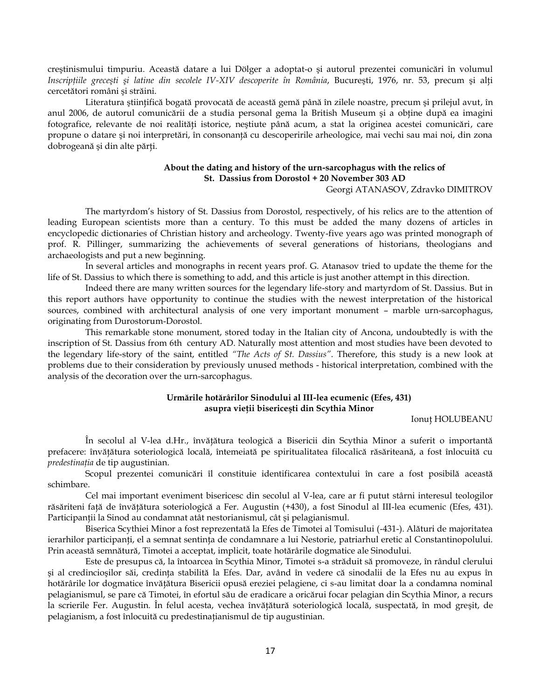creştinismului timpuriu. Această datare a lui Dölger a adoptat-o şi autorul prezentei comunicări în volumul *Inscripţiile greceşti şi latine din secolele IV-XIV descoperite în România*, Bucureşti, 1976, nr. 53, precum şi alţi cercetători români şi străini.

Literatura ştiinţifică bogată provocată de această gemă până în zilele noastre, precum şi prilejul avut, în anul 2006, de autorul comunicării de a studia personal gema la British Museum şi a obţine după ea imagini fotografice, relevante de noi realităţi istorice, neştiute până acum, a stat la originea acestei comunicări, care propune o datare şi noi interpretări, în consonanţă cu descoperirile arheologice, mai vechi sau mai noi, din zona dobrogeană şi din alte părţi.

## **About the dating and history of the urn-sarcophagus with the relics of St. Dassius from Dorostol + 20 November 303 AD**

Georgi ATANASOV, Zdravko DIMITROV

The martyrdom's history of St. Dassius from Dorostol, respectively, of his relics are to the attention of leading European scientists more than a century. To this must be added the many dozens of articles in encyclopedic dictionaries of Christian history and archeology. Twenty-five years ago was printed monograph of prof. R. Pillinger, summarizing the achievements of several generations of historians, theologians and archaeologists and put a new beginning.

In several articles and monographs in recent years prof. G. Atanasov tried to update the theme for the life of St. Dassius to which there is something to add, and this article is just another attempt in this direction.

Indeed there are many written sources for the legendary life-story and martyrdom of St. Dassius. But in this report authors have opportunity to continue the studies with the newest interpretation of the historical sources, combined with architectural analysis of one very important monument – marble urn-sarcophagus, originating from Durostorum-Dorostol.

This remarkable stone monument, stored today in the Italian city of Ancona, undoubtedly is with the inscription of St. Dassius from 6th century AD. Naturally most attention and most studies have been devoted to the legendary life-story of the saint, entitled *"The Acts of St. Dassius"*. Therefore, this study is a new look at problems due to their consideration by previously unused methods - historical interpretation, combined with the analysis of the decoration over the urn-sarcophagus.

## **Urmările hotărârilor Sinodului al III-lea ecumenic (Efes, 431) asupra vieţii bisericeşti din Scythia Minor**

Ionuţ HOLUBEANU

În secolul al V-lea d.Hr., învăţătura teologică a Bisericii din Scythia Minor a suferit o importantă prefacere: învăţătura soteriologică locală, întemeiată pe spiritualitatea filocalică răsăriteană, a fost înlocuită cu *predestinaţia* de tip augustinian.

Scopul prezentei comunicări îl constituie identificarea contextului în care a fost posibilă această schimbare.

Cel mai important eveniment bisericesc din secolul al V-lea, care ar fi putut stârni interesul teologilor răsăriteni faţă de învăţătura soteriologică a Fer. Augustin (+430), a fost Sinodul al III-lea ecumenic (Efes, 431). Participanţii la Sinod au condamnat atât nestorianismul, cât şi pelagianismul.

Biserica Scythiei Minor a fost reprezentată la Efes de Timotei al Tomisului (-431-). Alături de majoritatea ierarhilor participanți, el a semnat sentința de condamnare a lui Nestorie, patriarhul eretic al Constantinopolului. Prin această semnătură, Timotei a acceptat, implicit, toate hotărârile dogmatice ale Sinodului.

Este de presupus că, la întoarcea în Scythia Minor, Timotei s-a străduit să promoveze, în rândul clerului şi al credincioşilor săi, credinţa stabilită la Efes. Dar, având în vedere că sinodalii de la Efes nu au expus în hotărârile lor dogmatice învăţătura Bisericii opusă ereziei pelagiene, ci s-au limitat doar la a condamna nominal pelagianismul, se pare că Timotei, în efortul său de eradicare a oricărui focar pelagian din Scythia Minor, a recurs la scrierile Fer. Augustin. În felul acesta, vechea învăţătură soteriologică locală, suspectată, în mod greşit, de pelagianism, a fost înlocuită cu predestinaţianismul de tip augustinian.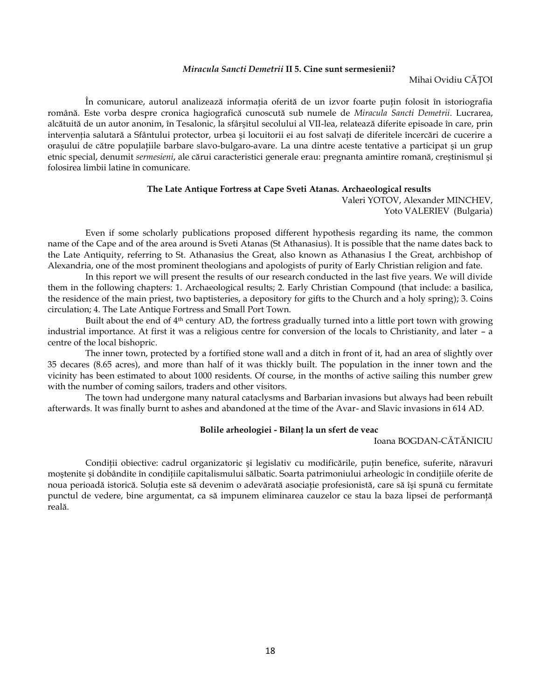## *Miracula Sancti Demetrii* **II 5. Cine sunt sermesienii?**

#### Mihai Ovidiu CĂŢOI

În comunicare, autorul analizează informația oferită de un izvor foarte puțin folosit în istoriografia română. Este vorba despre cronica hagiografică cunoscută sub numele de *Miracula Sancti Demetrii*. Lucrarea, alcătuită de un autor anonim, în Tesalonic, la sfârşitul secolului al VII-lea, relatează diferite episoade în care, prin intervenţia salutară a Sfântului protector, urbea şi locuitorii ei au fost salvaţi de diferitele încercări de cucerire a oraşului de către populaţiile barbare slavo-bulgaro-avare. La una dintre aceste tentative a participat şi un grup etnic special, denumit *sermesieni*, ale cărui caracteristici generale erau: pregnanta amintire romană, creştinismul şi folosirea limbii latine în comunicare.

### **The Late Antique Fortress at Cape Sveti Atanas. Archaeological results**

Valeri YOTOV, Alexander MINCHEV, Yoto VALERIEV (Bulgaria)

Even if some scholarly publications proposed different hypothesis regarding its name, the common name of the Cape and of the area around is Sveti Atanas (St Athanasius). It is possible that the name dates back to the Late Antiquity, referring to St. Athanasius the Great, also known as Athanasius I the Great, archbishop of Alexandria, one of the most prominent theologians and apologists of purity of Early Christian religion and fate.

In this report we will present the results of our research conducted in the last five years. We will divide them in the following chapters: 1. Archaeological results; 2. Early Christian Compound (that include: a basilica, the residence of the main priest, two baptisteries, a depository for gifts to the Church and a holy spring); 3. Coins circulation; 4. The Late Antique Fortress and Small Port Town.

Built about the end of  $4<sup>th</sup>$  century AD, the fortress gradually turned into a little port town with growing industrial importance. At first it was a religious centre for conversion of the locals to Christianity, and later – a centre of the local bishopric.

The inner town, protected by a fortified stone wall and a ditch in front of it, had an area of slightly over 35 decares (8.65 acres), and more than half of it was thickly built. The population in the inner town and the vicinity has been estimated to about 1000 residents. Of course, in the months of active sailing this number grew with the number of coming sailors, traders and other visitors.

The town had undergone many natural cataclysms and Barbarian invasions but always had been rebuilt afterwards. It was finally burnt to ashes and abandoned at the time of the Avar- and Slavic invasions in 614 AD.

### **Bolile arheologiei - Bilanţ la un sfert de veac**

Ioana BOGDAN-CĂTĂNICIU

Condiții obiective: cadrul organizatoric și legislativ cu modificările, puțin benefice, suferite, năravuri moştenite şi dobândite în condiţiile capitalismului sălbatic. Soarta patrimoniului arheologic în condiţiile oferite de noua perioadă istorică. Soluția este să devenim o adevărată asociație profesionistă, care să își spună cu fermitate punctul de vedere, bine argumentat, ca să impunem eliminarea cauzelor ce stau la baza lipsei de performanţă reală.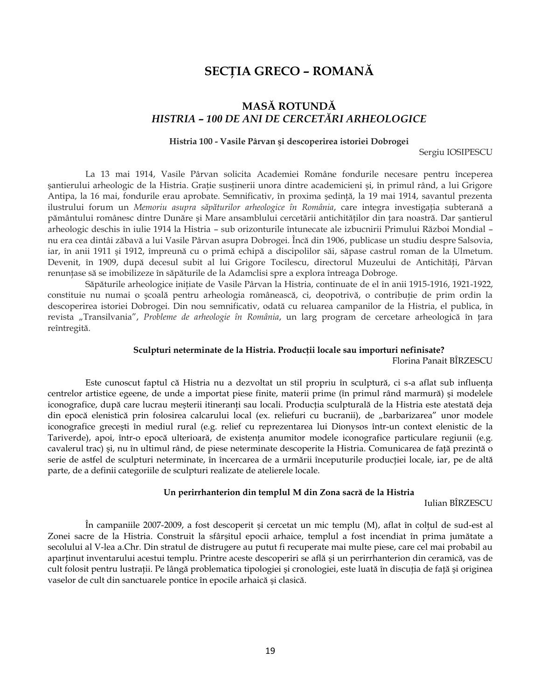# **SECŢIA GRECO – ROMANĂ**

# **MASĂ ROTUNDĂ** *HISTRIA – 100 DE ANI DE CERCETĂRI ARHEOLOGICE*

## **Histria 100 - Vasile Pârvan şi descoperirea istoriei Dobrogei**

Sergiu IOSIPESCU

La 13 mai 1914, Vasile Pârvan solicita Academiei Române fondurile necesare pentru începerea şantierului arheologic de la Histria. Graţie susţinerii unora dintre academicieni şi, în primul rând, a lui Grigore Antipa, la 16 mai, fondurile erau aprobate. Semnificativ, în proxima şedinţă, la 19 mai 1914, savantul prezenta ilustrului forum un *Memoriu asupra săpăturilor arheologice în România*, care integra investigaţia subterană a pământului românesc dintre Dunăre şi Mare ansamblului cercetării antichităţilor din ţara noastră. Dar şantierul arheologic deschis în iulie 1914 la Histria – sub orizonturile întunecate ale izbucnirii Primului Război Mondial – nu era cea dintâi zăbavă a lui Vasile Pârvan asupra Dobrogei. Încă din 1906, publicase un studiu despre Salsovia, iar, în anii 1911 şi 1912, împreună cu o primă echipă a discipolilor săi, săpase castrul roman de la Ulmetum. Devenit, în 1909, după decesul subit al lui Grigore Tocilescu, directorul Muzeului de Antichităţi, Pârvan renunţase să se imobilizeze în săpăturile de la Adamclisi spre a explora întreaga Dobroge.

Săpăturile arheologice iniţiate de Vasile Pârvan la Histria, continuate de el în anii 1915-1916, 1921-1922, constituie nu numai o şcoală pentru arheologia românească, ci, deopotrivă, o contribuţie de prim ordin la descoperirea istoriei Dobrogei. Din nou semnificativ, odată cu reluarea campanilor de la Histria, el publica, în revista "Transilvania", *Probleme de arheologie în România*, un larg program de cercetare arheologică în tara reîntregită.

#### **Sculpturi neterminate de la Histria. Producţii locale sau importuri nefinisate?**

Florina Panait BÎRZESCU

Este cunoscut faptul că Histria nu a dezvoltat un stil propriu în sculptură, ci s-a aflat sub influenţa centrelor artistice egeene, de unde a importat piese finite, materii prime (în primul rând marmură) şi modelele iconografice, după care lucrau meșterii itineranți sau locali. Producția sculpturală de la Histria este atestată deja din epocă elenistică prin folosirea calcarului local (ex. reliefuri cu bucranii), de "barbarizarea" unor modele iconografice greceşti în mediul rural (e.g. relief cu reprezentarea lui Dionysos într-un context elenistic de la Tariverde), apoi, într-o epocă ulterioară, de existenţa anumitor modele iconografice particulare regiunii (e.g. cavalerul trac) şi, nu în ultimul rând, de piese neterminate descoperite la Histria. Comunicarea de faţă prezintă o serie de astfel de sculpturi neterminate, în încercarea de a urmării începuturile producției locale, iar, pe de altă parte, de a definii categoriile de sculpturi realizate de atelierele locale.

#### **Un perirrhanterion din templul M din Zona sacră de la Histria**

Iulian BÎRZESCU

În campaniile 2007-2009, a fost descoperit şi cercetat un mic templu (M), aflat în colţul de sud-est al Zonei sacre de la Histria. Construit la sfârşitul epocii arhaice, templul a fost incendiat în prima jumătate a secolului al V-lea a.Chr. Din stratul de distrugere au putut fi recuperate mai multe piese, care cel mai probabil au aparținut inventarului acestui templu. Printre aceste descoperiri se află și un perirrhanterion din ceramică, vas de cult folosit pentru lustraţii. Pe lângă problematica tipologiei şi cronologiei, este luată în discuţia de faţă şi originea vaselor de cult din sanctuarele pontice în epocile arhaică şi clasică.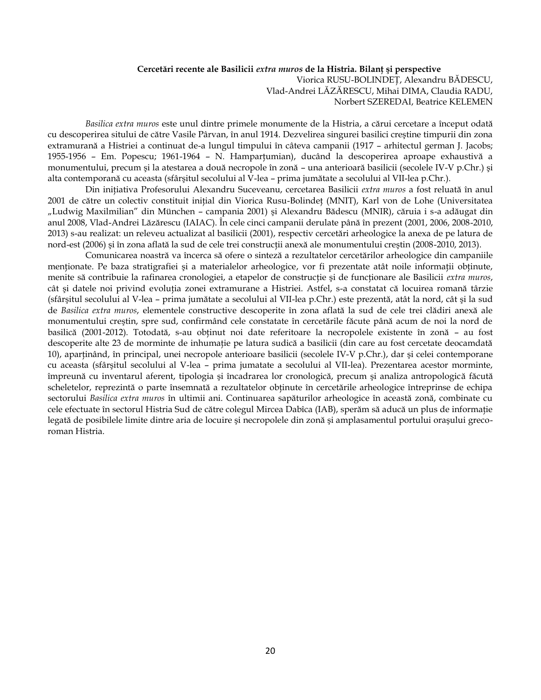## **Cercetări recente ale Basilicii** *extra muros* **de la Histria. Bilanţ şi perspective**

Viorica RUSU-BOLINDEŢ, Alexandru BĂDESCU, Vlad-Andrei LĂZĂRESCU, Mihai DIMA, Claudia RADU, Norbert SZEREDAI, Beatrice KELEMEN

*Basilica extra muros* este unul dintre primele monumente de la Histria, a cărui cercetare a început odată cu descoperirea sitului de către Vasile Pârvan, în anul 1914. Dezvelirea singurei basilici creştine timpurii din zona extramurană a Histriei a continuat de-a lungul timpului în câteva campanii (1917 – arhitectul german J. Jacobs; 1955-1956 – Em. Popescu; 1961-1964 – N. Hamparţumian), ducând la descoperirea aproape exhaustivă a monumentului, precum şi la atestarea a două necropole în zonă – una anterioară basilicii (secolele IV-V p.Chr.) şi alta contemporană cu aceasta (sfârşitul secolului al V-lea – prima jumătate a secolului al VII-lea p.Chr.).

Din iniţiativa Profesorului Alexandru Suceveanu, cercetarea Basilicii *extra muros* a fost reluată în anul 2001 de către un colectiv constituit inițial din Viorica Rusu-Bolindeț (MNIT), Karl von de Lohe (Universitatea "Ludwig Maxilmilian" din München – campania 2001) şi Alexandru Bădescu (MNIR), căruia i s-a adăugat din anul 2008, Vlad-Andrei Lăzărescu (IAIAC). În cele cinci campanii derulate până în prezent (2001, 2006, 2008-2010, 2013) s-au realizat: un releveu actualizat al basilicii (2001), respectiv cercetări arheologice la anexa de pe latura de nord-est (2006) și în zona aflată la sud de cele trei construcții anexă ale monumentului creștin (2008-2010, 2013).

Comunicarea noastră va încerca să ofere o sinteză a rezultatelor cercetărilor arheologice din campaniile menționate. Pe baza stratigrafiei și a materialelor arheologice, vor fi prezentate atât noile informații obținute, menite să contribuie la rafinarea cronologiei, a etapelor de construcţie şi de funcţionare ale Basilicii *extra muros*, cât şi datele noi privind evoluţia zonei extramurane a Histriei. Astfel, s-a constatat că locuirea romană târzie (sfârşitul secolului al V-lea – prima jumătate a secolului al VII-lea p.Chr.) este prezentă, atât la nord, cât şi la sud de *Basilica extra muros*, elementele constructive descoperite în zona aflată la sud de cele trei clădiri anexă ale monumentului creştin, spre sud, confirmând cele constatate în cercetările făcute până acum de noi la nord de basilică (2001-2012). Totodată, s-au obţinut noi date referitoare la necropolele existente în zonă – au fost descoperite alte 23 de morminte de inhumație pe latura sudică a basilicii (din care au fost cercetate deocamdată 10), aparţinând, în principal, unei necropole anterioare basilicii (secolele IV-V p.Chr.), dar şi celei contemporane cu aceasta (sfârşitul secolului al V-lea – prima jumatate a secolului al VII-lea). Prezentarea acestor morminte, împreună cu inventarul aferent, tipologia şi încadrarea lor cronologică, precum şi analiza antropologică făcută scheletelor, reprezintă o parte însemnată a rezultatelor obţinute în cercetările arheologice întreprinse de echipa sectorului *Basilica extra muros* în ultimii ani. Continuarea sapăturilor arheologice în această zonă, combinate cu cele efectuate în sectorul Histria Sud de către colegul Mircea Dabîca (IAB), sperăm să aducă un plus de informaţie legată de posibilele limite dintre aria de locuire şi necropolele din zonă şi amplasamentul portului oraşului grecoroman Histria.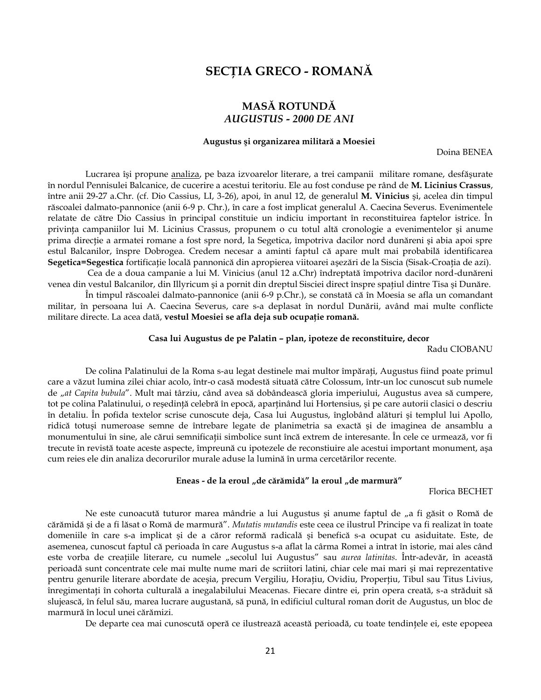# **SECŢIA GRECO - ROMANĂ**

## **MASĂ ROTUNDĂ** *AUGUSTUS - 2000 DE ANI*

#### **Augustus şi organizarea militară a Moesiei**

Doina BENEA

Lucrarea îşi propune analiza, pe baza izvoarelor literare, a trei campanii militare romane, desfăşurate în nordul Pennisulei Balcanice, de cucerire a acestui teritoriu. Ele au fost conduse pe rând de **M. Licinius Crassus**, între anii 29-27 a.Chr. (cf. Dio Cassius, LI, 3-26), apoi, în anul 12, de generalul **M. Vinicius** şi, acelea din timpul răscoalei dalmato-pannonice (anii 6-9 p. Chr.), în care a fost implicat generalul A. Caecina Severus. Evenimentele relatate de către Dio Cassius în principal constituie un indiciu important în reconstituirea faptelor istrice. În privinţa campaniilor lui M. Licinius Crassus, propunem o cu totul altă cronologie a evenimentelor şi anume prima direcţie a armatei romane a fost spre nord, la Segetica, împotriva dacilor nord dunăreni şi abia apoi spre estul Balcanilor, înspre Dobrogea. Credem necesar a aminti faptul că apare mult mai probabilă identificarea **Segetica=Segestica** fortificaţie locală pannonică din apropierea viitoarei aşezări de la Siscia (Sisak-Croaţia de azi).

Cea de a doua campanie a lui M. Vinicius (anul 12 a.Chr) îndreptată împotriva dacilor nord-dunăreni venea din vestul Balcanilor, din Illyricum şi a pornit din dreptul Sisciei direct înspre spaţiul dintre Tisa şi Dunăre.

În timpul răscoalei dalmato-pannonice (anii 6-9 p.Chr.), se constată că în Moesia se afla un comandant militar, în persoana lui A. Caecina Severus, care s-a deplasat în nordul Dunării, având mai multe conflicte militare directe. La acea dată, **vestul Moesiei se afla deja sub ocupaţie romană.**

#### **Casa lui Augustus de pe Palatin – plan, ipoteze de reconstituire, decor**

Radu CIOBANU

De colina Palatinului de la Roma s-au legat destinele mai multor împăraţi, Augustus fiind poate primul care a văzut lumina zilei chiar acolo, într-o casă modestă situată către Colossum, într-un loc cunoscut sub numele de "*at Capita bubula*". Mult mai târziu, când avea să dobândească gloria imperiului, Augustus avea să cumpere, tot pe colina Palatinului, o reşedinţă celebră în epocă, aparţinând lui Hortensius, şi pe care autorii clasici o descriu în detaliu. În pofida textelor scrise cunoscute deja, Casa lui Augustus, înglobând alături şi templul lui Apollo, ridică totuşi numeroase semne de întrebare legate de planimetria sa exactă şi de imaginea de ansamblu a monumentului în sine, ale cărui semnificaţii simbolice sunt încă extrem de interesante. În cele ce urmează, vor fi trecute în revistă toate aceste aspecte, împreună cu ipotezele de reconstiuire ale acestui important monument, aşa cum reies ele din analiza decorurilor murale aduse la lumină în urma cercetărilor recente.

#### Eneas - de la eroul "de cărămidă" la eroul "de marmură"

Florica BECHET

Ne este cunoacută tuturor marea mândrie a lui Augustus și anume faptul de "a fi găsit o Romă de cărămidă şi de a fi lăsat o Romă de marmură". *Mutatis mutandis* este ceea ce ilustrul Principe va fi realizat în toate domeniile în care s-a implicat şi de a căror reformă radicală şi benefică s-a ocupat cu asiduitate. Este, de asemenea, cunoscut faptul că perioada în care Augustus s-a aflat la cârma Romei a intrat în istorie, mai ales când este vorba de creaţiile literare, cu numele "secolul lui Augustus" sau *aurea latinitas*. Într-adevăr, în această perioadă sunt concentrate cele mai multe nume mari de scriitori latini, chiar cele mai mari şi mai reprezentative pentru genurile literare abordate de aceşia, precum Vergiliu, Horațiu, Ovidiu, Properțiu, Tibul sau Titus Livius, înregimentaţi în cohorta culturală a inegalabilului Meacenas. Fiecare dintre ei, prin opera creată, s-a străduit să slujească, în felul său, marea lucrare augustană, să pună, în edificiul cultural roman dorit de Augustus, un bloc de marmură în locul unei cărămizi.

De departe cea mai cunoscută operă ce ilustrează această perioadă, cu toate tendinţele ei, este epopeea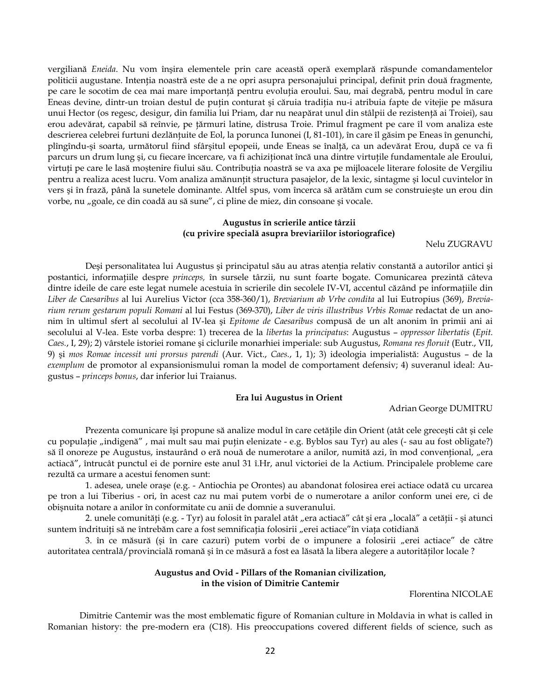vergiliană *Eneida*. Nu vom înşira elementele prin care această operă exemplară răspunde comandamentelor politicii augustane. Intenţia noastră este de a ne opri asupra personajului principal, definit prin două fragmente, pe care le socotim de cea mai mare importanţă pentru evoluţia eroului. Sau, mai degrabă, pentru modul în care Eneas devine, dintr-un troian destul de puţin conturat şi căruia tradiţia nu-i atribuia fapte de vitejie pe măsura unui Hector (os regesc, desigur, din familia lui Priam, dar nu neapărat unul din stâlpii de rezistenţă ai Troiei), sau erou adevărat, capabil să reînvie, pe ţărmuri latine, distrusa Troie. Primul fragment pe care îl vom analiza este descrierea celebrei furtuni dezlănţuite de Eol, la porunca Iunonei (I, 81-101), în care îl găsim pe Eneas în genunchi, plîngîndu-şi soarta, următorul fiind sfârşitul epopeii, unde Eneas se înalţă, ca un adevărat Erou, după ce va fi parcurs un drum lung şi, cu fiecare încercare, va fi achiziţionat încă una dintre virtuţile fundamentale ale Eroului, virtuți pe care le lasă moștenire fiului său. Contribuția noastră se va axa pe mijloacele literare folosite de Vergiliu pentru a realiza acest lucru. Vom analiza amănunţit structura pasajelor, de la lexic, sintagme şi locul cuvintelor în vers şi în frază, până la sunetele dominante. Altfel spus, vom încerca să arătăm cum se construieşte un erou din vorbe, nu "goale, ce din coadă au să sune", ci pline de miez, din consoane și vocale.

## **Augustus în scrierile antice târzii (cu privire specială asupra breviariilor istoriografice)**

Nelu ZUGRAVU

Deși personalitatea lui Augustus și principatul său au atras atenția relativ constantă a autorilor antici și postantici, informaţiile despre *princeps,* în sursele târzii, nu sunt foarte bogate. Comunicarea prezintă câteva dintre ideile de care este legat numele acestuia în scrierile din secolele IV-VI, accentul căzând pe informaţiile din *Liber de Caesaribus* al lui Aurelius Victor (cca 358-360/1), *Breviarium ab Vrbe condita* al lui Eutropius (369), *Breviarium rerum gestarum populi Romani* al lui Festus (369-370), *Liber de viris illustribus Vrbis Romae* redactat de un anonim în ultimul sfert al secolului al IV-lea şi *Epitome de Caesaribus* compusă de un alt anonim în primii ani ai secolului al V-lea. Este vorba despre: 1) trecerea de la *libertas* la *principatus*: Augustus – *oppressor libertatis* (*Epit. Caes.*, I, 29); 2) vârstele istoriei romane şi ciclurile monarhiei imperiale: sub Augustus, *Romana res floruit* (Eutr., VII, 9) şi *mos Romae incessit uni prorsus parendi* (Aur. Vict., *Caes.*, 1, 1); 3) ideologia imperialistă: Augustus – de la *exemplum* de promotor al expansionismului roman la model de comportament defensiv; 4) suveranul ideal: Augustus – *princeps bonus*, dar inferior lui Traianus.

#### **Era lui Augustus în Orient**

Adrian George DUMITRU

Prezenta comunicare își propune să analize modul în care cetățile din Orient (atât cele grecești cât și cele cu populație "indigenă", mai mult sau mai puțin elenizate - e.g. Byblos sau Tyr) au ales (- sau au fost obligate?) să îl onoreze pe Augustus, instaurând o eră nouă de numerotare a anilor, numită azi, în mod convențional, "era actiacă", întrucât punctul ei de pornire este anul 31 î.Hr, anul victoriei de la Actium. Principalele probleme care rezultă ca urmare a acestui fenomen sunt:

1. adesea, unele oraşe (e.g. - Antiochia pe Orontes) au abandonat folosirea erei actiace odată cu urcarea pe tron a lui Tiberius - ori, în acest caz nu mai putem vorbi de o numerotare a anilor conform unei ere, ci de obişnuita notare a anilor în conformitate cu anii de domnie a suveranului.

2. unele comunități (e.g. - Tyr) au folosit în paralel atât "era actiacă" cât și era "locală" a cetății - și atunci suntem îndrituiți să ne întrebăm care a fost semnificația folosirii "erei actiace"în viața cotidiană

3. în ce măsură (și în care cazuri) putem vorbi de o impunere a folosirii "erei actiace" de către autoritatea centrală/provincială romană şi în ce măsură a fost ea lăsată la libera alegere a autorităţilor locale ?

#### **Augustus and Ovid - Pillars of the Romanian civilization, in the vision of Dimitrie Cantemir**

Florentina NICOLAE

Dimitrie Cantemir was the most emblematic figure of Romanian culture in Moldavia in what is called in Romanian history: the pre-modern era (C18). His preoccupations covered different fields of science, such as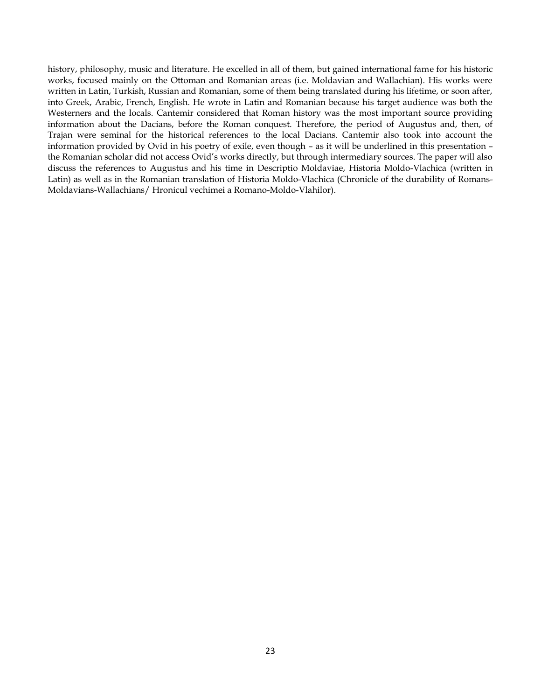history, philosophy, music and literature. He excelled in all of them, but gained international fame for his historic works, focused mainly on the Ottoman and Romanian areas (i.e. Moldavian and Wallachian). His works were written in Latin, Turkish, Russian and Romanian, some of them being translated during his lifetime, or soon after, into Greek, Arabic, French, English. He wrote in Latin and Romanian because his target audience was both the Westerners and the locals. Cantemir considered that Roman history was the most important source providing information about the Dacians, before the Roman conquest. Therefore, the period of Augustus and, then, of Trajan were seminal for the historical references to the local Dacians. Cantemir also took into account the information provided by Ovid in his poetry of exile, even though – as it will be underlined in this presentation – the Romanian scholar did not access Ovid's works directly, but through intermediary sources. The paper will also discuss the references to Augustus and his time in Descriptio Moldaviae, Historia Moldo-Vlachica (written in Latin) as well as in the Romanian translation of Historia Moldo-Vlachica (Chronicle of the durability of Romans-Moldavians-Wallachians/ Hronicul vechimei a Romano-Moldo-Vlahilor).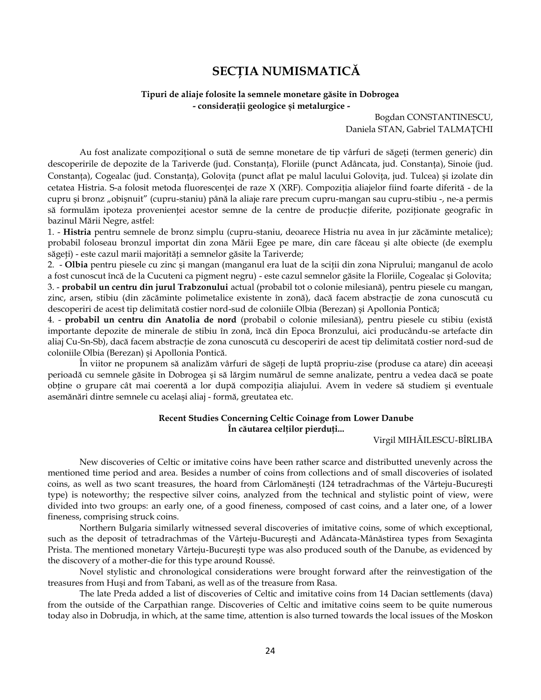# **SECŢIA NUMISMATICĂ**

## **Tipuri de aliaje folosite la semnele monetare găsite în Dobrogea - considerații geologice și metalurgice -**

Bogdan CONSTANTINESCU, Daniela STAN, Gabriel TALMAȚCHI

Au fost analizate compozițional o sută de semne monetare de tip vârfuri de săgeți (termen generic) din descoperirile de depozite de la Tariverde (jud. Constanța), Floriile (punct Adâncata, jud. Constanța), Sinoie (jud. Constanța), Cogealac (jud. Constanța), Golovița (punct aflat pe malul lacului Golovița, jud. Tulcea) și izolate din cetatea Histria. S-a folosit metoda fluorescenței de raze X (XRF). Compoziția aliajelor fiind foarte diferită - de la cupru și bronz "obișnuit" (cupru-staniu) până la aliaje rare precum cupru-mangan sau cupru-stibiu -, ne-a permis să formulăm ipoteza provenienței acestor semne de la centre de producție diferite, poziționate geografic în bazinul Mării Negre, astfel:

1. - **Histria** pentru semnele de bronz simplu (cupru-staniu, deoarece Histria nu avea în jur zăcăminte metalice); probabil foloseau bronzul importat din zona Mării Egee pe mare, din care făceau şi alte obiecte (de exemplu săgeţi) - este cazul marii majorităţi a semnelor găsite la Tariverde;

2. - **Olbia** pentru piesele cu zinc şi mangan (manganul era luat de la sciţii din zona Niprului; manganul de acolo a fost cunoscut încă de la Cucuteni ca pigment negru) - este cazul semnelor găsite la Floriile, Cogealac şi Golovita; 3. - **probabil un centru din jurul Trabzonului** actual (probabil tot o colonie milesiană), pentru piesele cu mangan, zinc, arsen, stibiu (din zăcăminte polimetalice existente în zonă), dacă facem abstracţie de zona cunoscută cu descoperiri de acest tip delimitată costier nord-sud de coloniile Olbia (Berezan) şi Apollonia Pontică;

4. - **probabil un centru din Anatolia de nord** (probabil o colonie milesiană), pentru piesele cu stibiu (există importante depozite de minerale de stibiu în zonă, încă din Epoca Bronzului, aici producându-se artefacte din aliaj Cu-Sn-Sb), dacă facem abstracţie de zona cunoscută cu descoperiri de acest tip delimitată costier nord-sud de coloniile Olbia (Berezan) şi Apollonia Pontică.

În viitor ne propunem să analizăm vârfuri de săgeţi de luptă propriu-zise (produse ca atare) din aceeaşi perioadă cu semnele găsite în Dobrogea şi să lărgim numărul de semne analizate, pentru a vedea dacă se poate obţine o grupare cât mai coerentă a lor după compoziţia aliajului. Avem în vedere să studiem şi eventuale asemănări dintre semnele cu acelaşi aliaj - formă, greutatea etc.

## **Recent Studies Concerning Celtic Coinage from Lower Danube În căutarea celţilor pierduţi...**

### Virgil MIHĂILESCU-BÎRLIBA

New discoveries of Celtic or imitative coins have been rather scarce and distributted unevenly across the mentioned time period and area. Besides a number of coins from collections and of small discoveries of isolated coins, as well as two scant treasures, the hoard from Cârlomăneşti (124 tetradrachmas of the Vârteju-Bucureşti type) is noteworthy; the respective silver coins, analyzed from the technical and stylistic point of view, were divided into two groups: an early one, of a good fineness, composed of cast coins, and a later one, of a lower fineness, comprising struck coins.

Northern Bulgaria similarly witnessed several discoveries of imitative coins, some of which exceptional, such as the deposit of tetradrachmas of the Vârteju-Bucureşti and Adâncata-Mânăstirea types from Sexaginta Prista. The mentioned monetary Vârteju-Bucureşti type was also produced south of the Danube, as evidenced by the discovery of a mother-die for this type around Roussé.

Novel stylistic and chronological considerations were brought forward after the reinvestigation of the treasures from Huşi and from Tabani, as well as of the treasure from Rasa.

The late Preda added a list of discoveries of Celtic and imitative coins from 14 Dacian settlements (dava) from the outside of the Carpathian range. Discoveries of Celtic and imitative coins seem to be quite numerous today also in Dobrudja, in which, at the same time, attention is also turned towards the local issues of the Moskon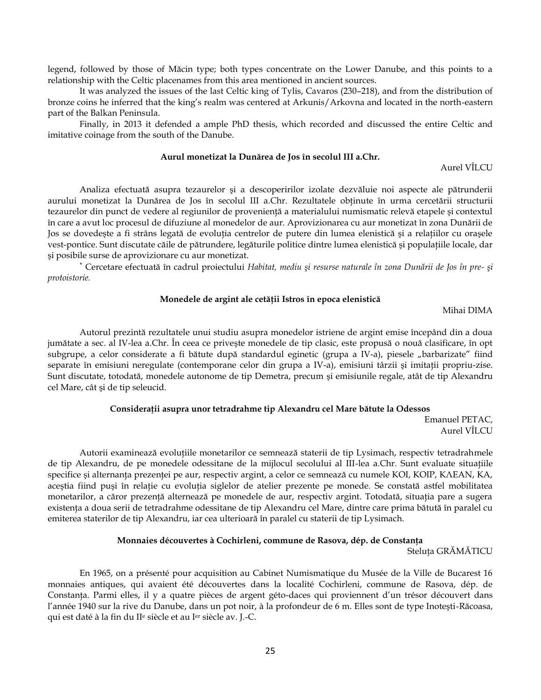legend, followed by those of Măcin type; both types concentrate on the Lower Danube, and this points to a relationship with the Celtic placenames from this area mentioned in ancient sources.

It was analyzed the issues of the last Celtic king of Tylis, Cavaros (230–218), and from the distribution of bronze coins he inferred that the king's realm was centered at Arkunis/Arkovna and located in the north-eastern part of the Balkan Peninsula.

Finally, in 2013 it defended a ample PhD thesis, which recorded and discussed the entire Celtic and imitative coinage from the south of the Danube.

## **Aurul monetizat la Dunărea de Jos în secolul III a.Chr.**

Aurel VÎLCU

Analiza efectuată asupra tezaurelor şi a descoperirilor izolate dezvăluie noi aspecte ale pătrunderii aurului monetizat la Dunărea de Jos în secolul III a.Chr. Rezultatele obţinute în urma cercetării structurii tezaurelor din punct de vedere al regiunilor de proveniență a materialului numismatic relevă etapele și contextul în care a avut loc procesul de difuziune al monedelor de aur. Aprovizionarea cu aur monetizat în zona Dunării de Jos se dovedește a fi strâns legată de evoluția centrelor de putere din lumea elenistică și a relațiilor cu orașele vest-pontice. Sunt discutate căile de pătrundere, legăturile politice dintre lumea elenistică şi populaţiile locale, dar şi posibile surse de aprovizionare cu aur monetizat.

 Cercetare efectuată în cadrul proiectului *Habitat, mediu şi resurse naturale în zona Dunării de Jos în pre- şi protoistorie.*

#### **Monedele de argint ale cetăţii Istros în epoca elenistică**

Mihai DIMA

Autorul prezintă rezultatele unui studiu asupra monedelor istriene de argint emise începând din a doua jumătate a sec. al IV-lea a.Chr. În ceea ce priveşte monedele de tip clasic, este propusă o nouă clasificare, în opt subgrupe, a celor considerate a fi bătute după standardul eginetic (grupa a IV-a), piesele "barbarizate" fiind separate în emisiuni neregulate (contemporane celor din grupa a IV-a), emisiuni târzii și imitații propriu-zise. Sunt discutate, totodată, monedele autonome de tip Demetra, precum şi emisiunile regale, atât de tip Alexandru cel Mare, cât şi de tip seleucid.

### **Consideraţii asupra unor tetradrahme tip Alexandru cel Mare bătute la Odessos**

Emanuel PETAC, Aurel VÎLCU

Autorii examinează evoluţiile monetarilor ce semnează staterii de tip Lysimach, respectiv tetradrahmele de tip Alexandru, de pe monedele odessitane de la mijlocul secolului al III-lea a.Chr. Sunt evaluate situatiile specifice şi alternanţa prezenţei pe aur, respectiv argint, a celor ce semnează cu numele KOI, KOIP, ΚΛΕΑΝ, ΚΑ, aceștia fiind puși în relație cu evoluția siglelor de atelier prezente pe monede. Se constată astfel mobilitatea monetarilor, a căror prezenţă alternează pe monedele de aur, respectiv argint. Totodată, situaţia pare a sugera existența a doua serii de tetradrahme odessitane de tip Alexandru cel Mare, dintre care prima bătută în paralel cu emiterea staterilor de tip Alexandru, iar cea ulterioară în paralel cu staterii de tip Lysimach.

#### **Monnaies découvertes à Cochirleni, commune de Rasova, dép. de Constanţa**

Steluța GRĂMĂTICU

En 1965, on a présenté pour acquisition au Cabinet Numismatique du Musée de la Ville de Bucarest 16 monnaies antiques, qui avaient été découvertes dans la localité Cochirleni, commune de Rasova, dép. de Constanţa. Parmi elles, il y a quatre pièces de argent géto-daces qui proviennent d'un trésor découvert dans l'année 1940 sur la rive du Danube, dans un pot noir, à la profondeur de 6 m. Elles sont de type Inoteşti-Răcoasa, qui est daté à la fin du II<sup>e</sup> siècle et au Ier siècle av. J.-C.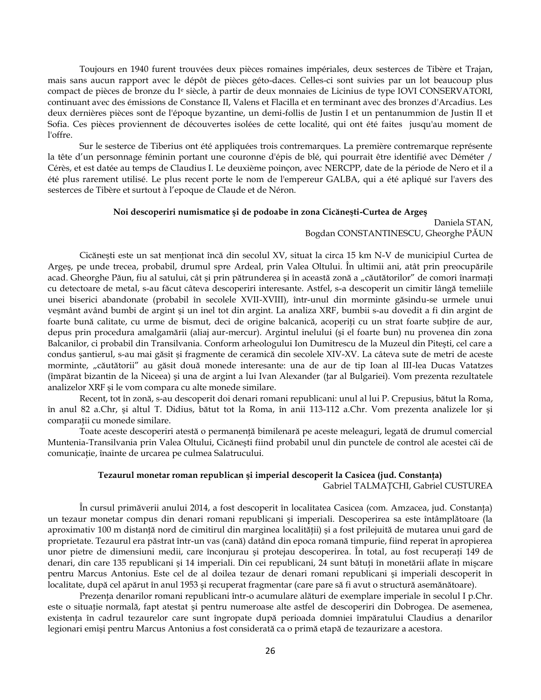Toujours en 1940 furent trouvées deux pièces romaines impériales, deux sesterces de Tibère et Trajan, mais sans aucun rapport avec le dépôt de pièces géto-daces. Celles-ci sont suivies par un lot beaucoup plus compact de pièces de bronze du I<sup>e</sup> siècle, à partir de deux monnaies de Licinius de type IOVI CONSERVATORI, continuant avec des émissions de Constance II, Valens et Flacilla et en terminant avec des bronzes d'Arcadius. Les deux dernières pièces sont de l'époque byzantine, un demi-follis de Justin I et un pentanummion de Justin II et Sofia. Ces pièces proviennent de découvertes isolées de cette localité, qui ont été faites jusqu'au moment de l'offre.

Sur le sesterce de Tiberius ont été appliquées trois contremarques. La première contremarque représente la tête d'un personnage féminin portant une couronne d'épis de blé, qui pourrait être identifié avec Déméter / Cérès, et est datée au temps de Claudius I. Le deuxième poinçon, avec NERCPP, date de la période de Nero et il a été plus rarement utilisé. Le plus recent porte le nom de l'empereur GALBA, qui a été apliqué sur l'avers des sesterces de Tibère et surtout à l'epoque de Claude et de Néron.

#### **Noi descoperiri numismatice şi de podoabe în zona Cicăneşti-Curtea de Argeş**

## Daniela STAN, Bogdan CONSTANTINESCU, Gheorghe PĂUN

Cicăneşti este un sat menţionat încă din secolul XV, situat la circa 15 km N-V de municipiul Curtea de Argeş, pe unde trecea, probabil, drumul spre Ardeal, prin Valea Oltului. În ultimii ani, atât prin preocupările acad. Gheorghe Păun, fiu al satului, cât și prin pătrunderea și în această zonă a "căutătorilor" de comori înarmați cu detectoare de metal, s-au făcut câteva descoperiri interesante. Astfel, s-a descoperit un cimitir lângă temeliile unei biserici abandonate (probabil în secolele XVII-XVIII), într-unul din morminte găsindu-se urmele unui veşmânt având bumbi de argint şi un inel tot din argint. La analiza XRF, bumbii s-au dovedit a fi din argint de foarte bună calitate, cu urme de bismut, deci de origine balcanică, acoperiți cu un strat foarte subțire de aur, depus prin procedura amalgamării (aliaj aur-mercur). Argintul inelului (şi el foarte bun) nu provenea din zona Balcanilor, ci probabil din Transilvania. Conform arheologului Ion Dumitrescu de la Muzeul din Piteşti, cel care a condus şantierul, s-au mai găsit şi fragmente de ceramică din secolele XIV-XV. La câteva sute de metri de aceste morminte, "căutătorii" au găsit două monede interesante: una de aur de tip Ioan al III-lea Ducas Vatatzes (împărat bizantin de la Niceea) şi una de argint a lui Ivan Alexander (ţar al Bulgariei). Vom prezenta rezultatele analizelor XRF şi le vom compara cu alte monede similare.

Recent, tot în zonă, s-au descoperit doi denari romani republicani: unul al lui P. Crepusius, bătut la Roma, în anul 82 a.Chr, şi altul T. Didius, bătut tot la Roma, în anii 113-112 a.Chr. Vom prezenta analizele lor şi comparaţii cu monede similare.

Toate aceste descoperiri atestă o permanenţă bimilenară pe aceste meleaguri, legată de drumul comercial Muntenia-Transilvania prin Valea Oltului, Cicăneşti fiind probabil unul din punctele de control ale acestei căi de comunicaţie, înainte de urcarea pe culmea Salatrucului.

#### **Tezaurul monetar roman republican şi imperial descoperit la Casicea (jud. Constanţa)**

Gabriel TALMAŢCHI, Gabriel CUSTUREA

În cursul primăverii anului 2014, a fost descoperit în localitatea Casicea (com. Amzacea, jud. Constanţa) un tezaur monetar compus din denari romani republicani şi imperiali. Descoperirea sa este întâmplătoare (la aproximativ 100 m distanţă nord de cimitirul din marginea localităţii) şi a fost prilejuită de mutarea unui gard de proprietate. Tezaurul era păstrat într-un vas (cană) datând din epoca romană timpurie, fiind reperat în apropierea unor pietre de dimensiuni medii, care înconjurau şi protejau descoperirea. În total, au fost recuperaţi 149 de denari, din care 135 republicani și 14 imperiali. Din cei republicani, 24 sunt bătuți în monetării aflate în mișcare pentru Marcus Antonius. Este cel de al doilea tezaur de denari romani republicani şi imperiali descoperit în localitate, după cel apărut în anul 1953 şi recuperat fragmentar (care pare să fi avut o structură asemănătoare).

Prezența denarilor romani republicani într-o acumulare alături de exemplare imperiale în secolul I p.Chr. este o situație normală, fapt atestat și pentru numeroase alte astfel de descoperiri din Dobrogea. De asemenea, existenţa în cadrul tezaurelor care sunt îngropate după perioada domniei împăratului Claudius a denarilor legionari emişi pentru Marcus Antonius a fost considerată ca o primă etapă de tezaurizare a acestora.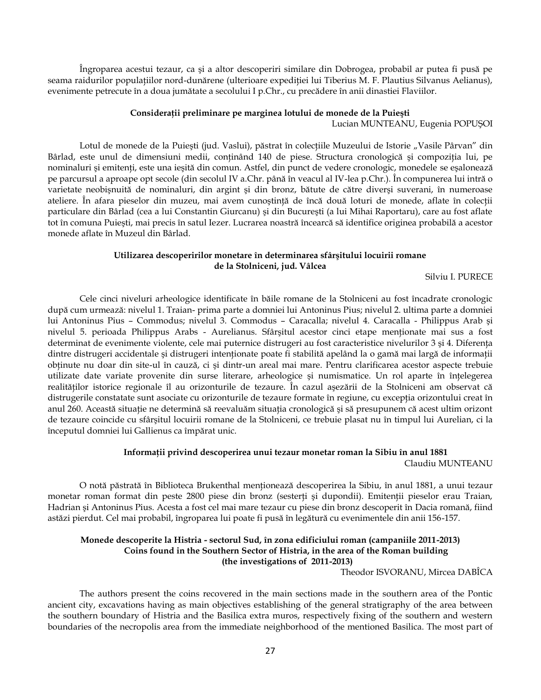Îngroparea acestui tezaur, ca şi a altor descoperiri similare din Dobrogea, probabil ar putea fi pusă pe seama raidurilor populațiilor nord-dunărene (ulterioare expediției lui Tiberius M. F. Plautius Silvanus Aelianus), evenimente petrecute în a doua jumătate a secolului I p.Chr., cu precădere în anii dinastiei Flaviilor.

#### **Consideraţii preliminare pe marginea lotului de monede de la Puieşti**

Lucian MUNTEANU, Eugenia POPUŞOI

Lotul de monede de la Puiești (jud. Vaslui), păstrat în colecțiile Muzeului de Istorie "Vasile Pârvan" din Bârlad, este unul de dimensiuni medii, continând 140 de piese. Structura cronologică și compoziția lui, pe nominaluri și emitenți, este una ieșită din comun. Astfel, din punct de vedere cronologic, monedele se eșalonează pe parcursul a aproape opt secole (din secolul IV a.Chr. până în veacul al IV-lea p.Chr.). În compunerea lui intră o varietate neobişnuită de nominaluri, din argint şi din bronz, bătute de către diverşi suverani, în numeroase ateliere. În afara pieselor din muzeu, mai avem cunostintă de încă două loturi de monede, aflate în colectii particulare din Bârlad (cea a lui Constantin Giurcanu) şi din Bucureşti (a lui Mihai Raportaru), care au fost aflate tot în comuna Puieşti, mai precis în satul Iezer. Lucrarea noastră încearcă să identifice originea probabilă a acestor monede aflate în Muzeul din Bârlad.

## **Utilizarea descoperirilor monetare în determinarea sfârşitului locuirii romane de la Stolniceni, jud. Vâlcea**

Silviu I. PURECE

Cele cinci niveluri arheologice identificate în băile romane de la Stolniceni au fost încadrate cronologic după cum urmează: nivelul 1. Traian- prima parte a domniei lui Antoninus Pius; nivelul 2. ultima parte a domniei lui Antoninus Pius – Commodus; nivelul 3. Commodus – Caracalla; nivelul 4. Caracalla - Philippus Arab şi nivelul 5. perioada Philippus Arabs - Aurelianus. Sfârşitul acestor cinci etape menţionate mai sus a fost determinat de evenimente violente, cele mai puternice distrugeri au fost caracteristice nivelurilor 3 și 4. Diferența dintre distrugeri accidentale și distrugeri intenționate poate fi stabilită apelând la o gamă mai largă de informații obţinute nu doar din site-ul în cauză, ci şi dintr-un areal mai mare. Pentru clarificarea acestor aspecte trebuie utilizate date variate provenite din surse literare, arheologice şi numismatice. Un rol aparte în înţelegerea realităților istorice regionale îl au orizonturile de tezaure. În cazul așezării de la Stolniceni am observat că distrugerile constatate sunt asociate cu orizonturile de tezaure formate în regiune, cu excepția orizontului creat în anul 260. Această situaţie ne determină să reevaluăm situaţia cronologică şi să presupunem că acest ultim orizont de tezaure coincide cu sfârşitul locuirii romane de la Stolniceni, ce trebuie plasat nu în timpul lui Aurelian, ci la începutul domniei lui Gallienus ca împărat unic.

# **Informaţii privind descoperirea unui tezaur monetar roman la Sibiu în anul 1881**

Claudiu MUNTEANU

O notă păstrată în Biblioteca Brukenthal menţionează descoperirea la Sibiu, în anul 1881, a unui tezaur monetar roman format din peste 2800 piese din bronz (sesterți și dupondii). Emitenții pieselor erau Traian, Hadrian şi Antoninus Pius. Acesta a fost cel mai mare tezaur cu piese din bronz descoperit în Dacia romană, fiind astăzi pierdut. Cel mai probabil, îngroparea lui poate fi pusă în legătură cu evenimentele din anii 156-157.

## **Monede descoperite la Histria - sectorul Sud, în zona edificiului roman (campaniile 2011-2013) Coins found in the Southern Sector of Histria, in the area of the Roman building (the investigations of 2011-2013)**

Theodor ISVORANU, Mircea DABÎCA

The authors present the coins recovered in the main sections made in the southern area of the Pontic ancient city, excavations having as main objectives establishing of the general stratigraphy of the area between the southern boundary of Histria and the Basilica extra muros, respectively fixing of the southern and western boundaries of the necropolis area from the immediate neighborhood of the mentioned Basilica. The most part of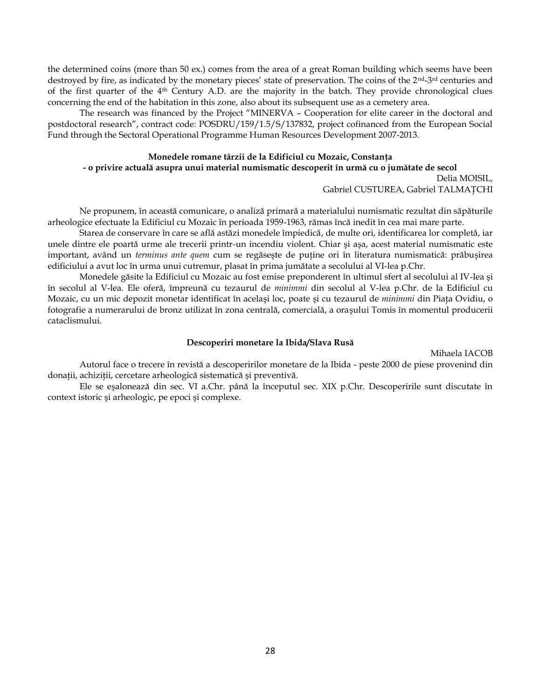the determined coins (more than 50 ex.) comes from the area of a great Roman building which seems have been destroyed by fire, as indicated by the monetary pieces' state of preservation. The coins of the 2<sup>nd</sup>-3<sup>rd</sup> centuries and of the first quarter of the  $4<sup>th</sup>$  Century A.D. are the majority in the batch. They provide chronological clues concerning the end of the habitation in this zone, also about its subsequent use as a cemetery area.

The research was financed by the Project "MINERVA – Cooperation for elite career in the doctoral and postdoctoral research", contract code: POSDRU/159/1.5/S/137832, project cofinanced from the European Social Fund through the Sectoral Operational Programme Human Resources Development 2007-2013.

## **Monedele romane târzii de la Edificiul cu Mozaic, Constanţa - o privire actuală asupra unui material numismatic descoperit în urmă cu o jumătate de secol** Delia MOISIL,

Gabriel CUSTUREA, Gabriel TALMAŢCHI

Ne propunem, în această comunicare, o analiză primară a materialului numismatic rezultat din săpăturile arheologice efectuate la Edificiul cu Mozaic în perioada 1959-1963, rămas încă inedit în cea mai mare parte.

Starea de conservare în care se află astăzi monedele împiedică, de multe ori, identificarea lor completă, iar unele dintre ele poartă urme ale trecerii printr-un incendiu violent. Chiar şi aşa, acest material numismatic este important, având un *terminus ante quem* cum se regăseşte de puţine ori în literatura numismatică: prăbuşirea edificiului a avut loc în urma unui cutremur, plasat în prima jumătate a secolului al VI-lea p.Chr.

Monedele găsite la Edificiul cu Mozaic au fost emise preponderent în ultimul sfert al secolului al IV-lea şi în secolul al V-lea. Ele oferă, împreună cu tezaurul de *minimmi* din secolul al V-lea p.Chr. de la Edificiul cu Mozaic, cu un mic depozit monetar identificat în acelaşi loc, poate şi cu tezaurul de *minimmi* din Piaţa Ovidiu, o fotografie a numerarului de bronz utilizat în zona centrală, comercială, a oraşului Tomis în momentul producerii cataclismului.

#### **Descoperiri monetare la Ibida/Slava Rusă**

Mihaela IACOB

Autorul face o trecere în revistă a descoperirilor monetare de la Ibida - peste 2000 de piese provenind din donații, achiziții, cercetare arheologică sistematică și preventivă.

Ele se eşalonează din sec. VI a.Chr. până la începutul sec. XIX p.Chr. Descoperirile sunt discutate în context istoric şi arheologic, pe epoci şi complexe.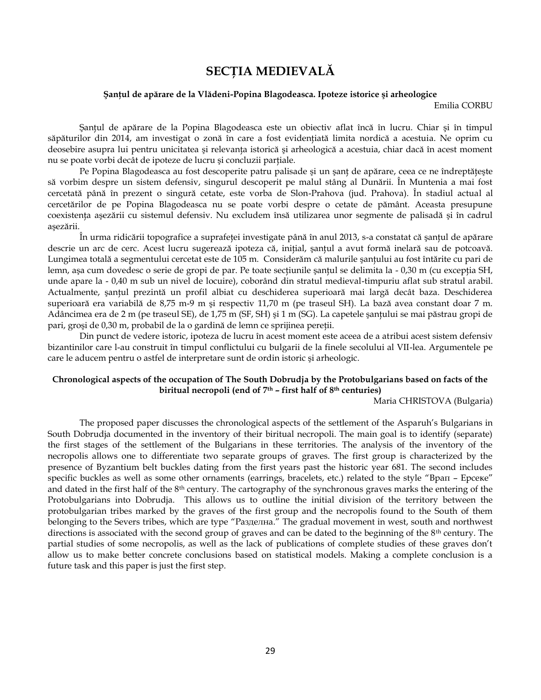# **SECŢIA MEDIEVALĂ**

#### **Şanţul de apărare de la Vlădeni-Popina Blagodeasca. Ipoteze istorice şi arheologice**

Emilia CORBU

Şanţul de apărare de la Popina Blagodeasca este un obiectiv aflat încă în lucru. Chiar şi în timpul săpăturilor din 2014, am investigat o zonă în care a fost evidențiată limita nordică a acestuia. Ne oprim cu deosebire asupra lui pentru unicitatea și relevanța istorică și arheologică a acestuia, chiar dacă în acest moment nu se poate vorbi decât de ipoteze de lucru şi concluzii parţiale.

Pe Popina Blagodeasca au fost descoperite patru palisade și un șanț de apărare, ceea ce ne îndreptățește să vorbim despre un sistem defensiv, singurul descoperit pe malul stâng al Dunării. În Muntenia a mai fost cercetată până în prezent o singură cetate, este vorba de Slon-Prahova (jud. Prahova). În stadiul actual al cercetărilor de pe Popina Blagodeasca nu se poate vorbi despre o cetate de pământ. Aceasta presupune coexistenţa aşezării cu sistemul defensiv. Nu excludem însă utilizarea unor segmente de palisadă şi în cadrul aşezării.

În urma ridicării topografice a suprafeţei investigate până în anul 2013, s-a constatat că şanţul de apărare descrie un arc de cerc. Acest lucru sugerează ipoteza că, iniţial, şanţul a avut formă inelară sau de potcoavă. Lungimea totală a segmentului cercetat este de 105 m. Considerăm că malurile santului au fost întărite cu pari de lemn, aşa cum dovedesc o serie de gropi de par. Pe toate secțiunile şanțul se delimita la - 0,30 m (cu excepția SH, unde apare la - 0,40 m sub un nivel de locuire), coborând din stratul medieval-timpuriu aflat sub stratul arabil. Actualmente, şanţul prezintă un profil albiat cu deschiderea superioară mai largă decât baza. Deschiderea superioară era variabilă de 8,75 m-9 m şi respectiv 11,70 m (pe traseul SH). La bază avea constant doar 7 m. Adâncimea era de 2 m (pe traseul SE), de 1,75 m (SF, SH) şi 1 m (SG). La capetele şanţului se mai păstrau gropi de pari, groşi de 0,30 m, probabil de la o gardină de lemn ce sprijinea pereţii.

Din punct de vedere istoric, ipoteza de lucru în acest moment este aceea de a atribui acest sistem defensiv bizantinilor care l-au construit în timpul conflictului cu bulgarii de la finele secolului al VII-lea. Argumentele pe care le aducem pentru o astfel de interpretare sunt de ordin istoric şi arheologic.

## **Chronological aspects of the occupation of The South Dobrudja by the Protobulgarians based on facts of the biritual necropoli (end of 7th – first half of 8th centuries)**

Maria CHRISTOVA (Bulgaria)

The proposed paper discusses the chronological aspects of the settlement of the Asparuh's Bulgarians in South Dobrudja documented in the inventory of their biritual necropoli. The main goal is to identify (separate) the first stages of the settlement of the Bulgarians in these territories. The analysis of the inventory of the necropolis allows one to differentiate two separate groups of graves. The first group is characterized by the presence of Byzantium belt buckles dating from the first years past the historic year 681. The second includes specific buckles as well as some other ornaments (earrings, bracelets, etc.) related to the style "Врап – Ерсеке" and dated in the first half of the 8<sup>th</sup> century. The cartography of the synchronous graves marks the entering of the Protobulgarians into Dobrudja. This allows us to outline the initial division of the territory between the protobulgarian tribes marked by the graves of the first group and the necropolis found to the South of them belonging to the Severs tribes, which are type "Разделна." The gradual movement in west, south and northwest directions is associated with the second group of graves and can be dated to the beginning of the  $8<sup>th</sup>$  century. The partial studies of some necropolis, as well as the lack of publications of complete studies of these graves don't allow us to make better concrete conclusions based on statistical models. Making a complete conclusion is a future task and this paper is just the first step.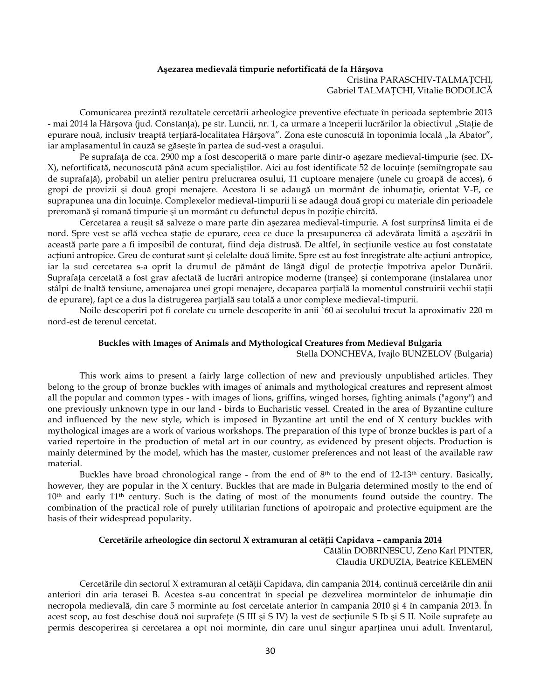## **Aşezarea medievală timpurie nefortificată de la Hârşova** Cristina PARASCHIV-TALMAŢCHI,

Gabriel TALMAŢCHI, Vitalie BODOLICĂ

Comunicarea prezintă rezultatele cercetării arheologice preventive efectuate în perioada septembrie 2013 - mai 2014 la Hârşova (jud. Constanţa), pe str. Luncii, nr. 1, ca urmare a începerii lucrărilor la obiectivul "Staţie de epurare nouă, inclusiv treaptă terțiară-localitatea Hârșova". Zona este cunoscută în toponimia locală "la Abator", iar amplasamentul în cauză se găseşte în partea de sud-vest a oraşului.

Pe suprafaţa de cca. 2900 mp a fost descoperită o mare parte dintr-o aşezare medieval-timpurie (sec. IX-X), nefortificată, necunoscută până acum specialiştilor. Aici au fost identificate 52 de locuinţe (semiîngropate sau de suprafaţă), probabil un atelier pentru prelucrarea osului, 11 cuptoare menajere (unele cu groapă de acces), 6 gropi de provizii şi două gropi menajere. Acestora li se adaugă un mormânt de inhumaţie, orientat V-E, ce suprapunea una din locuinţe. Complexelor medieval-timpurii li se adaugă două gropi cu materiale din perioadele preromană şi romană timpurie şi un mormânt cu defunctul depus în poziţie chircită.

Cercetarea a reuşit să salveze o mare parte din aşezarea medieval-timpurie. A fost surprinsă limita ei de nord. Spre vest se află vechea staţie de epurare, ceea ce duce la presupunerea că adevărata limită a aşezării în această parte pare a fi imposibil de conturat, fiind deja distrusă. De altfel, în secțiunile vestice au fost constatate acțiuni antropice. Greu de conturat sunt și celelalte două limite. Spre est au fost înregistrate alte acțiuni antropice, iar la sud cercetarea s-a oprit la drumul de pământ de lângă digul de protecție împotriva apelor Dunării. Suprafaţa cercetată a fost grav afectată de lucrări antropice moderne (tranşee) şi contemporane (instalarea unor stâlpi de înaltă tensiune, amenajarea unei gropi menajere, decaparea parțială la momentul construirii vechii stații de epurare), fapt ce a dus la distrugerea parţială sau totală a unor complexe medieval-timpurii.

Noile descoperiri pot fi corelate cu urnele descoperite în anii `60 ai secolului trecut la aproximativ 220 m nord-est de terenul cercetat.

### **Buckles with Images of Animals and Mythological Creatures from Medieval Bulgaria**

Stella DONCHEVA, Ivajlo BUNZELOV (Bulgaria)

This work aims to present a fairly large collection of new and previously unpublished articles. They belong to the group of bronze buckles with images of animals and mythological creatures and represent almost all the popular and common types - with images of lions, griffins, winged horses, fighting animals ("agony") and one previously unknown type in our land - birds to Eucharistic vessel. Created in the area of Byzantine culture and influenced by the new style, which is imposed in Byzantine art until the end of X century buckles with mythological images are a work of various workshops. The preparation of this type of bronze buckles is part of a varied repertoire in the production of metal art in our country, as evidenced by present objects. Production is mainly determined by the model, which has the master, customer preferences and not least of the available raw material.

Buckles have broad chronological range - from the end of  $8<sup>th</sup>$  to the end of 12-13<sup>th</sup> century. Basically, however, they are popular in the X century. Buckles that are made in Bulgaria determined mostly to the end of 10<sup>th</sup> and early 11<sup>th</sup> century. Such is the dating of most of the monuments found outside the country. The combination of the practical role of purely utilitarian functions of apotropaic and protective equipment are the basis of their widespread popularity.

#### **Cercetările arheologice din sectorul X extramuran al cetăţii Capidava – campania 2014**

 Cătălin DOBRINESCU, Zeno Karl PINTER, Claudia URDUZIA, Beatrice KELEMEN

Cercetările din sectorul X extramuran al cetății Capidava, din campania 2014, continuă cercetările din anii anteriori din aria terasei B. Acestea s-au concentrat în special pe dezvelirea mormintelor de inhumatie din necropola medievală, din care 5 morminte au fost cercetate anterior în campania 2010 şi 4 în campania 2013. În acest scop, au fost deschise două noi suprafeţe (S III şi S IV) la vest de secţiunile S Ib şi S II. Noile suprafeţe au permis descoperirea şi cercetarea a opt noi morminte, din care unul singur aparţinea unui adult. Inventarul,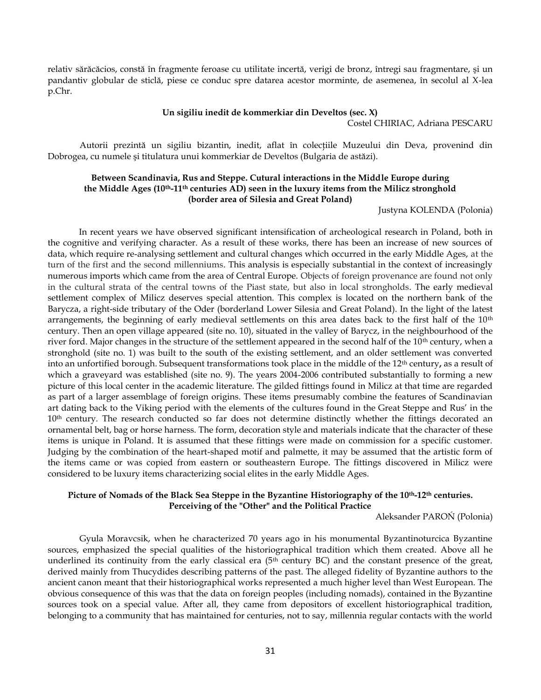relativ sărăcăcios, constă în fragmente feroase cu utilitate incertă, verigi de bronz, întregi sau fragmentare, şi un pandantiv globular de sticlă, piese ce conduc spre datarea acestor morminte, de asemenea, în secolul al X-lea p.Chr.

#### **Un sigiliu inedit de kommerkiar din Develtos (sec. X)**

Costel CHIRIAC, Adriana PESCARU

Autorii prezintă un sigiliu bizantin, inedit, aflat în colecţiile Muzeului din Deva, provenind din Dobrogea, cu numele şi titulatura unui kommerkiar de Develtos (Bulgaria de astăzi).

## **Between Scandinavia, Rus and Steppe. Cutural interactions in the Middle Europe during the Middle Ages (10th-11th centuries AD) seen in the luxury items from the Milicz stronghold (border area of Silesia and Great Poland)**

Justyna KOLENDA (Polonia)

In recent years we have observed significant intensification of archeological research in Poland, both in the cognitive and verifying character. As a result of these works, there has been an increase of new sources of data, which require re-analysing settlement and cultural changes which occurred in the early Middle Ages, at the turn of the first and the second millenniums. This analysis is especially substantial in the context of increasingly numerous imports which came from the area of Central Europe. Objects of foreign provenance are found not only in the cultural strata of the central towns of the Piast state, but also in local strongholds. The early medieval settlement complex of Milicz deserves special attention. This complex is located on the northern bank of the Barycza, a right-side tributary of the Oder (borderland Lower Silesia and Great Poland). In the light of the latest arrangements, the beginning of early medieval settlements on this area dates back to the first half of the 10<sup>th</sup> century. Then an open village appeared (site no. 10), situated in the valley of Barycz, in the neighbourhood of the river ford. Major changes in the structure of the settlement appeared in the second half of the 10<sup>th</sup> century, when a stronghold (site no. 1) was built to the south of the existing settlement, and an older settlement was converted into an unfortified borough. Subsequent transformations took place in the middle of the 12th century**,** as a result of which a graveyard was established (site no. 9). The years 2004-2006 contributed substantially to forming a new picture of this local center in the academic literature. The gilded fittings found in Milicz at that time are regarded as part of a larger assemblage of foreign origins. These items presumably combine the features of Scandinavian art dating back to the Viking period with the elements of the cultures found in the Great Steppe and Rus' in the 10<sup>th</sup> century. The research conducted so far does not determine distinctly whether the fittings decorated an ornamental belt, bag or horse harness. The form, decoration style and materials indicate that the character of these items is unique in Poland. It is assumed that these fittings were made on commission for a specific customer. Judging by the combination of the heart-shaped motif and palmette, it may be assumed that the artistic form of the items came or was copied from eastern or southeastern Europe. The fittings discovered in Milicz were considered to be luxury items characterizing social elites in the early Middle Ages.

## **Picture of Nomads of the Black Sea Steppe in the Byzantine Historiography of the 10th-12th centuries. Perceiving of the "Other" and the Political Practice**

Aleksander PAROŃ (Polonia)

Gyula Moravcsik, when he characterized 70 years ago in his monumental Byzantinoturcica Byzantine sources, emphasized the special qualities of the historiographical tradition which them created. Above all he underlined its continuity from the early classical era  $(5<sup>th</sup>$  century BC) and the constant presence of the great, derived mainly from Thucydides describing patterns of the past. The alleged fidelity of Byzantine authors to the ancient canon meant that their historiographical works represented a much higher level than West European. The obvious consequence of this was that the data on foreign peoples (including nomads), contained in the Byzantine sources took on a special value. After all, they came from depositors of excellent historiographical tradition, belonging to a community that has maintained for centuries, not to say, millennia regular contacts with the world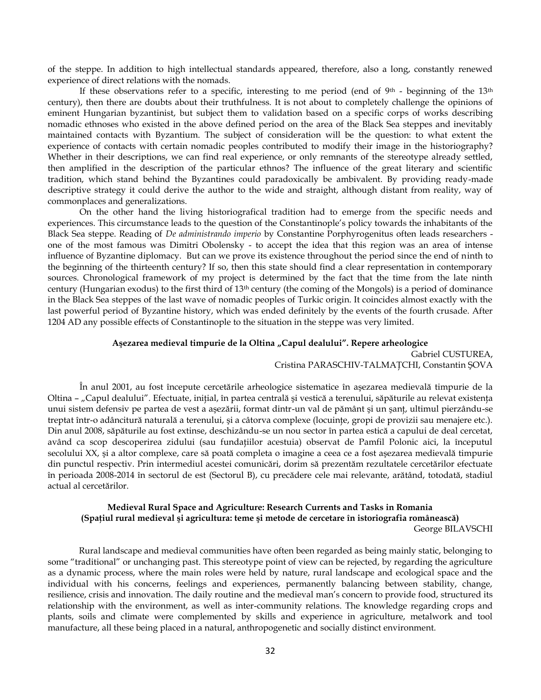of the steppe. In addition to high intellectual standards appeared, therefore, also a long, constantly renewed experience of direct relations with the nomads.

If these observations refer to a specific, interesting to me period (end of  $9<sup>th</sup>$  - beginning of the 13<sup>th</sup> century), then there are doubts about their truthfulness. It is not about to completely challenge the opinions of eminent Hungarian byzantinist, but subject them to validation based on a specific corps of works describing nomadic ethnoses who existed in the above defined period on the area of the Black Sea steppes and inevitably maintained contacts with Byzantium. The subject of consideration will be the question: to what extent the experience of contacts with certain nomadic peoples contributed to modify their image in the historiography? Whether in their descriptions, we can find real experience, or only remnants of the stereotype already settled, then amplified in the description of the particular ethnos? The influence of the great literary and scientific tradition, which stand behind the Byzantines could paradoxically be ambivalent. By providing ready-made descriptive strategy it could derive the author to the wide and straight, although distant from reality, way of commonplaces and generalizations.

On the other hand the living historiografical tradition had to emerge from the specific needs and experiences. This circumstance leads to the question of the Constantinople's policy towards the inhabitants of the Black Sea steppe. Reading of *De administrando imperio* by Constantine Porphyrogenitus often leads researchers one of the most famous was Dimitri Obolensky - to accept the idea that this region was an area of intense influence of Byzantine diplomacy. But can we prove its existence throughout the period since the end of ninth to the beginning of the thirteenth century? If so, then this state should find a clear representation in contemporary sources. Chronological framework of my project is determined by the fact that the time from the late ninth century (Hungarian exodus) to the first third of 13th century (the coming of the Mongols) is a period of dominance in the Black Sea steppes of the last wave of nomadic peoples of Turkic origin. It coincides almost exactly with the last powerful period of Byzantine history, which was ended definitely by the events of the fourth crusade. After 1204 AD any possible effects of Constantinople to the situation in the steppe was very limited.

#### **Aşezarea medieval timpurie de la Oltina "Capul dealului". Repere arheologice**

Gabriel CUSTUREA, Cristina PARASCHIV-TALMAŢCHI, Constantin ŞOVA

În anul 2001, au fost începute cercetările arheologice sistematice în aşezarea medievală timpurie de la Oltina - "Capul dealului". Efectuate, inițial, în partea centrală și vestică a terenului, săpăturile au relevat existența unui sistem defensiv pe partea de vest a aşezării, format dintr-un val de pământ şi un şanţ, ultimul pierzându-se treptat într-o adâncitură naturală a terenului, și a câtorva complexe (locuințe, gropi de provizii sau menajere etc.). Din anul 2008, săpăturile au fost extinse, deschizându-se un nou sector în partea estică a capului de deal cercetat, având ca scop descoperirea zidului (sau fundaţiilor acestuia) observat de Pamfil Polonic aici, la începutul secolului XX, şi a altor complexe, care să poată completa o imagine a ceea ce a fost aşezarea medievală timpurie din punctul respectiv. Prin intermediul acestei comunicări, dorim să prezentăm rezultatele cercetărilor efectuate în perioada 2008-2014 în sectorul de est (Sectorul B), cu precădere cele mai relevante, arătând, totodată, stadiul actual al cercetărilor.

# **Medieval Rural Space and Agriculture: Research Currents and Tasks in Romania (Spaţiul rural medieval şi agricultura: teme şi metode de cercetare în istoriografia românească)**

George BILAVSCHI

Rural landscape and medieval communities have often been regarded as being mainly static, belonging to some "traditional" or unchanging past. This stereotype point of view can be rejected, by regarding the agriculture as a dynamic process, where the main roles were held by nature, rural landscape and ecological space and the individual with his concerns, feelings and experiences, permanently balancing between stability, change, resilience, crisis and innovation. The daily routine and the medieval man's concern to provide food, structured its relationship with the environment, as well as inter-community relations. The knowledge regarding crops and plants, soils and climate were complemented by skills and experience in agriculture, metalwork and tool manufacture, all these being placed in a natural, anthropogenetic and socially distinct environment.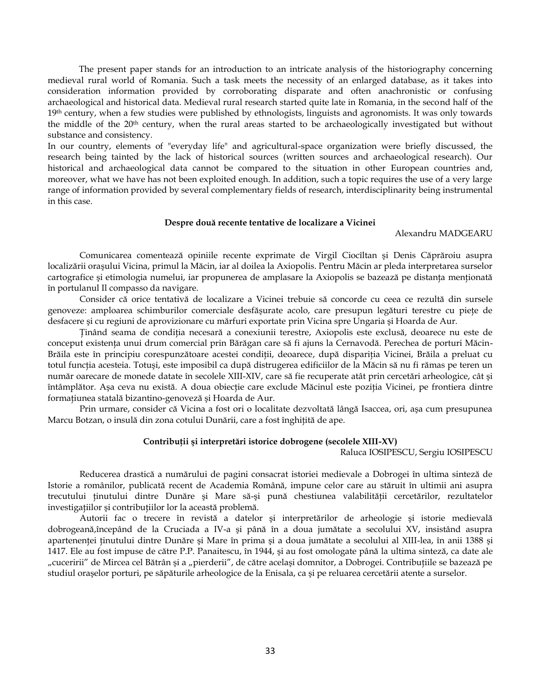The present paper stands for an introduction to an intricate analysis of the historiography concerning medieval rural world of Romania. Such a task meets the necessity of an enlarged database, as it takes into consideration information provided by corroborating disparate and often anachronistic or confusing archaeological and historical data. Medieval rural research started quite late in Romania, in the second half of the 19<sup>th</sup> century, when a few studies were published by ethnologists, linguists and agronomists. It was only towards the middle of the 20th century, when the rural areas started to be archaeologically investigated but without substance and consistency.

In our country, elements of "everyday life" and agricultural-space organization were briefly discussed, the research being tainted by the lack of historical sources (written sources and archaeological research). Our historical and archaeological data cannot be compared to the situation in other European countries and, moreover, what we have has not been exploited enough. In addition, such a topic requires the use of a very large range of information provided by several complementary fields of research, interdisciplinarity being instrumental in this case.

#### **Despre două recente tentative de localizare a Vicinei**

#### Alexandru MADGEARU

Comunicarea comentează opiniile recente exprimate de Virgil Ciocîltan şi Denis Căprăroiu asupra localizării oraşului Vicina, primul la Măcin, iar al doilea la Axiopolis. Pentru Măcin ar pleda interpretarea surselor cartografice și etimologia numelui, iar propunerea de amplasare la Axiopolis se bazează pe distanța menționată în portulanul Il compasso da navigare.

Consider că orice tentativă de localizare a Vicinei trebuie să concorde cu ceea ce rezultă din sursele genoveze: amploarea schimburilor comerciale desfăşurate acolo, care presupun legături terestre cu pieţe de desfacere şi cu regiuni de aprovizionare cu mărfuri exportate prin Vicina spre Ungaria şi Hoarda de Aur.

Ţinând seama de condiţia necesară a conexiunii terestre, Axiopolis este exclusă, deoarece nu este de conceput existenţa unui drum comercial prin Bărăgan care să fi ajuns la Cernavodă. Perechea de porturi Măcin-Brăila este în principiu corespunzătoare acestei condiţii, deoarece, după dispariţia Vicinei, Brăila a preluat cu totul funcția acesteia. Totuși, este imposibil ca după distrugerea edificiilor de la Măcin să nu fi rămas pe teren un număr oarecare de monede datate în secolele XIII-XIV, care să fie recuperate atât prin cercetări arheologice, cât şi întâmplător. Aşa ceva nu există. A doua obiecţie care exclude Măcinul este poziţia Vicinei, pe frontiera dintre formaţiunea statală bizantino-genoveză şi Hoarda de Aur.

Prin urmare, consider că Vicina a fost ori o localitate dezvoltată lângă Isaccea, ori, aşa cum presupunea Marcu Botzan, o insulă din zona cotului Dunării, care a fost înghiţită de ape.

### **Contribuţii şi interpretări istorice dobrogene (secolele XIII-XV)**

Raluca IOSIPESCU, Sergiu IOSIPESCU

Reducerea drastică a numărului de pagini consacrat istoriei medievale a Dobrogei în ultima sinteză de Istorie a românilor, publicată recent de Academia Română, impune celor care au stăruit în ultimii ani asupra trecutului ţinutului dintre Dunăre şi Mare să-şi pună chestiunea valabilităţii cercetărilor, rezultatelor investigaţiilor şi contribuţiilor lor la această problemă.

Autorii fac o trecere în revistă a datelor şi interpretărilor de arheologie şi istorie medievală dobrogeană,începând de la Cruciada a IV-a şi până în a doua jumătate a secolului XV, insistând asupra apartenenței ținutului dintre Dunăre și Mare în prima și a doua jumătate a secolului al XIII-lea, în anii 1388 și 1417. Ele au fost impuse de către P.P. Panaitescu, în 1944, şi au fost omologate până la ultima sinteză, ca date ale "cuceririi" de Mircea cel Bătrân și a "pierderii", de către același domnitor, a Dobrogei. Contribuțiile se bazează pe studiul oraşelor porturi, pe săpăturile arheologice de la Enisala, ca şi pe reluarea cercetării atente a surselor.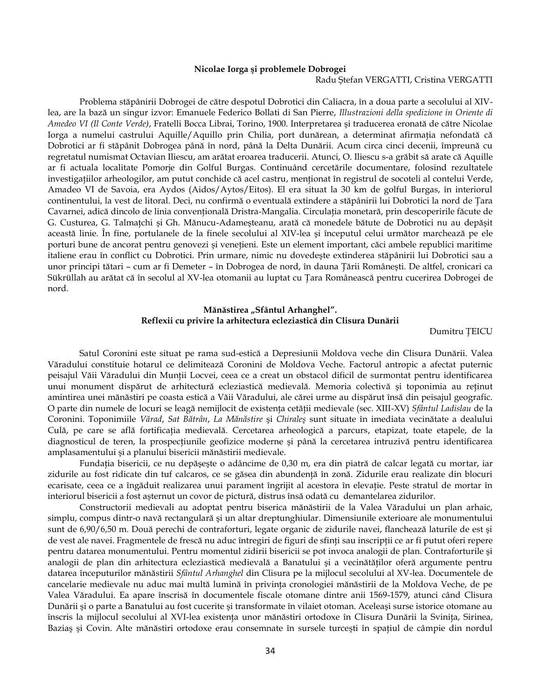## **Nicolae Iorga şi problemele Dobrogei**

## Radu Ştefan VERGATTI, Cristina VERGATTI

Problema stăpânirii Dobrogei de către despotul Dobrotici din Caliacra, în a doua parte a secolului al XIVlea, are la bază un singur izvor: Emanuele Federico Bollati di San Pierre, *Illustrazioni della spedizione in Oriente di Amedeo VI (Il Conte Verde)*, Fratelli Bocca Librai, Torino, 1900. Interpretarea şi traducerea eronată de către Nicolae Iorga a numelui castrului Aquille/Aquillo prin Chilia, port dunărean, a determinat afirmaţia nefondată că Dobrotici ar fi stăpânit Dobrogea până în nord, până la Delta Dunării. Acum circa cinci decenii, împreună cu regretatul numismat Octavian Iliescu, am arătat eroarea traducerii. Atunci, O. Iliescu s-a grăbit să arate că Aquille ar fi actuala localitate Pomorje din Golful Burgas. Continuând cercetările documentare, folosind rezultatele investigaţiilor arheologilor, am putut conchide că acel castru, menţionat în registrul de socoteli al contelui Verde, Amadeo VI de Savoia, era Aydos (Aidos/Aytos/Eitos). El era situat la 30 km de golful Burgas, în interiorul continentului, la vest de litoral. Deci, nu confirmă o eventuală extindere a stăpânirii lui Dobrotici la nord de Ţara Cavarnei, adică dincolo de linia convențională Dristra-Mangalia. Circulația monetară, prin descoperirile făcute de G. Custurea, G. Talmaţchi şi Gh. Mănucu-Adameşteanu, arată că monedele bătute de Dobrotici nu au depăşit această linie. În fine, portulanele de la finele secolului al XIV-lea şi începutul celui următor marchează pe ele porturi bune de ancorat pentru genovezi şi veneţieni. Este un element important, căci ambele republici maritime italiene erau în conflict cu Dobrotici. Prin urmare, nimic nu dovedeşte extinderea stăpânirii lui Dobrotici sau a unor principi tătari – cum ar fi Demeter – în Dobrogea de nord, în dauna Ţării Româneşti. De altfel, cronicari ca Sükrüllah au arătat că în secolul al XV-lea otomanii au luptat cu Ţara Românească pentru cucerirea Dobrogei de nord.

## Mănăstirea "Sfântul Arhanghel". **Reflexii cu privire la arhitectura ecleziastică din Clisura Dunării**

Dumitru ŢEICU

Satul Coronini este situat pe rama sud-estică a Depresiunii Moldova veche din Clisura Dunării. Valea Văradului constituie hotarul ce delimitează Coronini de Moldova Veche. Factorul antropic a afectat puternic peisajul Văii Văradului din Munții Locvei, ceea ce a creat un obstacol dificil de surmontat pentru identificarea unui monument dispărut de arhitectură ecleziastică medievală. Memoria colectivă şi toponimia au reţinut amintirea unei mănăstiri pe coasta estică a Văii Văradului, ale cărei urme au dispărut însă din peisajul geografic. O parte din numele de locuri se leagă nemijlocit de existenţa cetăţii medievale (sec. XIII-XV) *Sfântul Ladislau* de la Coronini. Toponimiile *Vărad*, *Sat Bătrân*, *La Mănăstire* şi *Chiraleş* sunt situate în imediata vecinătate a dealului Culă, pe care se află fortificaţia medievală. Cercetarea arheologică a parcurs, etapizat, toate etapele, de la diagnosticul de teren, la prospecţiunile geofizice moderne şi până la cercetarea intruzivă pentru identificarea amplasamentului şi a planului bisericii mănăstirii medievale.

Fundaţia bisericii, ce nu depăşeşte o adâncime de 0,30 m, era din piatră de calcar legată cu mortar, iar zidurile au fost ridicate din tuf calcaros, ce se găsea din abundenţă în zonă. Zidurile erau realizate din blocuri ecarisate, ceea ce a îngăduit realizarea unui parament îngrijit al acestora în elevaţie. Peste stratul de mortar în interiorul bisericii a fost aşternut un covor de pictură, distrus însă odată cu demantelarea zidurilor.

Constructorii medievali au adoptat pentru biserica mănăstirii de la Valea Văradului un plan arhaic, simplu, compus dintr-o navă rectangulară şi un altar dreptunghiular. Dimensiunile exterioare ale monumentului sunt de 6,90/6,50 m. Două perechi de contraforturi, legate organic de zidurile navei, flanchează laturile de est şi de vest ale navei. Fragmentele de frescă nu aduc întregiri de figuri de sfinți sau inscripții ce ar fi putut oferi repere pentru datarea monumentului. Pentru momentul zidirii bisericii se pot invoca analogii de plan. Contraforturile şi analogii de plan din arhitectura ecleziastică medievală a Banatului şi a vecinătăţilor oferă argumente pentru datarea începuturilor mănăstirii *Sfântul Arhanghel* din Clisura pe la mijlocul secolului al XV-lea. Documentele de cancelarie medievale nu aduc mai multă lumină în privinţa cronologiei mănăstirii de la Moldova Veche, de pe Valea Văradului. Ea apare înscrisă în documentele fiscale otomane dintre anii 1569-1579, atunci când Clisura Dunării şi o parte a Banatului au fost cucerite şi transformate în vilaiet otoman. Aceleaşi surse istorice otomane au înscris la mijlocul secolului al XVI-lea existenţa unor mănăstiri ortodoxe în Clisura Dunării la Sviniţa, Sirinea, Baziaş şi Covin. Alte mănăstiri ortodoxe erau consemnate în sursele turceşti în spaţiul de câmpie din nordul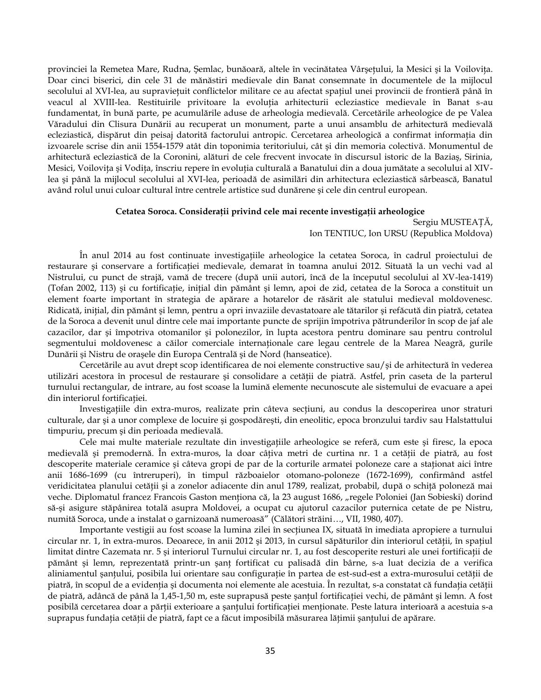provinciei la Remetea Mare, Rudna, Şemlac, bunăoară, altele în vecinătatea Vârșețului, la Mesici și la Voilovița. Doar cinci biserici, din cele 31 de mănăstiri medievale din Banat consemnate în documentele de la mijlocul secolului al XVI-lea, au supraviețuit conflictelor militare ce au afectat spațiul unei provincii de frontieră până în veacul al XVIII-lea. Restituirile privitoare la evoluţia arhitecturii ecleziastice medievale în Banat s-au fundamentat, în bună parte, pe acumulările aduse de arheologia medievală. Cercetările arheologice de pe Valea Văradului din Clisura Dunării au recuperat un monument, parte a unui ansamblu de arhitectură medievală ecleziastică, dispărut din peisaj datorită factorului antropic. Cercetarea arheologică a confirmat informaţia din izvoarele scrise din anii 1554-1579 atât din toponimia teritoriului, cât şi din memoria colectivă. Monumentul de arhitectură ecleziastică de la Coronini, alături de cele frecvent invocate în discursul istoric de la Baziaş, Sirinia, Mesici, Voilovita și Vodita, înscriu repere în evolutia culturală a Banatului din a doua jumătate a secolului al XIVlea şi până la mijlocul secolului al XVI-lea, perioadă de asimilări din arhitectura ecleziastică sârbească, Banatul având rolul unui culoar cultural între centrele artistice sud dunărene şi cele din centrul european.

### **Cetatea Soroca. Consideraţii privind cele mai recente investigaţii arheologice**

Sergiu MUSTEAŢĂ, Ion TENTIUC, Ion URSU (Republica Moldova)

În anul 2014 au fost continuate investigaţiile arheologice la cetatea Soroca, în cadrul proiectului de restaurare şi conservare a fortificaţiei medievale, demarat în toamna anului 2012. Situată la un vechi vad al Nistrului, cu punct de strajă, vamă de trecere (după unii autori, încă de la începutul secolului al XV-lea-1419) (Tofan 2002, 113) şi cu fortificaţie, iniţial din pământ şi lemn, apoi de zid, cetatea de la Soroca a constituit un element foarte important în strategia de apărare a hotarelor de răsărit ale statului medieval moldovenesc. Ridicată, iniţial, din pământ şi lemn, pentru a opri invaziile devastatoare ale tătarilor şi refăcută din piatră, cetatea de la Soroca a devenit unul dintre cele mai importante puncte de sprijin împotriva pătrunderilor în scop de jaf ale cazacilor, dar şi împotriva otomanilor şi polonezilor, în lupta acestora pentru dominare sau pentru controlul segmentului moldovenesc a căilor comerciale internaționale care legau centrele de la Marea Neagră, gurile Dunării şi Nistru de oraşele din Europa Centrală şi de Nord (hanseatice).

Cercetările au avut drept scop identificarea de noi elemente constructive sau/şi de arhitectură în vederea utilizări acestora în procesul de restaurare şi consolidare a cetăţii de piatră. Astfel, prin caseta de la parterul turnului rectangular, de intrare, au fost scoase la lumină elemente necunoscute ale sistemului de evacuare a apei din interiorul fortificației.

Investigaţiile din extra-muros, realizate prin câteva secţiuni, au condus la descoperirea unor straturi culturale, dar şi a unor complexe de locuire şi gospodăreşti, din eneolitic, epoca bronzului tardiv sau Halstattului timpuriu, precum şi din perioada medievală.

Cele mai multe materiale rezultate din investigaţiile arheologice se referă, cum este şi firesc, la epoca medievală și premodernă. În extra-muros, la doar câțiva metri de curtina nr. 1 a cetății de piatră, au fost descoperite materiale ceramice și câteva gropi de par de la corturile armatei poloneze care a staționat aici între anii 1686-1699 (cu întreruperi), în timpul războaielor otomano-poloneze (1672-1699), confirmând astfel veridicitatea planului cetăţii şi a zonelor adiacente din anul 1789, realizat, probabil, după o schiţă poloneză mai veche. Diplomatul francez Francois Gaston menționa că, la 23 august 1686, "regele Poloniei (Jan Sobieski) dorind să-şi asigure stăpânirea totală asupra Moldovei, a ocupat cu ajutorul cazacilor puternica cetate de pe Nistru, numită Soroca, unde a instalat o garnizoană numeroasă" (Călători străini…, VII, 1980, 407).

Importante vestigii au fost scoase la lumina zilei în secţiunea IX, situată în imediata apropiere a turnului circular nr. 1, în extra-muros. Deoarece, în anii 2012 şi 2013, în cursul săpăturilor din interiorul cetăţii, în spaţiul limitat dintre Cazemata nr. 5 şi interiorul Turnului circular nr. 1, au fost descoperite resturi ale unei fortificaţii de pământ și lemn, reprezentată printr-un șanț fortificat cu palisadă din bârne, s-a luat decizia de a verifica aliniamentul şanțului, posibila lui orientare sau configurație în partea de est-sud-est a extra-murosului cetății de piatră, în scopul de a evidenţia şi documenta noi elemente ale acestuia. În rezultat, s-a constatat că fundaţia cetăţii de piatră, adâncă de până la 1,45-1,50 m, este suprapusă peste şanţul fortificaţiei vechi, de pământ şi lemn. A fost posibilă cercetarea doar a părţii exterioare a şanţului fortificaţiei menţionate. Peste latura interioară a acestuia s-a suprapus fundaţia cetăţii de piatră, fapt ce a făcut imposibilă măsurarea lăţimii şanţului de apărare.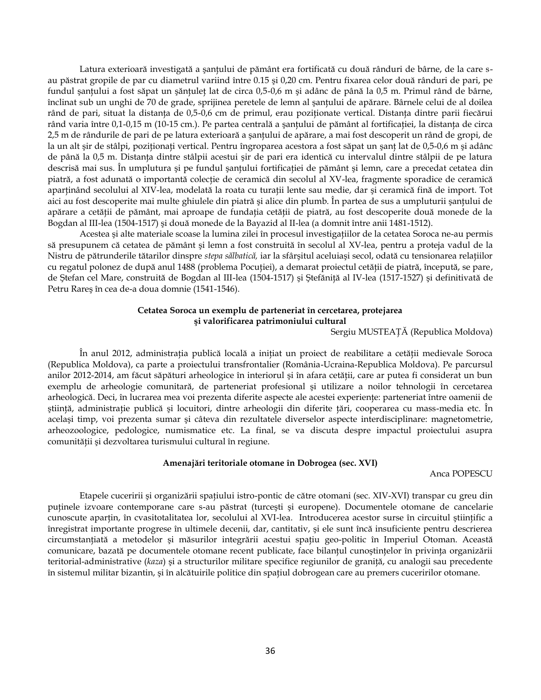Latura exterioară investigată a șanțului de pământ era fortificată cu două rânduri de bârne, de la care sau păstrat gropile de par cu diametrul variind între 0.15 şi 0,20 cm. Pentru fixarea celor două rânduri de pari, pe fundul şanţului a fost săpat un şănţuleţ lat de circa 0,5-0,6 m şi adânc de până la 0,5 m. Primul rând de bârne, înclinat sub un unghi de 70 de grade, sprijinea peretele de lemn al şanţului de apărare. Bârnele celui de al doilea rând de pari, situat la distanţa de 0,5-0,6 cm de primul, erau poziţionate vertical. Distanţa dintre parii fiecărui rând varia între 0,1-0,15 m (10-15 cm.). Pe partea centrală a şanţului de pământ al fortificaţiei, la distanţa de circa 2,5 m de rândurile de pari de pe latura exterioară a şanţului de apărare, a mai fost descoperit un rând de gropi, de la un alt şir de stâlpi, poziționați vertical. Pentru îngroparea acestora a fost săpat un șanț lat de 0,5-0,6 m și adânc de până la 0,5 m. Distanţa dintre stâlpii acestui şir de pari era identică cu intervalul dintre stâlpii de pe latura descrisă mai sus. În umplutura şi pe fundul şanţului fortificaţiei de pământ şi lemn, care a precedat cetatea din piatră, a fost adunată o importantă colecţie de ceramică din secolul al XV-lea, fragmente sporadice de ceramică aparținând secolului al XIV-lea, modelată la roata cu turații lente sau medie, dar și ceramică fină de import. Tot aici au fost descoperite mai multe ghiulele din piatră şi alice din plumb. În partea de sus a umpluturii şanţului de apărare a cetăţii de pământ, mai aproape de fundaţia cetăţii de piatră, au fost descoperite două monede de la Bogdan al III-lea (1504-1517) şi două monede de la Bayazid al II-lea (a domnit între anii 1481-1512).

Acestea şi alte materiale scoase la lumina zilei în procesul investigaţiilor de la cetatea Soroca ne-au permis să presupunem că cetatea de pământ şi lemn a fost construită în secolul al XV-lea, pentru a proteja vadul de la Nistru de pătrunderile tătarilor dinspre *stepa sălbatică,* iar la sfârşitul aceluiaşi secol, odată cu tensionarea relaţiilor cu regatul polonez de după anul 1488 (problema Pocuţiei), a demarat proiectul cetăţii de piatră, începută, se pare, de Ştefan cel Mare, construită de Bogdan al III-lea (1504-1517) şi Ştefăniţă al IV-lea (1517-1527) şi definitivată de Petru Rareş în cea de-a doua domnie (1541-1546).

## **Cetatea Soroca un exemplu de parteneriat în cercetarea, protejarea şi valorificarea patrimoniului cultural**

Sergiu MUSTEAŢĂ (Republica Moldova)

În anul 2012, administraţia publică locală a iniţiat un proiect de reabilitare a cetăţii medievale Soroca (Republica Moldova), ca parte a proiectului transfrontalier (România-Ucraina-Republica Moldova). Pe parcursul anilor 2012-2014, am făcut săpături arheologice în interiorul și în afara cetății, care ar putea fi considerat un bun exemplu de arheologie comunitară, de parteneriat profesional şi utilizare a noilor tehnologii în cercetarea arheologică. Deci, în lucrarea mea voi prezenta diferite aspecte ale acestei experienţe: parteneriat între oamenii de ştiinţă, administraţie publică şi locuitori, dintre arheologii din diferite ţări, cooperarea cu mass-media etc. În acelaşi timp, voi prezenta sumar şi câteva din rezultatele diverselor aspecte interdisciplinare: magnetometrie, arheozoologice, pedologice, numismatice etc. La final, se va discuta despre impactul proiectului asupra comunităţii şi dezvoltarea turismului cultural în regiune.

#### **Amenajări teritoriale otomane în Dobrogea (sec. XVI)**

Anca POPESCU

Etapele cuceririi şi organizării spaţiului istro-pontic de către otomani (sec. XIV-XVI) transpar cu greu din puţinele izvoare contemporane care s-au păstrat (turceşti şi europene). Documentele otomane de cancelarie cunoscute aparţin, în cvasitotalitatea lor, secolului al XVI-lea. Introducerea acestor surse în circuitul ştiinţific a înregistrat importante progrese în ultimele decenii, dar, cantitativ, şi ele sunt încă insuficiente pentru descrierea circumstanțiată a metodelor și măsurilor integrării acestui spațiu geo-politic în Imperiul Otoman. Această comunicare, bazată pe documentele otomane recent publicate, face bilanțul cunoștințelor în privința organizării teritorial-administrative (*kaza*) şi a structurilor militare specifice regiunilor de graniţă, cu analogii sau precedente în sistemul militar bizantin, şi în alcătuirile politice din spaţiul dobrogean care au premers cuceririlor otomane.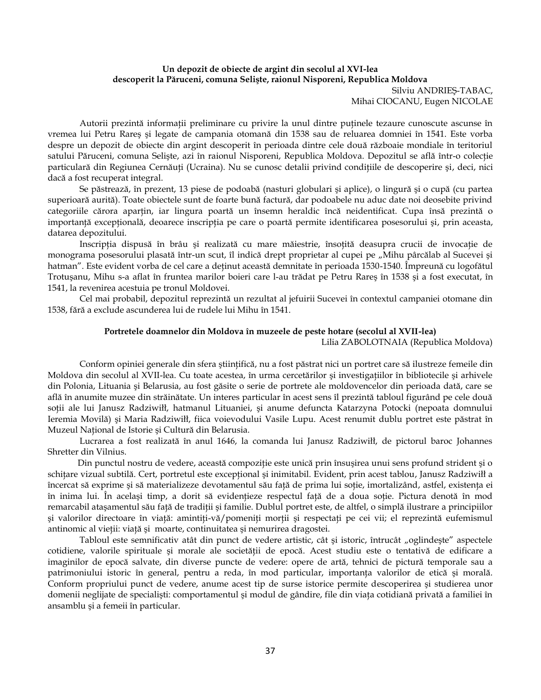## **Un depozit de obiecte de argint din secolul al XVI-lea descoperit la Păruceni, comuna Selişte, raionul Nisporeni, Republica Moldova**

Silviu ANDRIEŞ-TABAC, Mihai CIOCANU, Eugen NICOLAE

Autorii prezintă informaţii preliminare cu privire la unul dintre puţinele tezaure cunoscute ascunse în vremea lui Petru Rareş şi legate de campania otomană din 1538 sau de reluarea domniei în 1541. Este vorba despre un depozit de obiecte din argint descoperit în perioada dintre cele două războaie mondiale în teritoriul satului Păruceni, comuna Seliste, azi în raionul Nisporeni, Republica Moldova. Depozitul se află într-o colectie particulară din Regiunea Cernăuţi (Ucraina). Nu se cunosc detalii privind condiţiile de descoperire şi, deci, nici dacă a fost recuperat integral.

Se păstrează, în prezent, 13 piese de podoabă (nasturi globulari şi aplice), o lingură şi o cupă (cu partea superioară aurită). Toate obiectele sunt de foarte bună factură, dar podoabele nu aduc date noi deosebite privind categoriile cărora aparţin, iar lingura poartă un însemn heraldic încă neidentificat. Cupa însă prezintă o importanţă excepţională, deoarece inscripţia pe care o poartă permite identificarea posesorului şi, prin aceasta, datarea depozitului.

Inscripția dispusă în brâu și realizată cu mare măiestrie, însoțită deasupra crucii de invocație de monograma posesorului plasată într-un scut, îl indică drept proprietar al cupei pe "Mihu pârcălab al Sucevei și hatman". Este evident vorba de cel care a deţinut această demnitate în perioada 1530-1540. Împreună cu logofătul Trotuşanu, Mihu s-a aflat în fruntea marilor boieri care l-au trădat pe Petru Rareş în 1538 şi a fost executat, în 1541, la revenirea acestuia pe tronul Moldovei.

Cel mai probabil, depozitul reprezintă un rezultat al jefuirii Sucevei în contextul campaniei otomane din 1538, fără a exclude ascunderea lui de rudele lui Mihu în 1541.

#### **Portretele doamnelor din Moldova în muzeele de peste hotare (secolul al XVII-lea)**

Lilia ZABOLOTNAIA (Republica Moldova)

Conform opiniei generale din sfera ştiinţifică, nu a fost păstrat nici un portret care să ilustreze femeile din Moldova din secolul al XVII-lea. Cu toate acestea, în urma cercetărilor şi investigaţiilor în bibliotecile şi arhivele din Polonia, Lituania şi Belarusia, au fost găsite o serie de portrete ale moldovencelor din perioada dată, care se află în anumite muzee din străinătate. Un interes particular în acest sens îl prezintă tabloul figurând pe cele două soții ale lui Janusz Radziwiłł, hatmanul Lituaniei, și anume defuncta Katarzyna Potocki (nepoata domnului Ieremia Movilă) şi Maria Radziwiłł, fiica voievodului Vasile Lupu. Acest renumit dublu portret este păstrat în Muzeul Naţional de Istorie şi Cultură din Belarusia.

Lucrarea a fost realizată în anul 1646, la comanda lui Janusz Radziwiłł, de pictorul baroc Johannes Shretter din Vilnius.

Din punctul nostru de vedere, această compoziţie este unică prin însuşirea unui sens profund strident şi o schițare vizual subtilă. Cert, portretul este excepțional și inimitabil. Evident, prin acest tablou, Janusz Radziwiłł a încercat să exprime şi să materializeze devotamentul său faţă de prima lui soţie, imortalizând, astfel, existenţa ei în inima lui. În acelaşi timp, a dorit să evidenţieze respectul faţă de a doua soţie. Pictura denotă în mod remarcabil ataşamentul său faţă de tradiţii şi familie. Dublul portret este, de altfel, o simplă ilustrare a principiilor şi valorilor directoare în viaţă: amintiţi-vă/pomeniţi morţii şi respectaţi pe cei vii; el reprezintă eufemismul antinomic al vieţii: viaţă şi moarte, continuitatea şi nemurirea dragostei.

Tabloul este semnificativ atât din punct de vedere artistic, cât și istoric, întrucât "oglindește" aspectele cotidiene, valorile spirituale şi morale ale societăţii de epocă. Acest studiu este o tentativă de edificare a imaginilor de epocă salvate, din diverse puncte de vedere: opere de artă, tehnici de pictură temporale sau a patrimoniului istoric în general, pentru a reda, în mod particular, importanţa valorilor de etică şi morală. Conform propriului punct de vedere, anume acest tip de surse istorice permite descoperirea şi studierea unor domenii neglijate de specialişti: comportamentul şi modul de gândire, file din viaţa cotidiană privată a familiei în ansamblu şi a femeii în particular.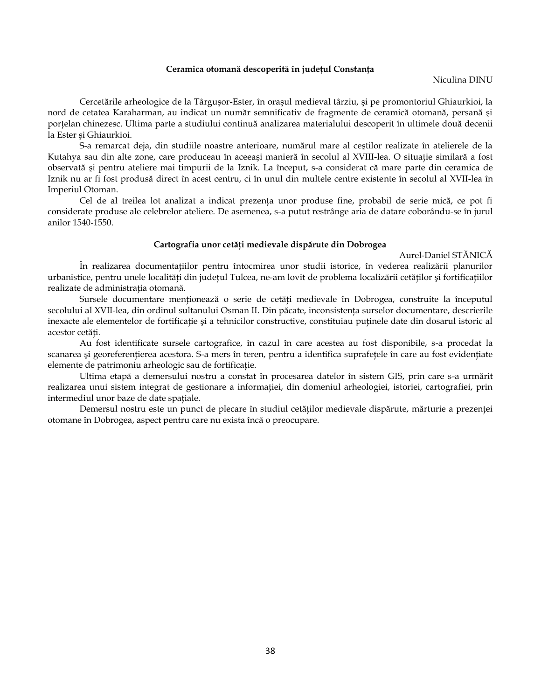#### **Ceramica otomană descoperită în judeţul Constanţa**

#### Niculina DINU

Cercetările arheologice de la Târguşor-Ester, în oraşul medieval târziu, şi pe promontoriul Ghiaurkioi, la nord de cetatea Karaharman, au indicat un număr semnificativ de fragmente de ceramică otomană, persană şi portelan chinezesc. Ultima parte a studiului continuă analizarea materialului descoperit în ultimele două decenii la Ester şi Ghiaurkioi.

S-a remarcat deja, din studiile noastre anterioare, numărul mare al ceştilor realizate în atelierele de la Kutahya sau din alte zone, care produceau în aceeași manieră în secolul al XVIII-lea. O situație similară a fost observată şi pentru ateliere mai timpurii de la Iznik. La început, s-a considerat că mare parte din ceramica de Iznik nu ar fi fost produsă direct în acest centru, ci în unul din multele centre existente în secolul al XVII-lea în Imperiul Otoman.

Cel de al treilea lot analizat a indicat prezenţa unor produse fine, probabil de serie mică, ce pot fi considerate produse ale celebrelor ateliere. De asemenea, s-a putut restrânge aria de datare coborându-se în jurul anilor 1540-1550.

#### **Cartografia unor cetăţi medievale dispărute din Dobrogea**

Aurel-Daniel STĂNICĂ

În realizarea documentațiilor pentru întocmirea unor studii istorice, în vederea realizării planurilor urbanistice, pentru unele localităţi din judeţul Tulcea, ne-am lovit de problema localizării cetăţilor şi fortificaţiilor realizate de administratia otomană.

Sursele documentare menţionează o serie de cetăţi medievale în Dobrogea, construite la începutul secolului al XVII-lea, din ordinul sultanului Osman II. Din păcate, inconsistenţa surselor documentare, descrierile inexacte ale elementelor de fortificaţie şi a tehnicilor constructive, constituiau puţinele date din dosarul istoric al acestor cetăți.

Au fost identificate sursele cartografice, în cazul în care acestea au fost disponibile, s-a procedat la scanarea și georeferențierea acestora. S-a mers în teren, pentru a identifica suprafețele în care au fost evidențiate elemente de patrimoniu arheologic sau de fortificaţie.

Ultima etapă a demersului nostru a constat în procesarea datelor în sistem GIS, prin care s-a urmărit realizarea unui sistem integrat de gestionare a informației, din domeniul arheologiei, istoriei, cartografiei, prin intermediul unor baze de date spaţiale.

Demersul nostru este un punct de plecare în studiul cetăţilor medievale dispărute, mărturie a prezenţei otomane în Dobrogea, aspect pentru care nu exista încă o preocupare.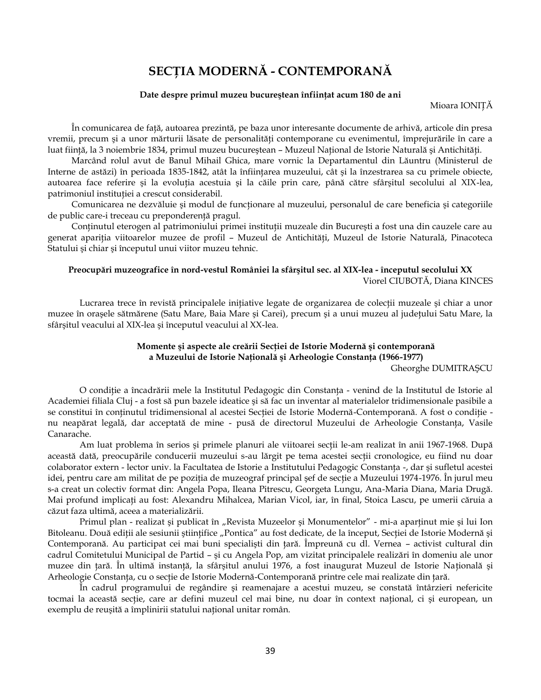# **SECŢIA MODERNĂ - CONTEMPORANĂ**

#### **Date despre primul muzeu bucureştean înfiinţat acum 180 de ani**

Mioara IONIŢĂ

În comunicarea de faţă, autoarea prezintă, pe baza unor interesante documente de arhivă, articole din presa vremii, precum şi a unor mărturii lăsate de personalităţi contemporane cu evenimentul, împrejurările în care a luat fiinţă, la 3 noiembrie 1834, primul muzeu bucureştean – Muzeul Naţional de Istorie Naturală şi Antichităţi.

Marcând rolul avut de Banul Mihail Ghica, mare vornic la Departamentul din Lăuntru (Ministerul de Interne de astăzi) în perioada 1835-1842, atât la înfiinţarea muzeului, cât şi la înzestrarea sa cu primele obiecte, autoarea face referire și la evoluția acestuia și la căile prin care, până către sfârșitul secolului al XIX-lea, patrimoniul instituţiei a crescut considerabil.

Comunicarea ne dezvăluie și modul de funcționare al muzeului, personalul de care beneficia și categoriile de public care-i treceau cu preponderenţă pragul.

Conținutul eterogen al patrimoniului primei instituții muzeale din București a fost una din cauzele care au generat apariția viitoarelor muzee de profil - Muzeul de Antichități, Muzeul de Istorie Naturală, Pinacoteca Statului şi chiar şi începutul unui viitor muzeu tehnic.

## **Preocupări muzeografice în nord-vestul României la sfârşitul sec. al XIX-lea - începutul secolului XX** Viorel CIUBOTĂ, Diana KINCES

Lucrarea trece în revistă principalele iniţiative legate de organizarea de colecţii muzeale şi chiar a unor muzee în oraşele sătmărene (Satu Mare, Baia Mare şi Carei), precum şi a unui muzeu al judeţului Satu Mare, la sfârşitul veacului al XIX-lea şi începutul veacului al XX-lea.

## **Momente şi aspecte ale creării Secţiei de Istorie Modernă şi contemporană a Muzeului de Istorie Naţională şi Arheologie Constanţa (1966-1977)**

Gheorghe DUMITRAŞCU

O condiţie a încadrării mele la Institutul Pedagogic din Constanţa - venind de la Institutul de Istorie al Academiei filiala Cluj - a fost să pun bazele ideatice şi să fac un inventar al materialelor tridimensionale pasibile a se constitui în conținutul tridimensional al acestei Secției de Istorie Modernă-Contemporană. A fost o condiție nu neapărat legală, dar acceptată de mine - pusă de directorul Muzeului de Arheologie Constanţa, Vasile Canarache.

Am luat problema în serios și primele planuri ale viitoarei secții le-am realizat în anii 1967-1968. După această dată, preocupările conducerii muzeului s-au lărgit pe tema acestei secţii cronologice, eu fiind nu doar colaborator extern - lector univ. la Facultatea de Istorie a Institutului Pedagogic Constanţa -, dar şi sufletul acestei idei, pentru care am militat de pe poziţia de muzeograf principal şef de secţie a Muzeului 1974-1976. În jurul meu s-a creat un colectiv format din: Angela Popa, Ileana Pitrescu, Georgeta Lungu, Ana-Maria Diana, Maria Drugă. Mai profund implicaţi au fost: Alexandru Mihalcea, Marian Vicol, iar, în final, Stoica Lascu, pe umerii căruia a căzut faza ultimă, aceea a materializării.

Primul plan - realizat și publicat în "Revista Muzeelor și Monumentelor" - mi-a aparținut mie și lui Ion Bitoleanu. Două ediții ale sesiunii științifice "Pontica" au fost dedicate, de la început, Secției de Istorie Modernă și Contemporană. Au participat cei mai buni specialişti din ţară. Împreună cu dl. Vernea – activist cultural din cadrul Comitetului Municipal de Partid – şi cu Angela Pop, am vizitat principalele realizări în domeniu ale unor muzee din ţară. În ultimă instanţă, la sfârşitul anului 1976, a fost inaugurat Muzeul de Istorie Naţională şi Arheologie Constanţa, cu o secţie de Istorie Modernă-Contemporană printre cele mai realizate din ţară.

În cadrul programului de regândire şi reamenajare a acestui muzeu, se constată întârzieri nefericite tocmai la această secţie, care ar defini muzeul cel mai bine, nu doar în context naţional, ci şi european, un exemplu de reuşită a împlinirii statului naţional unitar român.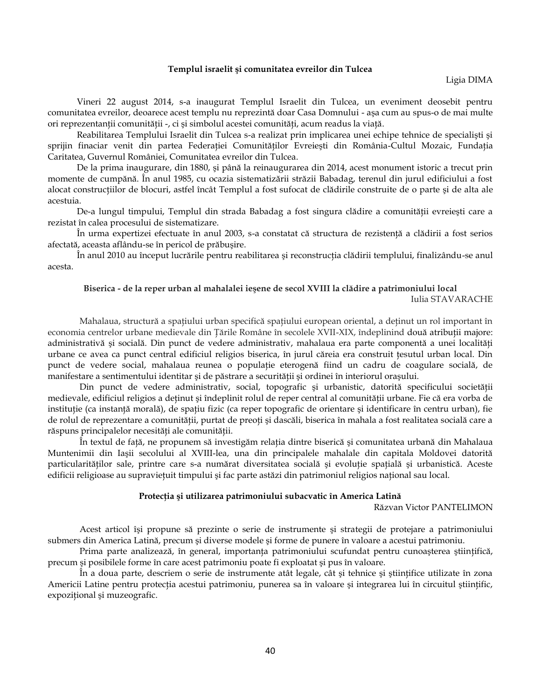#### **Templul israelit şi comunitatea evreilor din Tulcea**

Ligia DIMA

Vineri 22 august 2014, s-a inaugurat Templul Israelit din Tulcea, un eveniment deosebit pentru comunitatea evreilor, deoarece acest templu nu reprezintă doar Casa Domnului - aşa cum au spus-o de mai multe ori reprezentanţii comunităţii -, ci şi simbolul acestei comunităţi, acum readus la viaţă.

Reabilitarea Templului Israelit din Tulcea s-a realizat prin implicarea unei echipe tehnice de specialişti şi sprijin finaciar venit din partea Federaţiei Comunităţilor Evreieşti din România-Cultul Mozaic, Fundaţia Caritatea, Guvernul României, Comunitatea evreilor din Tulcea.

De la prima inaugurare, din 1880, şi până la reinaugurarea din 2014, acest monument istoric a trecut prin momente de cumpănă. În anul 1985, cu ocazia sistematizării străzii Babadag, terenul din jurul edificiului a fost alocat construcţiilor de blocuri, astfel încât Templul a fost sufocat de clădirile construite de o parte şi de alta ale acestuia.

De-a lungul timpului, Templul din strada Babadag a fost singura clădire a comunităţii evreieşti care a rezistat în calea procesului de sistematizare.

În urma expertizei efectuate în anul 2003, s-a constatat că structura de rezistenţă a clădirii a fost serios afectată, aceasta aflându-se în pericol de prăbuşire.

În anul 2010 au început lucrările pentru reabilitarea şi reconstrucţia clădirii templului, finalizându-se anul acesta.

## **Biserica - de la reper urban al mahalalei ieşene de secol XVIII la clădire a patrimoniului local**

Iulia STAVARACHE

Mahalaua, structură a spaţiului urban specifică spaţiului european oriental, a deţinut un rol important în economia centrelor urbane medievale din Ţările Române în secolele XVII-XIX, îndeplinind două atribuţii majore: administrativă şi socială. Din punct de vedere administrativ, mahalaua era parte componentă a unei localităţi urbane ce avea ca punct central edificiul religios biserica, în jurul căreia era construit ţesutul urban local. Din punct de vedere social, mahalaua reunea o populație eterogenă fiind un cadru de coagulare socială, de manifestare a sentimentului identitar şi de păstrare a securităţii şi ordinei în interiorul oraşului.

Din punct de vedere administrativ, social, topografic şi urbanistic, datorită specificului societăţii medievale, edificiul religios a deţinut şi îndeplinit rolul de reper central al comunităţii urbane. Fie că era vorba de instituție (ca instanță morală), de spațiu fizic (ca reper topografic de orientare și identificare în centru urban), fie de rolul de reprezentare a comunității, purtat de preoți și dascăli, biserica în mahala a fost realitatea socială care a răspuns principalelor necesităţi ale comunităţii.

În textul de faţă, ne propunem să investigăm relaţia dintre biserică şi comunitatea urbană din Mahalaua Muntenimii din Iaşii secolului al XVIII-lea, una din principalele mahalale din capitala Moldovei datorită particularităților sale, printre care s-a numărat diversitatea socială și evoluție spațială și urbanistică. Aceste edificii religioase au supravieţuit timpului şi fac parte astăzi din patrimoniul religios naţional sau local.

## **Protecţia şi utilizarea patrimoniului subacvatic în America Latină**

Răzvan Victor PANTELIMON

Acest articol îşi propune să prezinte o serie de instrumente şi strategii de protejare a patrimoniului submers din America Latină, precum şi diverse modele şi forme de punere în valoare a acestui patrimoniu.

Prima parte analizează, în general, importanţa patrimoniului scufundat pentru cunoaşterea ştiinţifică, precum şi posibilele forme în care acest patrimoniu poate fi exploatat şi pus în valoare.

În a doua parte, descriem o serie de instrumente atât legale, cât şi tehnice şi ştiinţifice utilizate în zona Americii Latine pentru protecția acestui patrimoniu, punerea sa în valoare și integrarea lui în circuitul științific, expozitional și muzeografic.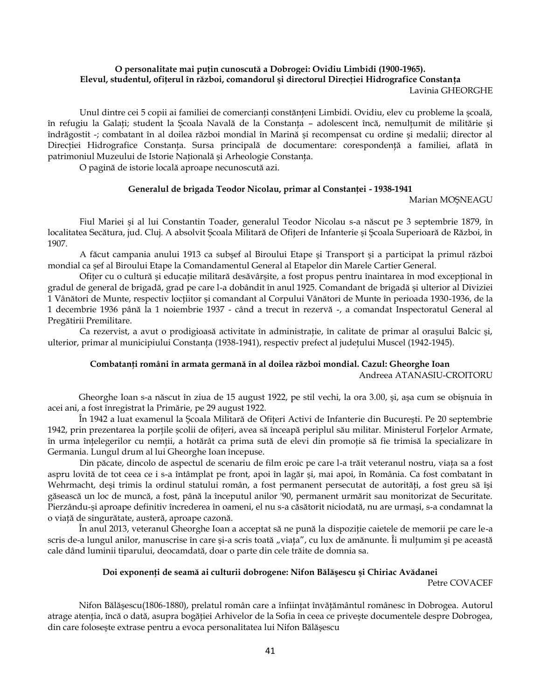#### **O personalitate mai puţin cunoscută a Dobrogei: Ovidiu Limbidi (1900-1965). Elevul, studentul, ofiţerul în război, comandorul şi directorul Direcţiei Hidrografice Constanţa**  Lavinia GHEORGHE

Unul dintre cei 5 copii ai familiei de comercianți constănțeni Limbidi. Ovidiu, elev cu probleme la școală, în refugiu la Galaţi; student la Şcoala Navală de la Constanţa – adolescent încă, nemulţumit de militărie şi îndrăgostit -; combatant în al doilea război mondial în Marină şi recompensat cu ordine şi medalii; director al Direcţiei Hidrografice Constanţa. Sursa principală de documentare: corespondenţă a familiei, aflată în patrimoniul Muzeului de Istorie Naţională şi Arheologie Constanţa.

O pagină de istorie locală aproape necunoscută azi.

## **Generalul de brigada Teodor Nicolau, primar al Constanţei - 1938-1941**

Marian MOŞNEAGU

Fiul Mariei şi al lui Constantin Toader, generalul Teodor Nicolau s-a născut pe 3 septembrie 1879, în localitatea Secătura, jud. Cluj. A absolvit Școala Militară de Ofițeri de Infanterie și Școala Superioară de Război, în 1907.

A făcut campania anului 1913 ca subşef al Biroului Etape şi Transport şi a participat la primul război mondial ca şef al Biroului Etape la Comandamentul General al Etapelor din Marele Cartier General.

Ofiţer cu o cultură şi educaţie militară desăvârşite, a fost propus pentru înaintarea în mod excepţional în gradul de general de brigadă, grad pe care l-a dobândit în anul 1925. Comandant de brigadă şi ulterior al Diviziei 1 Vânători de Munte, respectiv loctiitor și comandant al Corpului Vânători de Munte în perioada 1930-1936, de la 1 decembrie 1936 până la 1 noiembrie 1937 - când a trecut în rezervă -, a comandat Inspectoratul General al Pregătirii Premilitare.

Ca rezervist, a avut o prodigioasă activitate în administraţie, în calitate de primar al oraşului Balcic şi, ulterior, primar al municipiului Constanţa (1938-1941), respectiv prefect al judeţului Muscel (1942-1945).

## **Combatanţi români în armata germană în al doilea război mondial. Cazul: Gheorghe Ioan**

Andreea ATANASIU-CROITORU

Gheorghe Ioan s-a născut în ziua de 15 august 1922, pe stil vechi, la ora 3.00, şi, aşa cum se obişnuia în acei ani, a fost înregistrat la Primărie, pe 29 august 1922.

În 1942 a luat examenul la Şcoala Militară de Ofiţeri Activi de Infanterie din Bucureşti. Pe 20 septembrie 1942, prin prezentarea la porţile şcolii de ofiţeri, avea să înceapă periplul său militar. Ministerul Forţelor Armate, în urma înţelegerilor cu nemţii, a hotărât ca prima sută de elevi din promoţie să fie trimisă la specializare în Germania. Lungul drum al lui Gheorghe Ioan începuse.

Din păcate, dincolo de aspectul de scenariu de film eroic pe care l-a trăit veteranul nostru, viaţa sa a fost aspru lovită de tot ceea ce i s-a întâmplat pe front, apoi în lagăr şi, mai apoi, în România. Ca fost combatant în Wehrmacht, deși trimis la ordinul statului român, a fost permanent persecutat de autorități, a fost greu să își găsească un loc de muncă, a fost, până la începutul anilor '90, permanent urmărit sau monitorizat de Securitate. Pierzându-şi aproape definitiv încrederea în oameni, el nu s-a căsătorit niciodată, nu are urmaşi, s-a condamnat la o viaţă de singurătate, austeră, aproape cazonă.

În anul 2013, veteranul Gheorghe Ioan a acceptat să ne pună la dispoziţie caietele de memorii pe care le-a scris de-a lungul anilor, manuscrise în care și-a scris toată "viața", cu lux de amănunte. Îi mulțumim și pe această cale dând luminii tiparului, deocamdată, doar o parte din cele trăite de domnia sa.

## **Doi exponenţi de seamă ai culturii dobrogene: Nifon Bălăşescu şi Chiriac Avădanei**

Petre COVACEF

Nifon Bălăşescu(1806-1880), prelatul român care a înfiinţat învăţământul românesc în Dobrogea. Autorul atrage atenția, încă o dată, asupra bogăției Arhivelor de la Sofia în ceea ce privește documentele despre Dobrogea, din care foloseşte extrase pentru a evoca personalitatea lui Nifon Bălăşescu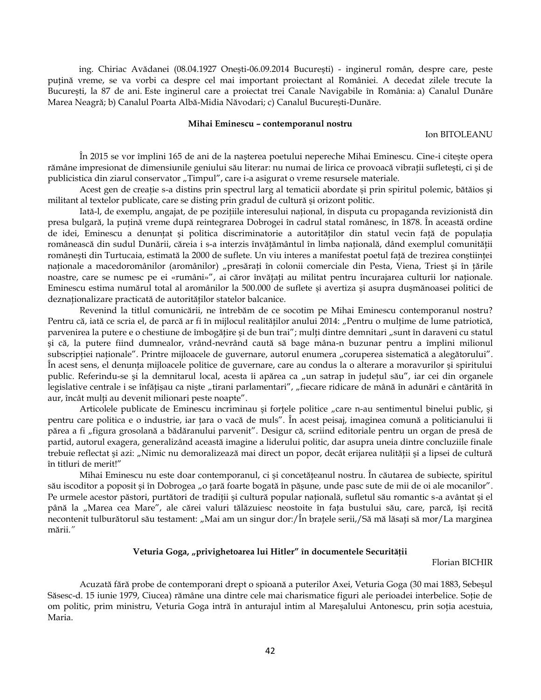ing. Chiriac Avădanei (08.04.1927 Oneşti-06.09.2014 Bucureşti) - inginerul român, despre care, peste puţină vreme, se va vorbi ca despre cel mai important proiectant al României. A decedat zilele trecute la Bucureşti, la 87 de ani. Este inginerul care a proiectat trei Canale Navigabile în România: a) Canalul Dunăre Marea Neagră; b) Canalul Poarta Albă-Midia Năvodari; c) Canalul Bucureşti-Dunăre.

#### **Mihai Eminescu – contemporanul nostru**

Ion BITOLEANU

În 2015 se vor împlini 165 de ani de la naşterea poetului nepereche Mihai Eminescu. Cine-i citeşte opera rămâne impresionat de dimensiunile geniului său literar: nu numai de lirica ce provoacă vibraţii sufleteşti, ci şi de publicistica din ziarul conservator "Timpul", care i-a asigurat o vreme resursele materiale.

Acest gen de creaţie s-a distins prin spectrul larg al tematicii abordate şi prin spiritul polemic, bătăios şi militant al textelor publicate, care se disting prin gradul de cultură şi orizont politic.

Iată-l, de exemplu, angajat, de pe poziţiile interesului naţional, în disputa cu propaganda revizionistă din presa bulgară, la puţină vreme după reintegrarea Dobrogei în cadrul statal românesc, în 1878. În această ordine de idei, Eminescu a denunţat şi politica discriminatorie a autorităţilor din statul vecin faţă de populaţia românească din sudul Dunării, căreia i s-a interzis învățământul în limba națională, dând exemplul comunității româneşti din Turtucaia, estimată la 2000 de suflete. Un viu interes a manifestat poetul faţă de trezirea conştiinţei naționale a macedoromânilor (aromânilor) "presărați în colonii comerciale din Pesta, Viena, Triest și în țările noastre, care se numesc pe ei «rumâni»", ai căror învăţaţi au militat pentru încurajarea culturii lor naţionale. Eminescu estima numărul total al aromânilor la 500.000 de suflete și avertiza şi asupra duşmănoasei politici de deznaţionalizare practicată de autorităţilor statelor balcanice.

Revenind la titlul comunicării, ne întrebăm de ce socotim pe Mihai Eminescu contemporanul nostru? Pentru că, iată ce scria el, de parcă ar fi în mijlocul realităților anului 2014: "Pentru o mulțime de lume patriotică, parvenirea la putere e o chestiune de îmbogățire și de bun trai"; mulți dintre demnitari "sunt în daraveni cu statul şi că, la putere fiind dumnealor, vrând-nevrând caută să bage mâna-n buzunar pentru a împlini milionul subscripției naționale". Printre mijloacele de guvernare, autorul enumera "coruperea sistematică a alegătorului". În acest sens, el denunța mijloacele politice de guvernare, care au condus la o alterare a moravurilor și spiritului public. Referindu-se și la demnitarul local, acesta îi apărea ca "un satrap în județul său", iar cei din organele legislative centrale i se înfățișau ca niște "tirani parlamentari", "fiecare ridicare de mână în adunări e cântărită în aur, încât mulți au devenit milionari peste noapte".

Articolele publicate de Eminescu incriminau și forțele politice "care n-au sentimentul binelui public, și pentru care politica e o industrie, iar ţara o vacă de muls". În acest peisaj, imaginea comună a politicianului îi părea a fi "figura grosolană a bădăranului parvenit". Desigur că, scriind editoriale pentru un organ de presă de partid, autorul exagera, generalizând această imagine a liderului politic, dar asupra uneia dintre concluziile finale trebuie reflectat și azi: "Nimic nu demoralizează mai direct un popor, decât erijarea nulității și a lipsei de cultură în titluri de merit!"

Mihai Eminescu nu este doar contemporanul, ci şi concetăţeanul nostru. În căutarea de subiecte, spiritul său iscoditor a poposit și în Dobrogea "o țară foarte bogată în pășune, unde pasc sute de mii de oi ale mocanilor". Pe urmele acestor păstori, purtători de tradiții și cultură popular națională, sufletul său romantic s-a avântat și el până la "Marea cea Mare", ale cărei valuri tălăzuiesc neostoite în fața bustului său, care, parcă, își recită necontenit tulburătorul său testament: "Mai am un singur dor:/În brațele serii,/Să mă lăsați să mor/La marginea mării.*"*

### **Veturia Goga, "privighetoarea lui Hitler" în documentele Securităţii**

Florian BICHIR

Acuzată fără probe de contemporani drept o spioană a puterilor Axei, Veturia Goga (30 mai 1883, Sebeşul Săsesc-d. 15 iunie 1979, Ciucea) rămâne una dintre cele mai charismatice figuri ale perioadei interbelice. Soţie de om politic, prim ministru, Veturia Goga intră în anturajul intim al Mareşalului Antonescu, prin soţia acestuia, Maria.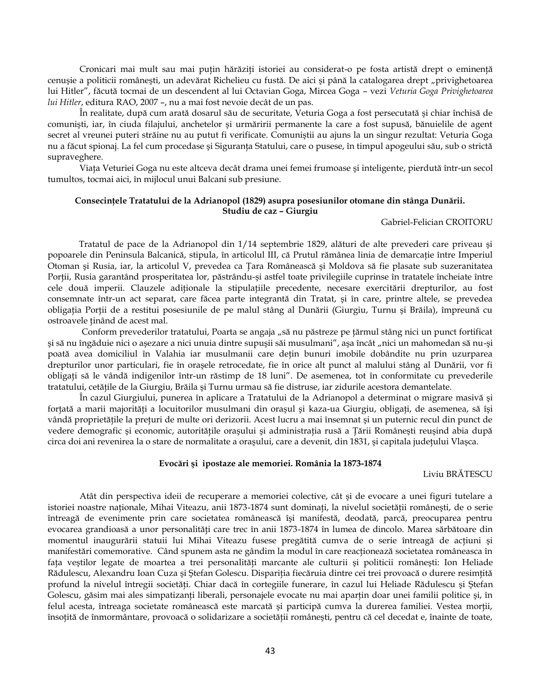Cronicari mai mult sau mai puțin hărăziți istoriei au considerat-o pe fosta artistă drept o eminență cenușie a politicii românești, un adevărat Richelieu cu fustă. De aici și până la catalogarea drept "privighetoarea lui Hitler", făcută tocmai de un descendent al lui Octavian Goga, Mircea Goga – vezi *Veturia Goga Privighetoarea lui Hitler*, editura RAO, 2007 –, nu a mai fost nevoie decât de un pas.

În realitate, după cum arată dosarul său de securitate, Veturia Goga a fost persecutată şi chiar închisă de comunişti, iar, în ciuda filajului, anchetelor şi urmăririi permanente la care a fost supusă, bănuielile de agent secret al vreunei puteri străine nu au putut fi verificate. Comuniştii au ajuns la un singur rezultat: Veturia Goga nu a făcut spionaj. La fel cum procedase şi Siguranţa Statului, care o pusese, în timpul apogeului său, sub o strictă supraveghere.

Viaţa Veturiei Goga nu este altceva decât drama unei femei frumoase şi inteligente, pierdută într-un secol tumultos, tocmai aici, în mijlocul unui Balcani sub presiune.

## **Consecinţele Tratatului de la Adrianopol (1829) asupra posesiunilor otomane din stânga Dunării. Studiu de caz – Giurgiu**

#### Gabriel-Felician CROITORU

Tratatul de pace de la Adrianopol din 1/14 septembrie 1829, alături de alte prevederi care priveau şi popoarele din Peninsula Balcanică, stipula, în articolul III, că Prutul rămânea linia de demarcaţie între Imperiul Otoman şi Rusia, iar, la articolul V, prevedea ca Ţara Românească şi Moldova să fie plasate sub suzeranitatea Porţii, Rusia garantând prosperitatea lor, păstrându-şi astfel toate privilegiile cuprinse în tratatele încheiate între cele două imperii. Clauzele adiționale la stipulațiile precedente, necesare exercitării drepturilor, au fost consemnate într-un act separat, care făcea parte integrantă din Tratat, şi în care, printre altele, se prevedea obligaţia Porţii de a restitui posesiunile de pe malul stâng al Dunării (Giurgiu, Turnu şi Brăila), împreună cu ostroavele ţinând de acest mal.

Conform prevederilor tratatului, Poarta se angaja "să nu păstreze pe țărmul stâng nici un punct fortificat şi să nu îngăduie nici o aşezare a nici unuia dintre supuşii săi musulmani", aşa încât "nici un mahomedan să nu-şi poată avea domiciliul în Valahia iar musulmanii care deţin bunuri imobile dobândite nu prin uzurparea drepturilor unor particulari, fie în oraşele retrocedate, fie în orice alt punct al malului stâng al Dunării, vor fi obligaţi să le vândă indigenilor într-un răstimp de 18 luni". De asemenea, tot în conformitate cu prevederile tratatului, cetățile de la Giurgiu, Brăila și Turnu urmau să fie distruse, iar zidurile acestora demantelate.

În cazul Giurgiului, punerea în aplicare a Tratatului de la Adrianopol a determinat o migrare masivă şi forţată a marii majorităţi a locuitorilor musulmani din oraşul şi kaza-ua Giurgiu, obligaţi, de asemenea, să îşi vândă proprietăţile la preţuri de multe ori derizorii. Acest lucru a mai însemnat şi un puternic recul din punct de vedere demografic şi economic, autorităţile oraşului şi administraţia rusă a Ţării Româneşti reuşind abia după circa doi ani revenirea la o stare de normalitate a oraşului, care a devenit, din 1831, şi capitala judeţului Vlaşca.

#### **Evocări şi ipostaze ale memoriei. România la 1873-1874**

Liviu BRĂTESCU

Atât din perspectiva ideii de recuperare a memoriei colective, cât şi de evocare a unei figuri tutelare a istoriei noastre naționale, Mihai Viteazu, anii 1873-1874 sunt dominați, la nivelul societății românești, de o serie întreagă de evenimente prin care societatea românească îşi manifestă, deodată, parcă, preocuparea pentru evocarea grandioasă a unor personalități care trec în anii 1873-1874 în lumea de dincolo. Marea sărbătoare din momentul inaugurării statuii lui Mihai Viteazu fusese pregătită cumva de o serie întreagă de acţiuni şi manifestări comemorative. Când spunem asta ne gândim la modul în care reacţionează societatea româneasca în fața veștilor legate de moartea a trei personalități marcante ale culturii și politicii românești: Ion Heliade Rădulescu, Alexandru Ioan Cuza şi Ştefan Golescu. Dispariţia fiecăruia dintre cei trei provoacă o durere resimţită profund la nivelul întregii societăți. Chiar dacă în cortegiile funerare, în cazul lui Heliade Rădulescu și Ștefan Golescu, găsim mai ales simpatizanți liberali, personajele evocate nu mai aparțin doar unei familii politice și, în felul acesta, întreaga societate românească este marcată și participă cumva la durerea familiei. Vestea morții, însoţită de înmormântare, provoacă o solidarizare a societăţii româneşti, pentru că cel decedat e, înainte de toate,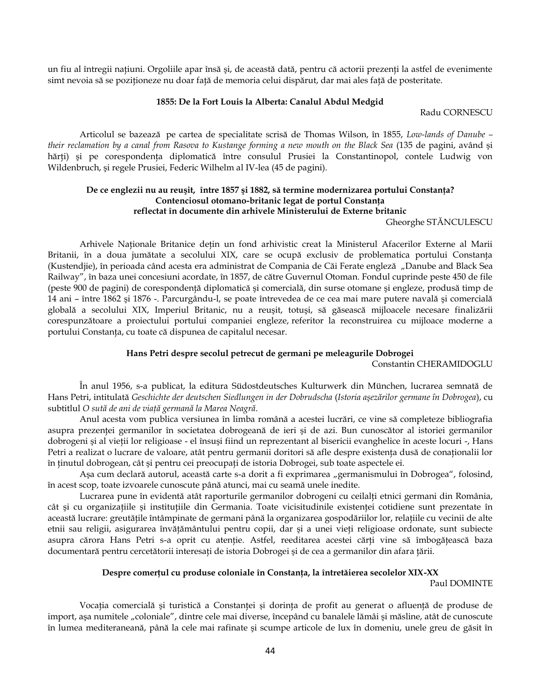un fiu al întregii națiuni. Orgoliile apar însă și, de această dată, pentru că actorii prezenți la astfel de evenimente simt nevoia să se poziţioneze nu doar faţă de memoria celui dispărut, dar mai ales faţă de posteritate.

#### **1855: De la Fort Louis la Alberta: Canalul Abdul Medgid**

Radu CORNESCU

Articolul se bazează pe cartea de specialitate scrisă de Thomas Wilson, în 1855, *Low-lands of Danube – their reclamation by a canal from Rasova to Kustange forming a new mouth on the Black Sea* (135 de pagini, având şi hărți) și pe corespondența diplomatică între consulul Prusiei la Constantinopol, contele Ludwig von Wildenbruch, şi regele Prusiei, Federic Wilhelm al IV-lea (45 de pagini).

## **De ce englezii nu au reuşit, între 1857 şi 1882, să termine modernizarea portului Constanţa? Contenciosul otomano-britanic legat de portul Constanţa reflectat în documente din arhivele Ministerului de Externe britanic**

Gheorghe STĂNCULESCU

Arhivele Naţionale Britanice deţin un fond arhivistic creat la Ministerul Afacerilor Externe al Marii Britanii, în a doua jumătate a secolului XIX, care se ocupă exclusiv de problematica portului Constanţa (Kustendjie), în perioada când acesta era administrat de Compania de Căi Ferate engleză "Danube and Black Sea Railway", în baza unei concesiuni acordate, în 1857, de către Guvernul Otoman. Fondul cuprinde peste 450 de file (peste 900 de pagini) de corespondenţă diplomatică şi comercială, din surse otomane şi engleze, produsă timp de 14 ani – între 1862 şi 1876 -. Parcurgându-l, se poate întrevedea de ce cea mai mare putere navală şi comercială globală a secolului XIX, Imperiul Britanic, nu a reuşit, totuşi, să găsească mijloacele necesare finalizării corespunzătoare a proiectului portului companiei engleze, referitor la reconstruirea cu mijloace moderne a portului Constanţa, cu toate că dispunea de capitalul necesar.

#### **Hans Petri despre secolul petrecut de germani pe meleagurile Dobrogei**

Constantin CHERAMIDOGLU

În anul 1956, s-a publicat, la editura Südostdeutsches Kulturwerk din München, lucrarea semnată de Hans Petri, intitulată *Geschichte der deutschen Siedlungen in der Dobrudscha* (*Istoria aşezărilor germane în Dobrogea*), cu subtitlul *O sută de ani de viaţă germană la Marea Neagră*.

Anul acesta vom publica versiunea în limba română a acestei lucrări, ce vine să completeze bibliografia asupra prezenţei germanilor în societatea dobrogeană de ieri şi de azi. Bun cunoscător al istoriei germanilor dobrogeni şi al vieţii lor religioase - el însuşi fiind un reprezentant al bisericii evanghelice în aceste locuri -, Hans Petri a realizat o lucrare de valoare, atât pentru germanii doritori să afle despre existența dusă de conaționalii lor în ţinutul dobrogean, cât şi pentru cei preocupaţi de istoria Dobrogei, sub toate aspectele ei.

Așa cum declară autorul, această carte s-a dorit a fi exprimarea "germanismului în Dobrogea", folosind, în acest scop, toate izvoarele cunoscute până atunci, mai cu seamă unele inedite.

Lucrarea pune în evidentă atât raporturile germanilor dobrogeni cu ceilalți etnici germani din România, cât și cu organizațiile și instituțiile din Germania. Toate vicisitudinile existenței cotidiene sunt prezentate în această lucrare: greutăţile întâmpinate de germani până la organizarea gospodăriilor lor, relaţiile cu vecinii de alte etnii sau religii, asigurarea învăţământului pentru copii, dar şi a unei vieţi religioase ordonate, sunt subiecte asupra cărora Hans Petri s-a oprit cu atenție. Astfel, reeditarea acestei cărți vine să îmbogățească baza documentară pentru cercetătorii interesaţi de istoria Dobrogei şi de cea a germanilor din afara ţării.

### **Despre comerţul cu produse coloniale în Constanţa, la întretăierea secolelor XIX-XX**

Paul DOMINTE

Vocaţia comercială şi turistică a Constanţei și dorinţa de profit au generat o afluenţă de produse de import, așa numitele "coloniale", dintre cele mai diverse, începând cu banalele lămâi și măsline, atât de cunoscute în lumea mediteraneană, până la cele mai rafinate şi scumpe articole de lux în domeniu, unele greu de găsit în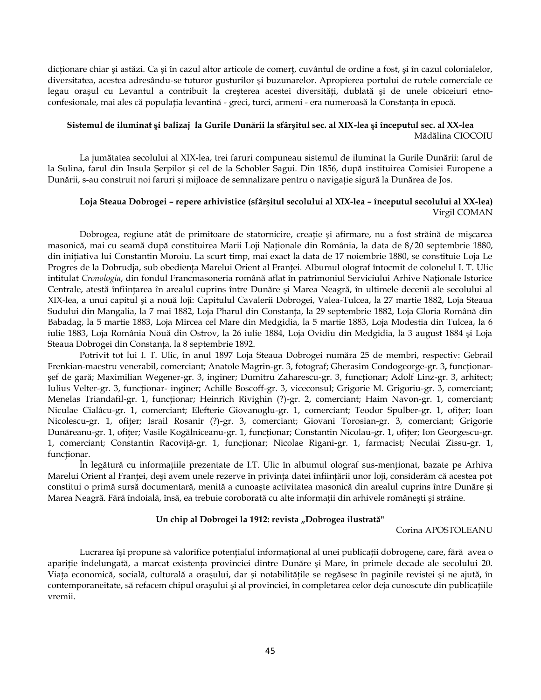dictionare chiar și astăzi. Ca și în cazul altor articole de comert, cuvântul de ordine a fost, și în cazul colonialelor, diversitatea, acestea adresându-se tuturor gusturilor şi buzunarelor. Apropierea portului de rutele comerciale ce legau orașul cu Levantul a contribuit la creșterea acestei diversități, dublată și de unele obiceiuri etnoconfesionale, mai ales că populaţia levantină - greci, turci, armeni - era numeroasă la Constanţa în epocă.

## **Sistemul de iluminat şi balizaj la Gurile Dunării la sfârşitul sec. al XIX-lea şi începutul sec. al XX-lea** Mădălina CIOCOIU

La jumătatea secolului al XIX-lea, trei faruri compuneau sistemul de iluminat la Gurile Dunării: farul de la Sulina, farul din Insula Şerpilor şi cel de la Schobler Sagui. Din 1856, după instituirea Comisiei Europene a Dunării, s-au construit noi faruri şi mijloace de semnalizare pentru o navigaţie sigură la Dunărea de Jos.

## **Loja Steaua Dobrogei – repere arhivistice (sfârşitul secolului al XIX-lea – începutul secolului al XX-lea)** Virgil COMAN

Dobrogea, regiune atât de primitoare de statornicire, creaţie şi afirmare, nu a fost străină de mişcarea masonică, mai cu seamă după constituirea Marii Loji Naţionale din România, la data de 8/20 septembrie 1880, din iniţiativa lui Constantin Moroiu. La scurt timp, mai exact la data de 17 noiembrie 1880, se constituie Loja Le Progres de la Dobrudja, sub obedienţa Marelui Orient al Franţei. Albumul olograf întocmit de colonelul I. T. Ulic intitulat *Cronologia*, din fondul Francmasoneria română aflat în patrimoniul Serviciului Arhive Naţionale Istorice Centrale, atestă înfiinţarea în arealul cuprins între Dunăre şi Marea Neagră, în ultimele decenii ale secolului al XIX-lea, a unui capitul şi a nouă loji: Capitulul Cavalerii Dobrogei, Valea-Tulcea, la 27 martie 1882, Loja Steaua Sudului din Mangalia, la 7 mai 1882, Loja Pharul din Constanţa, la 29 septembrie 1882, Loja Gloria Română din Babadag, la 5 martie 1883, Loja Mircea cel Mare din Medgidia, la 5 martie 1883, Loja Modestia din Tulcea, la 6 iulie 1883, Loja România Nouă din Ostrov, la 26 iulie 1884, Loja Ovidiu din Medgidia, la 3 august 1884 şi Loja Steaua Dobrogei din Constanţa, la 8 septembrie 1892.

Potrivit tot lui I. T. Ulic, în anul 1897 Loja Steaua Dobrogei număra 25 de membri, respectiv: Gebrail Frenkian-maestru venerabil, comerciant; Anatole Magrin-gr. 3, fotograf; Gherasim Condogeorge-gr. 3, funcționarşef de gară; Maximilian Wegener-gr. 3, inginer; Dumitru Zaharescu-gr. 3, funcţionar; Adolf Linz-gr. 3, arhitect; Iulius Velter-gr. 3, funcționar- inginer; Achille Boscoff-gr. 3, viceconsul; Grigorie M. Grigoriu-gr. 3, comerciant; Menelas Triandafil-gr. 1, funcţionar; Heinrich Rivighin (?)-gr. 2, comerciant; Haim Navon-gr. 1, comerciant; Niculae Cialâcu-gr. 1, comerciant; Elefterie Giovanoglu-gr. 1, comerciant; Teodor Spulber-gr. 1, ofiţer; Ioan Nicolescu-gr. 1, ofițer; Israil Rosanir (?)-gr. 3, comerciant; Giovani Torosian-gr. 3, comerciant; Grigorie Dunăreanu-gr. 1, ofiţer; Vasile Kogălniceanu-gr. 1, funcţionar; Constantin Nicolau-gr. 1, ofiţer; Ion Georgescu-gr. 1, comerciant; Constantin Racoviţă-gr. 1, funcţionar; Nicolae Rigani-gr. 1, farmacist; Neculai Zissu-gr. 1, funcţionar.

În legătură cu informaţiile prezentate de I.T. Ulic în albumul olograf sus-menţionat, bazate pe Arhiva Marelui Orient al Franţei, deşi avem unele rezerve în privinţa datei înfiinţării unor loji, considerăm că acestea pot constitui o primă sursă documentară, menită a cunoaşte activitatea masonică din arealul cuprins între Dunăre şi Marea Neagră. Fără îndoială, însă, ea trebuie coroborată cu alte informaţii din arhivele româneşti şi străine.

#### Un chip al Dobrogei la 1912: revista "Dobrogea ilustrată"

Corina APOSTOLEANU

Lucrarea îşi propune să valorifice potenţialul informaţional al unei publicaţii dobrogene, care, fără avea o apariţie îndelungată, a marcat existenţa provinciei dintre Dunăre şi Mare, în primele decade ale secolului 20. Viata economică, socială, culturală a orașului, dar și notabilitățile se regăsesc în paginile revistei și ne ajută, în contemporaneitate, să refacem chipul orașului și al provinciei, în completarea celor deja cunoscute din publicațiile vremii.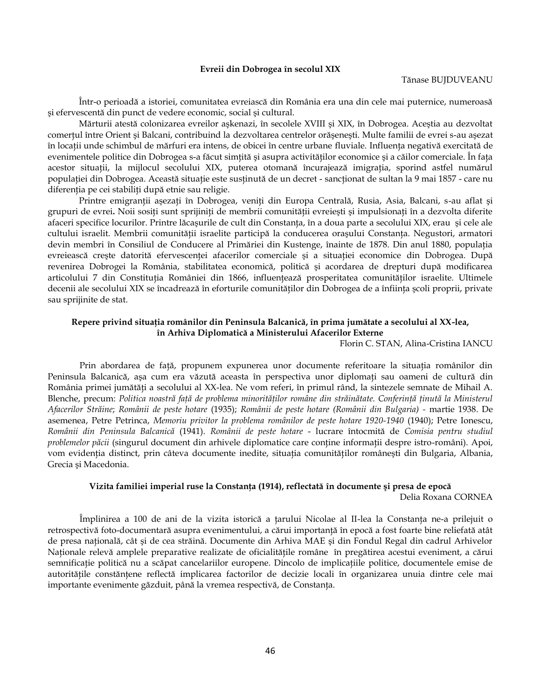#### **Evreii din Dobrogea în secolul XIX**

Într-o perioadă a istoriei, comunitatea evreiască din România era una din cele mai puternice, numeroasă şi efervescentă din punct de vedere economic, social şi cultural.

Mărturii atestă colonizarea evreilor aşkenazi, în secolele XVIII şi XIX, în Dobrogea. Aceştia au dezvoltat comerţul între Orient şi Balcani, contribuind la dezvoltarea centrelor orăşeneşti. Multe familii de evrei s-au aşezat în locaţii unde schimbul de mărfuri era intens, de obicei în centre urbane fluviale. Influenţa negativă exercitată de evenimentele politice din Dobrogea s-a făcut simțită și asupra activităților economice și a căilor comerciale. În fața acestor situații, la mijlocul secolului XIX, puterea otomană încurajează imigrația, sporind astfel numărul populaţiei din Dobrogea. Această situaţie este susţinută de un decret - sancţionat de sultan la 9 mai 1857 - care nu diferenţia pe cei stabiliţi după etnie sau religie.

Printre emigranții asezați în Dobrogea, veniți din Europa Centrală, Rusia, Asia, Balcani, s-au aflat și grupuri de evrei**.** Noii sosiţi sunt sprijiniţi de membrii comunităţii evreieşti şi impulsionaţi în a dezvolta diferite afaceri specifice locurilor. Printre lăcaşurile de cult din Constanţa, în a doua parte a secolului XIX, erau şi cele ale cultului israelit. Membrii comunităţii israelite participă la conducerea oraşului Constanţa. Negustori, armatori devin membri în Consiliul de Conducere al Primăriei din Kustenge, înainte de 1878. Din anul 1880, populaţia evreiească crește datorită efervescenței afacerilor comerciale și a situației economice din Dobrogea. După revenirea Dobrogei la România, stabilitatea economică, politică şi acordarea de drepturi după modificarea articolului 7 din Constituţia României din 1866, influenţează prosperitatea comunităţilor israelite. Ultimele decenii ale secolului XIX se încadrează în eforturile comunităților din Dobrogea de a înființa școli proprii, private sau sprijinite de stat.

## **Repere privind situaţia românilor din Peninsula Balcanică, în prima jumătate a secolului al XX-lea, în Arhiva Diplomatică a Ministerului Afacerilor Externe**

Florin C. STAN, Alina-Cristina IANCU

Prin abordarea de față, propunem expunerea unor documente referitoare la situația românilor din Peninsula Balcanică, așa cum era văzută aceasta în perspectiva unor diplomați sau oameni de cultură din România primei jumătăţi a secolului al XX-lea. Ne vom referi, în primul rând, la sintezele semnate de Mihail A. Blenche, precum: Politica noastră față de problema minorităților române din străinătate. Conferință ținută la Ministerul *Afacerilor Străine*; *Românii de peste hotare* (1935); *Românii de peste hotare (Românii din Bulgaria) -* martie 1938. De asemenea, Petre Petrinca, *Memoriu privitor la problema românilor de peste hotare 1920-1940* (1940); Petre Ionescu, *Românii din Peninsula Balcanică* (1941). *Românii de peste hotare* - lucrare întocmită de *Comisia pentru studiul problemelor păcii* (singurul document din arhivele diplomatice care conţine informaţii despre istro-români). Apoi, vom evidenţia distinct, prin câteva documente inedite, situaţia comunităţilor româneşti din Bulgaria, Albania, Grecia şi Macedonia.

### **Vizita familiei imperial ruse la Constanţa (1914), reflectată în documente şi presa de epocă**

Delia Roxana CORNEA

Împlinirea a 100 de ani de la vizita istorică a ţarului Nicolae al II-lea la Constanţa ne-a prilejuit o retrospectivă foto-documentară asupra evenimentului, a cărui importanţă în epocă a fost foarte bine reliefată atât de presa naţională, cât şi de cea străină. Documente din Arhiva MAE şi din Fondul Regal din cadrul Arhivelor Naţionale relevă amplele preparative realizate de oficialităţile române în pregătirea acestui eveniment, a cărui semnificație politică nu a scăpat cancelariilor europene. Dincolo de implicațiile politice, documentele emise de autorităţile constănţene reflectă implicarea factorilor de decizie locali în organizarea unuia dintre cele mai importante evenimente găzduit, până la vremea respectivă, de Constanţa.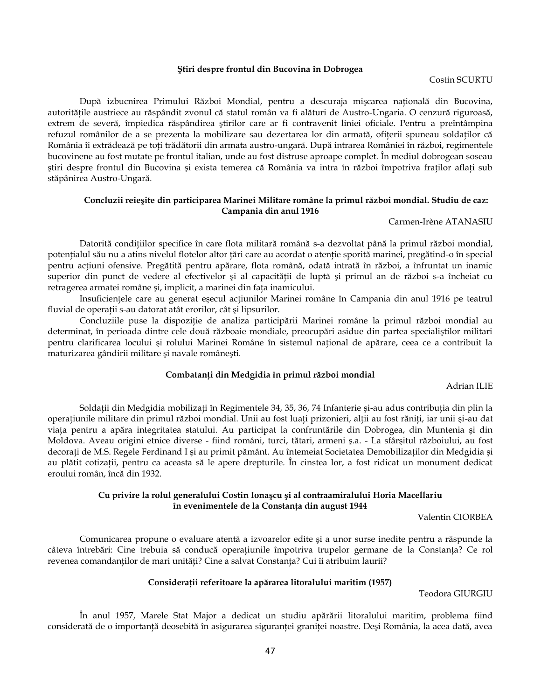#### **Ştiri despre frontul din Bucovina în Dobrogea**

Costin SCURTU

După izbucnirea Primului Război Mondial, pentru a descuraja mişcarea naţională din Bucovina, autorităţile austriece au răspândit zvonul că statul român va fi alături de Austro-Ungaria. O cenzură riguroasă, extrem de severă, împiedica răspândirea ştirilor care ar fi contravenit liniei oficiale. Pentru a preîntâmpina refuzul românilor de a se prezenta la mobilizare sau dezertarea lor din armată, ofiţerii spuneau soldaţilor că România îi extrădează pe toţi trădătorii din armata austro-ungară. După intrarea României în război, regimentele bucovinene au fost mutate pe frontul italian, unde au fost distruse aproape complet. În mediul dobrogean soseau ştiri despre frontul din Bucovina şi exista temerea că România va intra în război împotriva fraţilor aflaţi sub stăpânirea Austro-Ungară.

## **Concluzii reieşite din participarea Marinei Militare române la primul război mondial. Studiu de caz: Campania din anul 1916**

#### Carmen-Irène ATANASIU

Datorită condiţiilor specifice în care flota militară română s-a dezvoltat până la primul război mondial, potenţialul său nu a atins nivelul flotelor altor ţări care au acordat o atenţie sporită marinei, pregătind-o în special pentru acţiuni ofensive. Pregătită pentru apărare, flota română, odată intrată în război, a înfruntat un inamic superior din punct de vedere al efectivelor și al capacității de luptă și primul an de război s-a încheiat cu retragerea armatei române şi, implicit, a marinei din faţa inamicului.

Insuficientele care au generat esecul actiunilor Marinei române în Campania din anul 1916 pe teatrul fluvial de operaţii s-au datorat atât erorilor, cât şi lipsurilor.

Concluziile puse la dispoziţie de analiza participării Marinei române la primul război mondial au determinat, în perioada dintre cele două războaie mondiale, preocupări asidue din partea specialiştilor militari pentru clarificarea locului şi rolului Marinei Române în sistemul naţional de apărare, ceea ce a contribuit la maturizarea gândirii militare şi navale româneşti.

## **Combatanţi din Medgidia în primul război mondial**

Adrian ILIE

Soldaţii din Medgidia mobilizaţi în Regimentele 34, 35, 36, 74 Infanterie şi-au adus contribuţia din plin la operaţiunile militare din primul război mondial. Unii au fost luaţi prizonieri, alţii au fost răniţi, iar unii şi-au dat viaţa pentru a apăra integritatea statului. Au participat la confruntările din Dobrogea, din Muntenia şi din Moldova. Aveau origini etnice diverse - fiind români, turci, tătari, armeni ş.a. - La sfârşitul războiului, au fost decorați de M.S. Regele Ferdinand I și au primit pământ. Au întemeiat Societatea Demobilizaților din Medgidia și au plătit cotizaţii, pentru ca aceasta să le apere drepturile. În cinstea lor, a fost ridicat un monument dedicat eroului român, încă din 1932.

## **Cu privire la rolul generalului Costin Ionaşcu şi al contraamiralului Horia Macellariu în evenimentele de la Constanţa din august 1944**

Valentin CIORBEA

Comunicarea propune o evaluare atentă a izvoarelor edite şi a unor surse inedite pentru a răspunde la câteva întrebări: Cine trebuia să conducă operaţiunile împotriva trupelor germane de la Constanţa? Ce rol revenea comandanților de mari unități? Cine a salvat Constanța? Cui îi atribuim laurii?

### **Consideraţii referitoare la apărarea litoralului maritim (1957)**

Teodora GIURGIU

În anul 1957, Marele Stat Major a dedicat un studiu apărării litoralului maritim, problema fiind considerată de o importanţă deosebită în asigurarea siguranţei graniţei noastre. Deşi România, la acea dată, avea